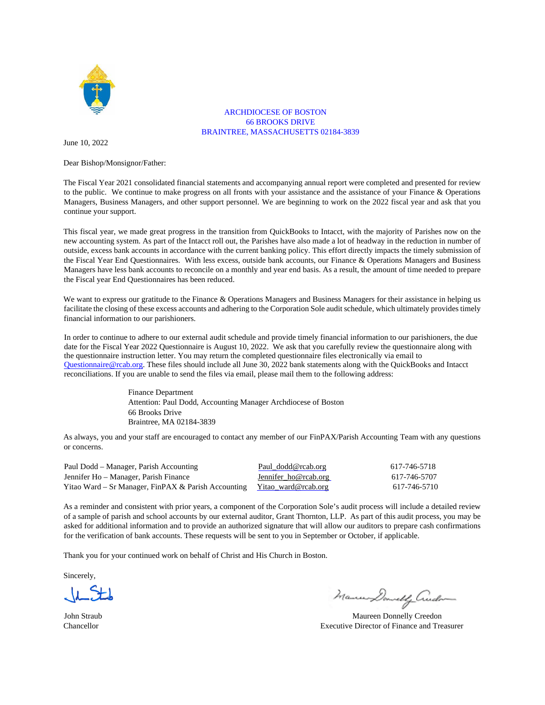

#### ARCHDIOCESE OF BOSTON 66 BROOKS DRIVE BRAINTREE, MASSACHUSETTS 02184-3839

June 10, 2022

Dear Bishop/Monsignor/Father:

The Fiscal Year 2021 consolidated financial statements and accompanying annual report were completed and presented for review to the public. We continue to make progress on all fronts with your assistance and the assistance of your Finance & Operations Managers, Business Managers, and other support personnel. We are beginning to work on the 2022 fiscal year and ask that you continue your support.

This fiscal year, we made great progress in the transition from QuickBooks to Intacct, with the majority of Parishes now on the new accounting system. As part of the Intacct roll out, the Parishes have also made a lot of headway in the reduction in number of outside, excess bank accounts in accordance with the current banking policy. This effort directly impacts the timely submission of the Fiscal Year End Questionnaires. With less excess, outside bank accounts, our Finance & Operations Managers and Business Managers have less bank accounts to reconcile on a monthly and year end basis. As a result, the amount of time needed to prepare the Fiscal year End Questionnaires has been reduced.

We want to express our gratitude to the Finance & Operations Managers and Business Managers for their assistance in helping us facilitate the closing of these excess accounts and adhering to the Corporation Sole audit schedule, which ultimately provides timely financial information to our parishioners.

In order to continue to adhere to our external audit schedule and provide timely financial information to our parishioners, the due date for the Fiscal Year 2022 Questionnaire is August 10, 2022. We ask that you carefully review the questionnaire along with the questionnaire instruction letter. You may return the completed questionnaire files electronically via email to Questionnaire@rcab.org. These files should include all June 30, 2022 bank statements along with the QuickBooks and Intacct reconciliations. If you are unable to send the files via email, please mail them to the following address:

> Finance Department Attention: Paul Dodd, Accounting Manager Archdiocese of Boston 66 Brooks Drive Braintree, MA 02184-3839

As always, you and your staff are encouraged to contact any member of our FinPAX/Parish Accounting Team with any questions or concerns.

| Paul Dodd – Manager, Parish Accounting                                  | Paul dodd@rcab.org   | 617-746-5718 |
|-------------------------------------------------------------------------|----------------------|--------------|
| Jennifer Ho – Manager, Parish Finance                                   | Jennifer ho@rcab.org | 617-746-5707 |
| Yitao Ward – Sr Manager, FinPAX & Parish Accounting Yitao ward@rcab.org |                      | 617-746-5710 |

As a reminder and consistent with prior years, a component of the Corporation Sole's audit process will include a detailed review of a sample of parish and school accounts by our external auditor, Grant Thornton, LLP. As part of this audit process, you may be asked for additional information and to provide an authorized signature that will allow our auditors to prepare cash confirmations for the verification of bank accounts. These requests will be sent to you in September or October, if applicable.

Thank you for your continued work on behalf of Christ and His Church in Boston.

Sincerely,

Mammo Dowelly Crude

John Straub Maureen Donnelly Creedon Chancellor Executive Director of Finance and Treasurer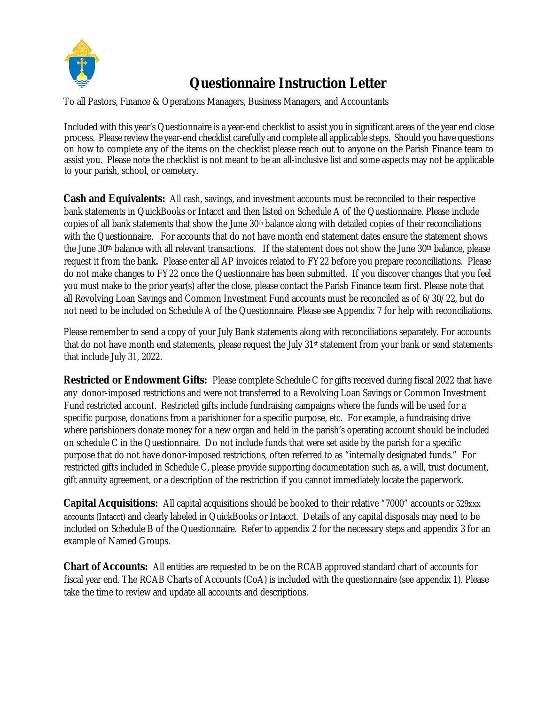

# **Questionnaire Instruction Letter**

To all Pastors, Finance & Operations Managers, Business Managers, and Accountants

Included with this year's Questionnaire is a year-end checklist to assist you in significant areas of the year end close process. Please review the year-end checklist carefully and complete all applicable steps. Should you have questions on how to complete any of the items on the checklist please reach out to anyone on the Parish Finance team to assist you. Please note the checklist is not meant to be an all-inclusive list and some aspects may not be applicable to your parish, school, or cemetery.

**Cash and Equivalents:** All cash, savings, and investment accounts must be reconciled to their respective bank statements in QuickBooks or Intacct and then listed on Schedule A of the Questionnaire. Please include copies of all bank statements that show the June 30th balance along with detailed copies of their reconciliations with the Questionnaire. For accounts that do not have month end statement dates ensure the statement shows the June 30th balance with all relevant transactions. If the statement does not show the June 30th balance, please request it from the bank**.** Please enter all AP invoices related to FY22 before you prepare reconciliations. Please do not make changes to FY22 once the Questionnaire has been submitted. If you discover changes that you feel you must make to the prior year(s) after the close, please contact the Parish Finance team first. Please note that all Revolving Loan Savings and Common Investment Fund accounts must be reconciled as of 6/30/22, but do not need to be included on Schedule A of the Questionnaire. Please see Appendix 7 for help with reconciliations.

Please remember to send a copy of your July Bank statements along with reconciliations separately. For accounts that do not have month end statements, please request the July 31st statement from your bank or send statements that include July 31, 2022.

**Restricted or Endowment Gifts:** Please complete Schedule C for gifts received during fiscal 2022 that have any donor-imposed restrictions and were not transferred to a Revolving Loan Savings or Common Investment Fund restricted account. Restricted gifts include fundraising campaigns where the funds will be used for a specific purpose, donations from a parishioner for a specific purpose, etc. For example, a fundraising drive where parishioners donate money for a new organ and held in the parish's operating account should be included on schedule C in the Questionnaire. Do not include funds that were set aside by the parish for a specific purpose that do not have donor-imposed restrictions, often referred to as "internally designated funds." For restricted gifts included in Schedule C, please provide supporting documentation such as, a will, trust document, gift annuity agreement, or a description of the restriction if you cannot immediately locate the paperwork.

**Capital Acquisitions:** All capital acquisitions should be booked to their relative "7000" accounts or 529xxx accounts (Intacct) and clearly labeled in QuickBooks or Intacct. Details of any capital disposals may need to be included on Schedule B of the Questionnaire. Refer to appendix 2 for the necessary steps and appendix 3 for an example of Named Groups.

**Chart of Accounts:** All entities are requested to be on the RCAB approved standard chart of accounts for fiscal year end. The RCAB Charts of Accounts (CoA) is included with the questionnaire (see appendix 1). Please take the time to review and update all accounts and descriptions.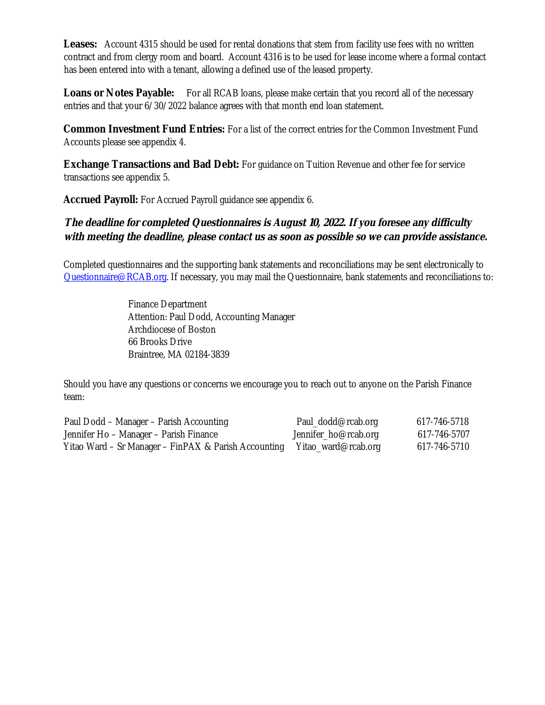**Leases:** Account 4315 should be used for rental donations that stem from facility use fees with no written contract and from clergy room and board. Account 4316 is to be used for lease income where a formal contact has been entered into with a tenant, allowing a defined use of the leased property.

**Loans or Notes Payable:** For all RCAB loans, please make certain that you record all of the necessary entries and that your 6/30/2022 balance agrees with that month end loan statement.

**Common Investment Fund Entries:** For a list of the correct entries for the Common Investment Fund Accounts please see appendix 4.

**Exchange Transactions and Bad Debt:** For guidance on Tuition Revenue and other fee for service transactions see appendix 5.

**Accrued Payroll:** For Accrued Payroll guidance see appendix 6.

**The deadline for completed Questionnaires is August 10, 2022. If you foresee any difficulty with meeting the deadline, please contact us as soon as possible so we can provide assistance.**

Completed questionnaires and the supporting bank statements and reconciliations may be sent electronically to Questionnaire@RCAB.org. If necessary, you may mail the Questionnaire, bank statements and reconciliations to:

> Finance Department Attention: Paul Dodd, Accounting Manager Archdiocese of Boston 66 Brooks Drive Braintree, MA 02184-3839

Should you have any questions or concerns we encourage you to reach out to anyone on the Parish Finance team:

| Paul Dodd – Manager – Parish Accounting              | Paul_dodd@rcab.org   | 617-746-5718 |
|------------------------------------------------------|----------------------|--------------|
| Jennifer Ho – Manager – Parish Finance               | Jennifer_ho@rcab.org | 617-746-5707 |
| Yitao Ward – Sr Manager – FinPAX & Parish Accounting | Yitao_ward@rcab.org  | 617-746-5710 |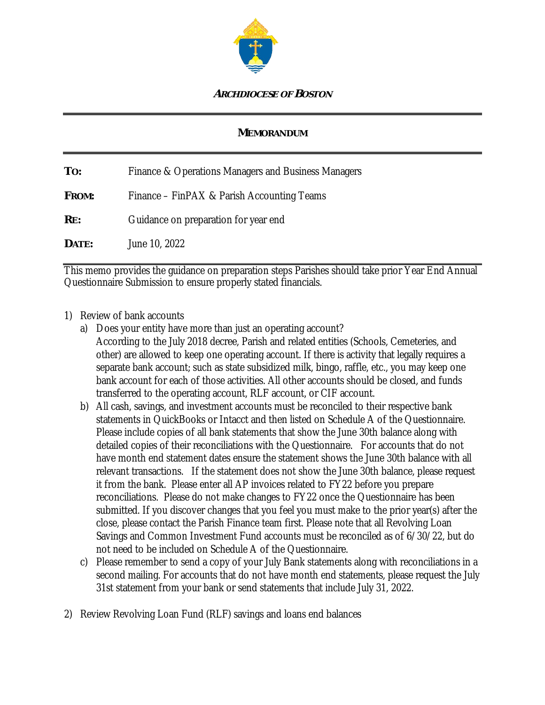

#### **ARCHDIOCESE OF BOSTON**

#### **MEMORANDUM**

**TO:** Finance & Operations Managers and Business Managers **FROM:** Finance – FinPAX & Parish Accounting Teams **RE:** Guidance on preparation for year end **DATE:** June 10, 2022

This memo provides the guidance on preparation steps Parishes should take prior Year End Annual Questionnaire Submission to ensure properly stated financials.

#### 1) Review of bank accounts

- a) Does your entity have more than just an operating account? According to the July 2018 decree, Parish and related entities (Schools, Cemeteries, and other) are allowed to keep one operating account. If there is activity that legally requires a separate bank account; such as state subsidized milk, bingo, raffle, etc., you may keep one bank account for each of those activities. All other accounts should be closed, and funds transferred to the operating account, RLF account, or CIF account.
- b) All cash, savings, and investment accounts must be reconciled to their respective bank statements in QuickBooks or Intacct and then listed on Schedule A of the Questionnaire. Please include copies of all bank statements that show the June 30th balance along with detailed copies of their reconciliations with the Questionnaire. For accounts that do not have month end statement dates ensure the statement shows the June 30th balance with all relevant transactions. If the statement does not show the June 30th balance, please request it from the bank. Please enter all AP invoices related to FY22 before you prepare reconciliations. Please do not make changes to FY22 once the Questionnaire has been submitted. If you discover changes that you feel you must make to the prior year(s) after the close, please contact the Parish Finance team first. Please note that all Revolving Loan Savings and Common Investment Fund accounts must be reconciled as of 6/30/22, but do not need to be included on Schedule A of the Questionnaire.
- c) Please remember to send a copy of your July Bank statements along with reconciliations in a second mailing. For accounts that do not have month end statements, please request the July 31st statement from your bank or send statements that include July 31, 2022.
- 2) Review Revolving Loan Fund (RLF) savings and loans end balances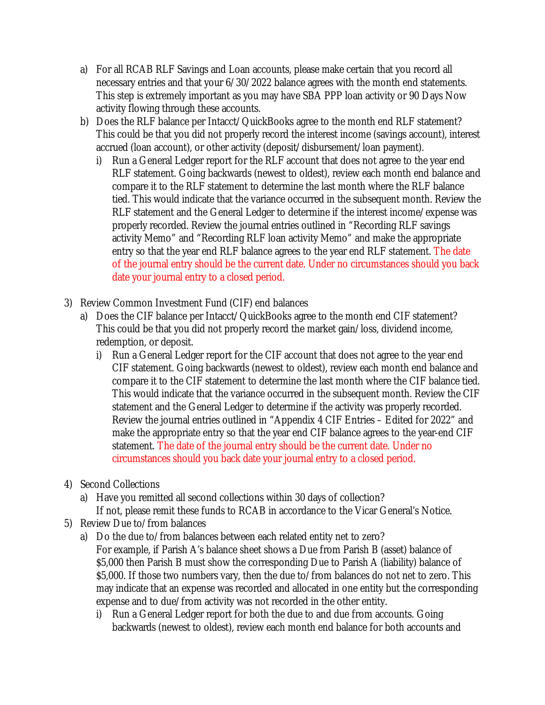- a) For all RCAB RLF Savings and Loan accounts, please make certain that you record all necessary entries and that your 6/30/2022 balance agrees with the month end statements. This step is extremely important as you may have SBA PPP loan activity or 90 Days Now activity flowing through these accounts.
- b) Does the RLF balance per Intacct/QuickBooks agree to the month end RLF statement? This could be that you did not properly record the interest income (savings account), interest accrued (loan account), or other activity (deposit/disbursement/loan payment).
	- i) Run a General Ledger report for the RLF account that does not agree to the year end RLF statement. Going backwards (newest to oldest), review each month end balance and compare it to the RLF statement to determine the last month where the RLF balance tied. This would indicate that the variance occurred in the subsequent month. Review the RLF statement and the General Ledger to determine if the interest income/expense was properly recorded. Review the journal entries outlined in "Recording RLF savings activity Memo" and "Recording RLF loan activity Memo" and make the appropriate entry so that the year end RLF balance agrees to the year end RLF statement. The date of the journal entry should be the current date. Under no circumstances should you back date your journal entry to a closed period.
- 3) Review Common Investment Fund (CIF) end balances
	- a) Does the CIF balance per Intacct/QuickBooks agree to the month end CIF statement? This could be that you did not properly record the market gain/loss, dividend income, redemption, or deposit.
		- i) Run a General Ledger report for the CIF account that does not agree to the year end CIF statement. Going backwards (newest to oldest), review each month end balance and compare it to the CIF statement to determine the last month where the CIF balance tied. This would indicate that the variance occurred in the subsequent month. Review the CIF statement and the General Ledger to determine if the activity was properly recorded. Review the journal entries outlined in "Appendix 4 CIF Entries – Edited for 2022" and make the appropriate entry so that the year end CIF balance agrees to the year-end CIF statement. The date of the journal entry should be the current date. Under no circumstances should you back date your journal entry to a closed period.
- 4) Second Collections
	- a) Have you remitted all second collections within 30 days of collection? If not, please remit these funds to RCAB in accordance to the Vicar General's Notice.
- 5) Review Due to/from balances
	- a) Do the due to/from balances between each related entity net to zero? For example, if Parish A's balance sheet shows a Due from Parish B (asset) balance of \$5,000 then Parish B must show the corresponding Due to Parish A (liability) balance of \$5,000. If those two numbers vary, then the due to/from balances do not net to zero. This may indicate that an expense was recorded and allocated in one entity but the corresponding expense and to due/from activity was not recorded in the other entity.
		- i) Run a General Ledger report for both the due to and due from accounts. Going backwards (newest to oldest), review each month end balance for both accounts and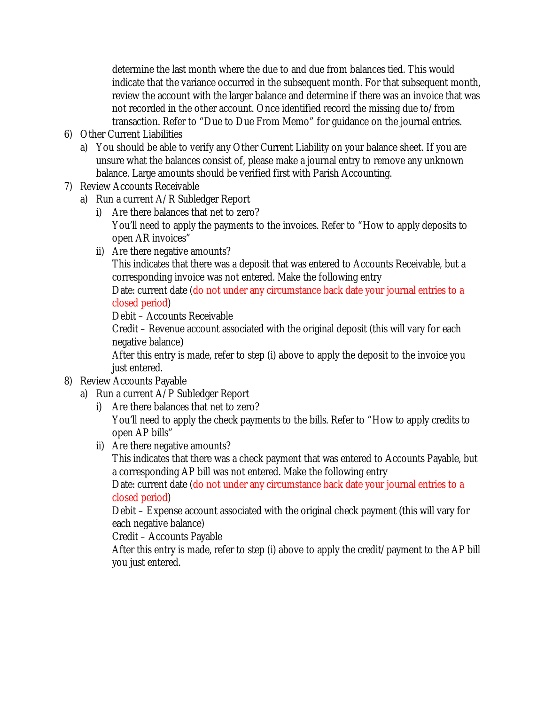determine the last month where the due to and due from balances tied. This would indicate that the variance occurred in the subsequent month. For that subsequent month, review the account with the larger balance and determine if there was an invoice that was not recorded in the other account. Once identified record the missing due to/from transaction. Refer to "Due to Due From Memo" for guidance on the journal entries.

- 6) Other Current Liabilities
	- a) You should be able to verify any Other Current Liability on your balance sheet. If you are unsure what the balances consist of, please make a journal entry to remove any unknown balance. Large amounts should be verified first with Parish Accounting.
- 7) Review Accounts Receivable
	- a) Run a current A/R Subledger Report
		- i) Are there balances that net to zero? You'll need to apply the payments to the invoices. Refer to "How to apply deposits to open AR invoices"
		- ii) Are there negative amounts?

This indicates that there was a deposit that was entered to Accounts Receivable, but a corresponding invoice was not entered. Make the following entry

Date: current date (do not under any circumstance back date your journal entries to a closed period)

Debit – Accounts Receivable

Credit – Revenue account associated with the original deposit (this will vary for each negative balance*)*

After this entry is made, refer to step (i) above to apply the deposit to the invoice you just entered.

### 8) Review Accounts Payable

- a) Run a current A/P Subledger Report
	- i) Are there balances that net to zero?

You'll need to apply the check payments to the bills. Refer to "How to apply credits to open AP bills"

ii) Are there negative amounts?

This indicates that there was a check payment that was entered to Accounts Payable, but a corresponding AP bill was not entered. Make the following entry

Date: current date (do not under any circumstance back date your journal entries to a closed period)

Debit – Expense account associated with the original check payment (this will vary for each negative balance)

Credit – Accounts Payable

After this entry is made, refer to step (i) above to apply the credit/payment to the AP bill you just entered.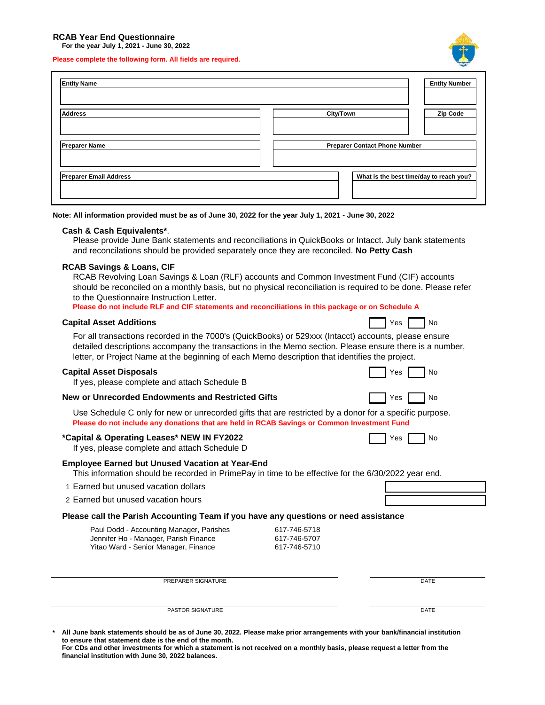#### **RCAB Year End Questionnaire**

**For the year July 1, 2021 - June 30, 2022**

**Please complete the following form. All fields are required.**



**Note: All information provided must be as of June 30, 2022 for the year July 1, 2021 - June 30, 2022**

#### **Cash & Cash Equivalents\***.

Please provide June Bank statements and reconciliations in QuickBooks or Intacct. July bank statements and reconcilations should be provided separately once they are reconciled. **No Petty Cash**

### **RCAB Savings & Loans, CIF**

| PASTOR SIGNATURE                                                                                                                                                                                                                                                                                                                                             |                              | DATE             |  |  |  |  |
|--------------------------------------------------------------------------------------------------------------------------------------------------------------------------------------------------------------------------------------------------------------------------------------------------------------------------------------------------------------|------------------------------|------------------|--|--|--|--|
| PREPARER SIGNATURE                                                                                                                                                                                                                                                                                                                                           |                              | DATE             |  |  |  |  |
|                                                                                                                                                                                                                                                                                                                                                              |                              |                  |  |  |  |  |
| Jennifer Ho - Manager, Parish Finance<br>Yitao Ward - Senior Manager, Finance                                                                                                                                                                                                                                                                                | 617-746-5707<br>617-746-5710 |                  |  |  |  |  |
| Please call the Parish Accounting Team if you have any questions or need assistance<br>Paul Dodd - Accounting Manager, Parishes                                                                                                                                                                                                                              | 617-746-5718                 |                  |  |  |  |  |
| 2 Earned but unused vacation hours                                                                                                                                                                                                                                                                                                                           |                              |                  |  |  |  |  |
| 1 Earned but unused vacation dollars                                                                                                                                                                                                                                                                                                                         |                              |                  |  |  |  |  |
| <b>Employee Earned but Unused Vacation at Year-End</b><br>This information should be recorded in PrimePay in time to be effective for the 6/30/2022 year end.                                                                                                                                                                                                |                              |                  |  |  |  |  |
| *Capital & Operating Leases* NEW IN FY2022<br>Yes<br>No<br>If yes, please complete and attach Schedule D                                                                                                                                                                                                                                                     |                              |                  |  |  |  |  |
| Use Schedule C only for new or unrecorded gifts that are restricted by a donor for a specific purpose.<br>Please do not include any donations that are held in RCAB Savings or Common Investment Fund                                                                                                                                                        |                              |                  |  |  |  |  |
| <b>New or Unrecorded Endowments and Restricted Gifts</b>                                                                                                                                                                                                                                                                                                     |                              | Yes<br>No        |  |  |  |  |
| <b>Capital Asset Disposals</b><br>If yes, please complete and attach Schedule B                                                                                                                                                                                                                                                                              |                              | Yes<br>No        |  |  |  |  |
| For all transactions recorded in the 7000's (QuickBooks) or 529xxx (Intacct) accounts, please ensure<br>detailed descriptions accompany the transactions in the Memo section. Please ensure there is a number,<br>letter, or Project Name at the beginning of each Memo description that identifies the project.                                             |                              |                  |  |  |  |  |
| <b>Capital Asset Additions</b>                                                                                                                                                                                                                                                                                                                               |                              | Yes<br><b>No</b> |  |  |  |  |
| RCAB Revolving Loan Savings & Loan (RLF) accounts and Common Investment Fund (CIF) accounts<br>should be reconciled on a monthly basis, but no physical reconciliation is required to be done. Please refer<br>to the Questionnaire Instruction Letter.<br>Please do not include RLF and CIF statements and reconciliations in this package or on Schedule A |                              |                  |  |  |  |  |

**\* All June bank statements should be as of June 30, 2022. Please make prior arrangements with your bank/financial institution to ensure that statement date is the end of the month.**

**For CDs and other investments for which a statement is not received on a monthly basis, please request a letter from the financial institution with June 30, 2022 balances.**

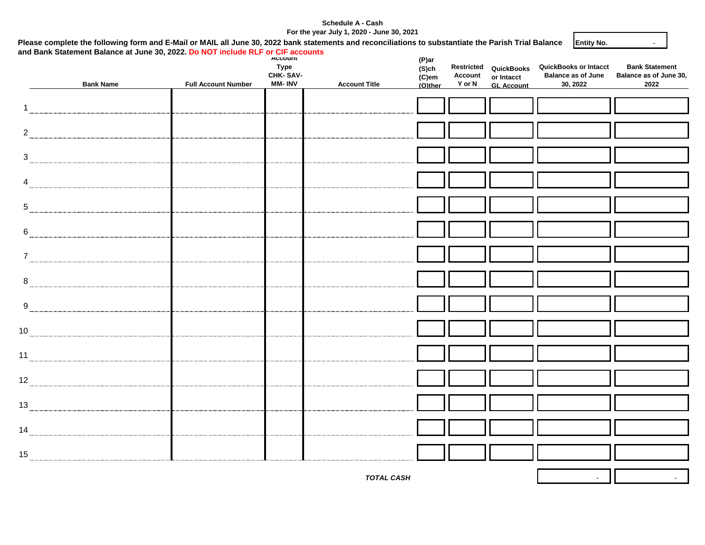#### **Schedule A - Cash For the year July 1, 2020 - June 30, 2021**

1

| and Bank Statement Balance at June 30, 2022. Do NOT include RLF or CIF accounts<br><b>Bank Name</b> | <b>Full Account Number</b> | <b>Account</b><br><b>Type</b><br>CHK-SAV-<br><b>MM-INV</b> | <b>Account Title</b> | (P)ar<br>$(S)$ ch<br>(C)em<br>(O)ther | Restricted<br>Account<br>Y or N | QuickBooks<br>or Intacct<br><b>GL Account</b> | <b>QuickBooks or Intacct</b><br><b>Balance as of June</b><br>30, 2022 | <b>Bank Statement</b><br>Balance as of June 30,<br>2022 |
|-----------------------------------------------------------------------------------------------------|----------------------------|------------------------------------------------------------|----------------------|---------------------------------------|---------------------------------|-----------------------------------------------|-----------------------------------------------------------------------|---------------------------------------------------------|
|                                                                                                     |                            |                                                            |                      |                                       |                                 |                                               |                                                                       |                                                         |
| $\mathbf{1}$                                                                                        |                            |                                                            |                      |                                       |                                 |                                               |                                                                       |                                                         |
|                                                                                                     |                            |                                                            |                      |                                       |                                 |                                               |                                                                       |                                                         |
| $\overline{2}$                                                                                      |                            |                                                            |                      |                                       |                                 |                                               |                                                                       |                                                         |
|                                                                                                     |                            |                                                            |                      |                                       |                                 |                                               |                                                                       |                                                         |
|                                                                                                     |                            |                                                            |                      |                                       |                                 |                                               |                                                                       |                                                         |
|                                                                                                     |                            |                                                            |                      |                                       |                                 |                                               |                                                                       |                                                         |
|                                                                                                     |                            |                                                            |                      |                                       |                                 |                                               |                                                                       |                                                         |
|                                                                                                     |                            |                                                            |                      |                                       |                                 |                                               |                                                                       |                                                         |
|                                                                                                     |                            |                                                            |                      |                                       |                                 |                                               |                                                                       |                                                         |
|                                                                                                     |                            |                                                            |                      |                                       |                                 |                                               |                                                                       |                                                         |
|                                                                                                     |                            |                                                            |                      |                                       |                                 |                                               |                                                                       |                                                         |
|                                                                                                     |                            |                                                            |                      |                                       |                                 |                                               |                                                                       |                                                         |
|                                                                                                     |                            |                                                            |                      |                                       |                                 |                                               |                                                                       |                                                         |
|                                                                                                     |                            |                                                            |                      |                                       |                                 |                                               |                                                                       |                                                         |
|                                                                                                     |                            |                                                            |                      |                                       |                                 |                                               |                                                                       |                                                         |
| 10                                                                                                  |                            |                                                            |                      |                                       |                                 |                                               |                                                                       |                                                         |
|                                                                                                     |                            |                                                            |                      |                                       |                                 |                                               |                                                                       |                                                         |
|                                                                                                     |                            |                                                            |                      |                                       |                                 |                                               |                                                                       |                                                         |
|                                                                                                     |                            |                                                            |                      |                                       |                                 |                                               |                                                                       |                                                         |
|                                                                                                     |                            |                                                            |                      |                                       |                                 |                                               |                                                                       |                                                         |
|                                                                                                     |                            |                                                            |                      |                                       |                                 |                                               |                                                                       |                                                         |
|                                                                                                     |                            |                                                            |                      |                                       |                                 |                                               |                                                                       |                                                         |
|                                                                                                     |                            |                                                            |                      |                                       |                                 |                                               |                                                                       |                                                         |
|                                                                                                     |                            |                                                            |                      |                                       |                                 |                                               |                                                                       |                                                         |
|                                                                                                     |                            |                                                            |                      |                                       |                                 |                                               |                                                                       |                                                         |
|                                                                                                     |                            |                                                            | <b>TOTAL CASH</b>    |                                       |                                 |                                               | $\blacksquare$                                                        |                                                         |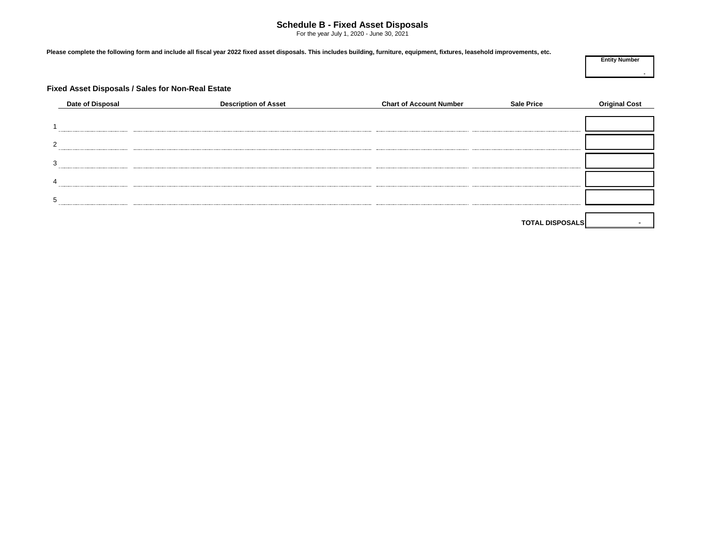#### **Schedule B - Fixed Asset Disposals**

For the year July 1, 2020 - June 30, 2021

**Please complete the following form and include all fiscal year 2022 fixed asset disposals. This includes building, furniture, equipment, fixtures, leasehold improvements, etc.**

**Entity Number**

**-**

#### **Fixed Asset Disposals / Sales for Non-Real Estate**

| Date of Disposal | <b>Description of Asset</b> | <b>Chart of Account Number</b> | <b>Sale Price</b>      | <b>Original Cost</b> |
|------------------|-----------------------------|--------------------------------|------------------------|----------------------|
|                  |                             |                                |                        |                      |
|                  |                             |                                |                        |                      |
| $\overline{2}$   |                             |                                |                        |                      |
| 3                |                             |                                |                        |                      |
| $\overline{4}$   |                             |                                |                        |                      |
| 5                |                             |                                |                        |                      |
|                  |                             |                                |                        |                      |
|                  |                             |                                | <b>TOTAL DISPOSALS</b> |                      |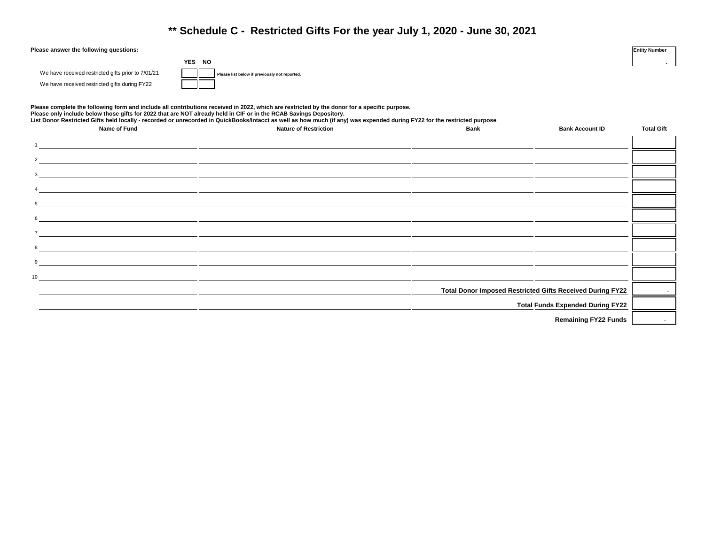### **\*\* Schedule C - Restricted Gifts For the year July 1, 2020 - June 30, 2021**

| Please answer the following questions: | <b>Entity Number</b> |  |
|----------------------------------------|----------------------|--|

|  |  | We have received restricted gifts prior to 7/01/21 |  |
|--|--|----------------------------------------------------|--|
|  |  | We have received restricted gifts during FY22      |  |

Please list below if previously not reported.

**YES NO**

**Please complete the following form and include all contributions received in 2022, which are restricted by the donor for a specific purpose.** Please only include below those gifts for 2022 that are NOT already held in CIF or in the RCAB Savings Depository.<br>List Donor Restricted Gifts held locally - recorded or unrecorded in QuickBooks/Intacct as well as how much

| Name of Fund               | List Donor Restricted Gifts neid locally - recorded or unrecorded in QuickBooks/Intacct as well as now much (if any) was expended during FTZZ for the restricted purpose.<br><b>Nature of Restriction</b> | <b>Bank</b> | <b>Bank Account ID</b>                                    | <b>Total Gift</b> |
|----------------------------|-----------------------------------------------------------------------------------------------------------------------------------------------------------------------------------------------------------|-------------|-----------------------------------------------------------|-------------------|
|                            |                                                                                                                                                                                                           |             |                                                           |                   |
|                            |                                                                                                                                                                                                           |             |                                                           |                   |
|                            |                                                                                                                                                                                                           |             |                                                           |                   |
|                            |                                                                                                                                                                                                           |             |                                                           |                   |
|                            |                                                                                                                                                                                                           |             |                                                           |                   |
|                            | $\overline{\phantom{a}}$                                                                                                                                                                                  |             |                                                           |                   |
|                            |                                                                                                                                                                                                           |             |                                                           |                   |
|                            |                                                                                                                                                                                                           |             |                                                           |                   |
| $9 \overline{\phantom{a}}$ |                                                                                                                                                                                                           |             |                                                           |                   |
| $\overline{10}$            |                                                                                                                                                                                                           |             |                                                           |                   |
|                            |                                                                                                                                                                                                           |             | Total Donor Imposed Restricted Gifts Received During FY22 |                   |
|                            |                                                                                                                                                                                                           |             | <b>Total Funds Expended During FY22</b>                   |                   |
|                            |                                                                                                                                                                                                           |             |                                                           |                   |

**Remaining FY22 Funds** 

**-**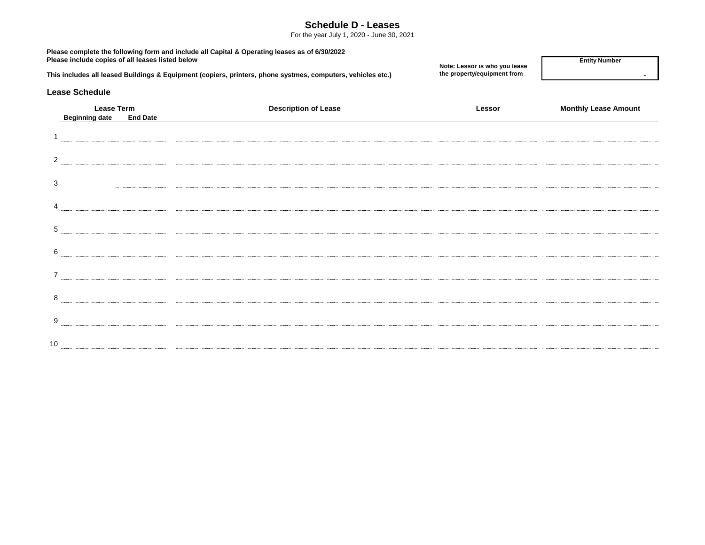#### **Schedule D - Leases**

For the year July 1, 2020 - June 30, 2021

| Please include copies of all leases listed below              | Please complete the following form and include all Capital & Operating leases as of 6/30/2022<br>This includes all leased Buildings & Equipment (copiers, printers, phone systmes, computers, vehicles etc.) | Note: Lessor is who you lease<br>the property/equipment from | <b>Entity Number</b>        |  |  |
|---------------------------------------------------------------|--------------------------------------------------------------------------------------------------------------------------------------------------------------------------------------------------------------|--------------------------------------------------------------|-----------------------------|--|--|
| <b>Lease Schedule</b>                                         |                                                                                                                                                                                                              |                                                              |                             |  |  |
| <b>Lease Term</b><br><b>End Date</b><br><b>Beginning date</b> | <b>Description of Lease</b>                                                                                                                                                                                  | Lessor                                                       | <b>Monthly Lease Amount</b> |  |  |
|                                                               |                                                                                                                                                                                                              |                                                              |                             |  |  |
| 2                                                             |                                                                                                                                                                                                              |                                                              |                             |  |  |
| 3                                                             |                                                                                                                                                                                                              |                                                              |                             |  |  |
|                                                               |                                                                                                                                                                                                              |                                                              |                             |  |  |
| 5                                                             |                                                                                                                                                                                                              |                                                              |                             |  |  |
| 6                                                             |                                                                                                                                                                                                              |                                                              |                             |  |  |
|                                                               |                                                                                                                                                                                                              |                                                              |                             |  |  |
| 8                                                             |                                                                                                                                                                                                              |                                                              |                             |  |  |
| 9                                                             |                                                                                                                                                                                                              |                                                              |                             |  |  |
| 10                                                            |                                                                                                                                                                                                              |                                                              |                             |  |  |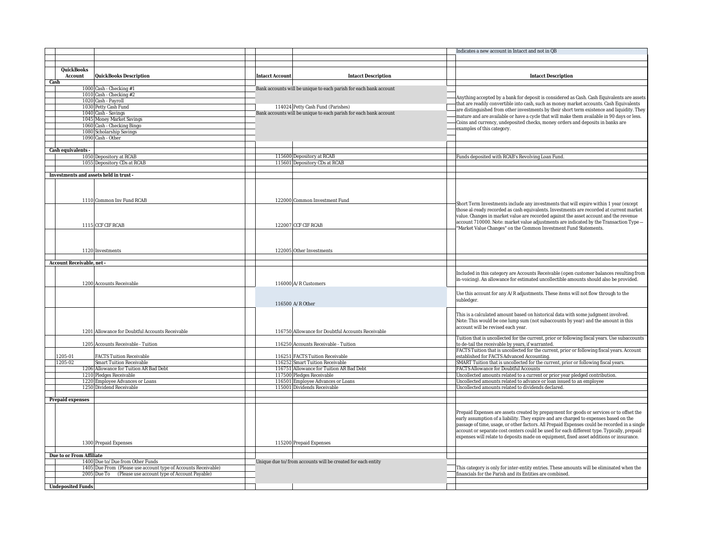|                                        |                                                                |                 |                                                                   | Indicates a new account in Intacct and not in QB                                              |
|----------------------------------------|----------------------------------------------------------------|-----------------|-------------------------------------------------------------------|-----------------------------------------------------------------------------------------------|
|                                        |                                                                |                 |                                                                   |                                                                                               |
|                                        |                                                                |                 |                                                                   |                                                                                               |
| QuickBooks                             |                                                                |                 |                                                                   |                                                                                               |
| Account                                | QuickBooks Description                                         | Intacct Account | <b>Intacct Description</b>                                        | Intacct Description                                                                           |
| Cash                                   |                                                                |                 |                                                                   |                                                                                               |
|                                        | 1000 Cash - Checking #1                                        |                 | Bank accounts will be unique to each parish for each bank account |                                                                                               |
|                                        | 1010 Cash - Checking #2                                        |                 |                                                                   | Anything accepted by a bank for deposit is considered as Cash. Cash Equivalents are assets    |
|                                        | 1020 Cash - Payroll                                            |                 |                                                                   | that are readily convertible into cash, such as money market accounts. Cash Equivalents       |
|                                        | 1030 Petty Cash Fund                                           |                 | 114024 Petty Cash Fund (Parishes)                                 | are distinguished from other investments by their short term existence and liquidity. They    |
|                                        | 1040 Cash - Savings                                            |                 | Bank accounts will be unique to each parish for each bank account | mature and are available or have a cycle that will make them available in 90 days or less.    |
|                                        | 1045 Money Market Savings                                      |                 |                                                                   | Coins and currency, undeposited checks, money orders and deposits in banks are                |
|                                        | 1060 Cash - Checking Bingo                                     |                 |                                                                   | examples of this category.                                                                    |
|                                        | 1080 Scholarship Savings                                       |                 |                                                                   |                                                                                               |
|                                        | 1090 Cash - Other                                              |                 |                                                                   |                                                                                               |
|                                        |                                                                |                 |                                                                   |                                                                                               |
| Cash equivalents -                     |                                                                |                 |                                                                   |                                                                                               |
|                                        | 1050 Depository at RCAB                                        |                 | 115600 Depository at RCAB                                         | Funds deposited with RCAB's Revolving Loan Fund.                                              |
|                                        | 1055 Depository CDs at RCAB                                    |                 | 115601 Depository CDs at RCAB                                     |                                                                                               |
|                                        |                                                                |                 |                                                                   |                                                                                               |
| Investments and assets held in trust - |                                                                |                 |                                                                   |                                                                                               |
|                                        |                                                                |                 |                                                                   |                                                                                               |
|                                        |                                                                |                 |                                                                   |                                                                                               |
|                                        |                                                                |                 |                                                                   |                                                                                               |
|                                        | 1110 Common Inv Fund RCAB                                      |                 | 122000 Common Investment Fund                                     | Short Term Investments include any investments that will expire within 1 year (except         |
|                                        |                                                                |                 |                                                                   | those al-ready recorded as cash equivalents. Investments are recorded at current market       |
|                                        |                                                                |                 |                                                                   | value. Changes in market value are recorded against the asset account and the revenue         |
|                                        |                                                                |                 |                                                                   | account 710000. Note: market value adjustments are indicated by the Transaction Type -        |
|                                        | 1115 CCF CIF RCAB                                              |                 | 122007 CCF CIF RCAB                                               | 'Market Value Changes" on the Common Investment Fund Statements.                              |
|                                        |                                                                |                 |                                                                   |                                                                                               |
|                                        |                                                                |                 |                                                                   |                                                                                               |
|                                        |                                                                |                 |                                                                   |                                                                                               |
|                                        | 1120 Investments                                               |                 | 122005 Other Investments                                          |                                                                                               |
|                                        |                                                                |                 |                                                                   |                                                                                               |
| Account Receivable, net -              |                                                                |                 |                                                                   |                                                                                               |
|                                        |                                                                |                 |                                                                   |                                                                                               |
|                                        |                                                                |                 |                                                                   | Included in this category are Accounts Receivable (open customer balances resulting from      |
|                                        | 1200 Accounts Receivable                                       |                 | 116000 A/R Customers                                              | in-voicing). An allowance for estimated uncollectible amounts should also be provided.        |
|                                        |                                                                |                 |                                                                   |                                                                                               |
|                                        |                                                                |                 |                                                                   | Use this account for any A/R adjustments. These items will not flow through to the            |
|                                        |                                                                |                 | 116500 A/R Other                                                  | subledger.                                                                                    |
|                                        |                                                                |                 |                                                                   |                                                                                               |
|                                        |                                                                |                 |                                                                   | This is a calculated amount based on historical data with some judgment involved.             |
|                                        |                                                                |                 |                                                                   | Note: This would be one lump sum (not subaccounts by year) and the amount in this             |
|                                        |                                                                |                 |                                                                   | account will be revised each year.                                                            |
|                                        | 1201 Allowance for Doubtful Accounts Receivable                |                 | 116750 Allowance for Doubtful Accounts Receivable                 |                                                                                               |
|                                        |                                                                |                 |                                                                   | Tuition that is uncollected for the current, prior or following fiscal years. Use subaccounts |
|                                        | 1205 Accounts Receivable - Tuition                             |                 | 116250 Accounts Receivable - Tuition                              | to de-tail the receivable by years, if warranted.                                             |
|                                        |                                                                |                 |                                                                   | FACTS Tuition that is uncollected for the current, prior or following fiscal years. Account   |
| 1205-01                                | FACTS Tuition Receivable                                       |                 | 116251 FACTS Tuition Receivable                                   | established for FACTS Advanced Accounting.                                                    |
| 1205-02                                | Smart Tuition Receivable                                       |                 | 116252 Smart Tuition Receivable                                   | SMART Tuition that is uncollected for the current, prior or following fiscal years.           |
|                                        | 1206 Allowance for Tuition AR Bad Debt                         |                 | 116751 Allowance for Tuition AR Bad Debt                          | <b>FACTS Allowance for Doubtful Accounts</b>                                                  |
|                                        | 1210 Pledges Receivable                                        |                 | 117500 Pledges Receivable                                         | Uncollected amounts related to a current or prior year pledged contribution.                  |
|                                        | 1220 Employee Advances or Loans                                |                 | 116501 Employee Advances or Loans                                 | Uncollected amounts related to advance or loan issued to an employee                          |
|                                        | 1250 Dividend Receivable                                       |                 | 115001 Dividends Receivable                                       | Uncollected amounts related to dividends declared.                                            |
|                                        |                                                                |                 |                                                                   |                                                                                               |
| Prepaid expenses                       |                                                                |                 |                                                                   |                                                                                               |
|                                        |                                                                |                 |                                                                   |                                                                                               |
|                                        |                                                                |                 |                                                                   | Prepaid Expenses are assets created by prepayment for goods or services or to offset the      |
|                                        |                                                                |                 |                                                                   | early assumption of a liability. They expire and are charged to expenses based on the         |
|                                        |                                                                |                 |                                                                   | passage of time, usage, or other factors. All Prepaid Expenses could be recorded in a single  |
|                                        |                                                                |                 |                                                                   | account or separate cost centers could be used for each different type. Typically, prepaid    |
|                                        |                                                                |                 |                                                                   | expenses will relate to deposits made on equipment, fixed asset additions or insurance.       |
|                                        | 1300 Prepaid Expenses                                          |                 | 115200 Prepaid Expenses                                           |                                                                                               |
|                                        |                                                                |                 |                                                                   |                                                                                               |
| Due to or From Affiliate               |                                                                |                 |                                                                   |                                                                                               |
|                                        | 1400 Due to/Due from Other Funds                               |                 | Unique due to/from accounts will be created for each entity       |                                                                                               |
|                                        | 1405 Due From (Please use account type of Accounts Receivable) |                 |                                                                   | This category is only for inter-entity entries. These amounts will be eliminated when the     |
|                                        | 2005 Due To (Please use account type of Account Payable)       |                 |                                                                   | financials for the Parish and its Entities are combined.                                      |
|                                        |                                                                |                 |                                                                   |                                                                                               |
| <b>Undeposited Funds</b>               |                                                                |                 |                                                                   |                                                                                               |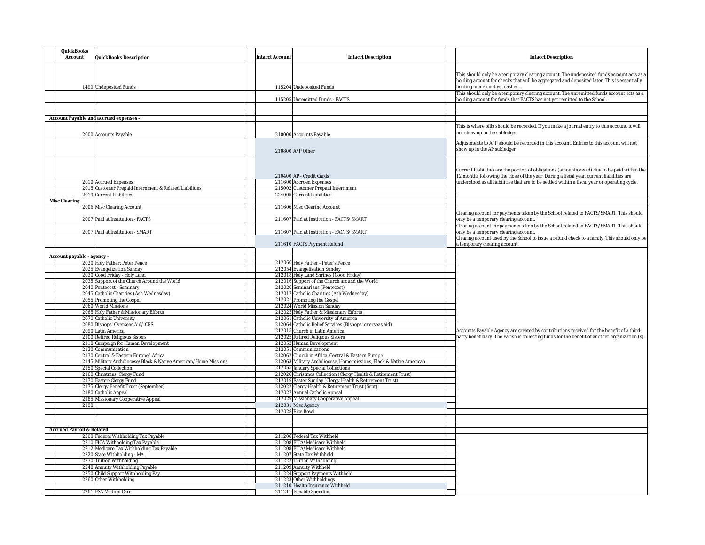| QuickBooks<br>Account<br>QuickBooks Description                             | Intacct Account | <b>Intacct Description</b>                                                                                                | Intacct Description                                                                                                                                                                     |
|-----------------------------------------------------------------------------|-----------------|---------------------------------------------------------------------------------------------------------------------------|-----------------------------------------------------------------------------------------------------------------------------------------------------------------------------------------|
|                                                                             |                 |                                                                                                                           |                                                                                                                                                                                         |
|                                                                             |                 |                                                                                                                           | This should only be a temporary clearing account. The undeposited funds account acts as a                                                                                               |
|                                                                             |                 |                                                                                                                           | holding account for checks that will be aggregated and deposited later. This is essentially                                                                                             |
| 1499 Undeposited Funds                                                      |                 | 115204 Undeposited Funds                                                                                                  | holding money not yet cashed.                                                                                                                                                           |
|                                                                             |                 | 115205 Unremitted Funds - FACTS                                                                                           | This should only be a temporary clearing account. The unremitted funds account acts as a<br>holding account for funds that FACTS has not yet remitted to the School.                    |
|                                                                             |                 |                                                                                                                           |                                                                                                                                                                                         |
| Account Payable and accrued expenses -                                      |                 |                                                                                                                           |                                                                                                                                                                                         |
|                                                                             |                 |                                                                                                                           | This is where bills should be recorded. If you make a journal entry to this account, it will                                                                                            |
| 2000 Accounts Payable                                                       |                 | 210000 Accounts Payable                                                                                                   | not show up in the subledger                                                                                                                                                            |
|                                                                             |                 |                                                                                                                           | Adjustments to A/P should be recorded in this account. Entries to this account will not                                                                                                 |
|                                                                             |                 | 210800 A/P Other                                                                                                          | show up in the AP subledger                                                                                                                                                             |
|                                                                             |                 |                                                                                                                           |                                                                                                                                                                                         |
|                                                                             |                 |                                                                                                                           |                                                                                                                                                                                         |
|                                                                             |                 | 210400 AP - Credit Cards                                                                                                  | Current Liabilities are the portion of obligations (amounts owed) due to be paid within the<br>12 months following the close of the year. During a fiscal year, current liabilities are |
| 2010 Accrued Expenses                                                       |                 | 211600 Accrued Expenses                                                                                                   | understood as all liabilities that are to be settled within a fiscal year or operating cycle.                                                                                           |
| 2015 Customer Prepaid Internment & Related Liabilities                      |                 | 215002 Customer Prepaid Internment                                                                                        |                                                                                                                                                                                         |
| 2019 Current Liabilities<br>Misc Clearing                                   |                 | 224005 Current Liabilities                                                                                                |                                                                                                                                                                                         |
| 2006 Misc Clearing Account                                                  |                 | 211606 Misc Clearing Account                                                                                              |                                                                                                                                                                                         |
|                                                                             |                 |                                                                                                                           | Clearing account for payments taken by the School related to FACTS/SMART. This should                                                                                                   |
| 2007 Paid at Institution - FACTS                                            |                 | 211607 Paid at Institution - FACTS/SMART                                                                                  | only be a temporary clearing account.<br>Clearing account for payments taken by the School related to FACTS/SMART. This should                                                          |
| 2007 Paid at Institution - SMART                                            |                 | 211607 Paid at Institution - FACTS/SMART                                                                                  | only be a temporary clearing account.                                                                                                                                                   |
|                                                                             |                 |                                                                                                                           | Clearing account used by the School to issue a refund check to a family. This should only be                                                                                            |
|                                                                             |                 | 211610 FACTS Payment Refund                                                                                               | a temporary clearing account.                                                                                                                                                           |
| Account payable - agency -                                                  |                 |                                                                                                                           |                                                                                                                                                                                         |
| 2020 Holy Father: Peter Pence                                               |                 | 212060 Holy Father - Peter's Pence                                                                                        |                                                                                                                                                                                         |
| 2025 Evangelization Sunday                                                  |                 | 212054 Evangelization Sunday                                                                                              |                                                                                                                                                                                         |
| 2030 Good Friday - Holy Land<br>2035 Support of the Church Around the World |                 | 212018 Holy Land Shrines (Good Friday)<br>212016 Support of the Church around the World                                   |                                                                                                                                                                                         |
| 2040 Pentecost - Seminary                                                   |                 | 212020 Seminarians (Pentecost)                                                                                            |                                                                                                                                                                                         |
| 2045 Catholic Charities (Ash Wednesday)                                     |                 | 212017 Catholic Charities (Ash Wednesday)                                                                                 |                                                                                                                                                                                         |
| 2055 Promoting the Gospel                                                   |                 | 212021 Promoting the Gospel                                                                                               |                                                                                                                                                                                         |
| 2060 World Missions<br>2065 Holy Father & Missionary Efforts                |                 | 212024 World Mission Sunday<br>212023 Holy Father & Missionary Efforts                                                    |                                                                                                                                                                                         |
| 2070 Catholic University                                                    |                 | 212061 Catholic University of America                                                                                     |                                                                                                                                                                                         |
| 2080 Bishops' Overseas Aid/ CRS                                             |                 | 212064 Catholic Relief Services (Bishops' overseas aid)                                                                   |                                                                                                                                                                                         |
| 2090 Latin America                                                          |                 | 212015 Church in Latin America                                                                                            | Accounts Payable Agency are created by contributions received for the benefit of a third-                                                                                               |
| 2100 Retired Religious Sisters                                              |                 | 212025 Retired Religious Sisters                                                                                          | party beneficiary. The Parish is collecting funds for the benefit of another organization (s).                                                                                          |
| 2110 Campaign for Human Development<br>2120 Communication                   |                 | 212052 Human Development<br>212051 Communications                                                                         |                                                                                                                                                                                         |
| 2130 Central & Eastern Europe/ Africa                                       |                 | 212062 Church in Africa, Central & Eastern Europe                                                                         |                                                                                                                                                                                         |
| 2145 Military Archdiocese/Black & Native American/Home Missions             |                 | 212063 Military Archdiocese, Home missions, Black & Native American                                                       |                                                                                                                                                                                         |
| 2150 Special Collection                                                     |                 | 212055 January Special Collections                                                                                        |                                                                                                                                                                                         |
| 2160 Christmas: Clergy Fund<br>2170 Easter: Clergy Fund                     |                 | 212026 Christmas Collection (Clergy Health & Retirement Trust)<br>212019 Easter Sunday (Clergy Health & Retirement Trust) |                                                                                                                                                                                         |
| 2175 Clergy Benefit Trust (September)                                       |                 | 212022 Clergy Health & Retirement Trust (Sept)                                                                            |                                                                                                                                                                                         |
| 2180 Catholic Appeal                                                        |                 | 212027 Annual Catholic Appeal                                                                                             |                                                                                                                                                                                         |
| 2185 Missionary Cooperative Appeal                                          |                 | 212029 Missionary Cooperative Appeal                                                                                      |                                                                                                                                                                                         |
| 2190                                                                        |                 | 212031 Misc Agency<br>212028 Rice Bowl                                                                                    |                                                                                                                                                                                         |
|                                                                             |                 |                                                                                                                           |                                                                                                                                                                                         |
|                                                                             |                 |                                                                                                                           |                                                                                                                                                                                         |
| Accrued Payroll & Related<br>2200 Federal Withholding Tax Payable           |                 | 211206 Federal Tax Withheld                                                                                               |                                                                                                                                                                                         |
| 2210 FICA Withholding Tax Payable                                           |                 | 211208 FICA/Medicare Withheld                                                                                             |                                                                                                                                                                                         |
| 2212 Medicare Tax Withholding Tax Payable                                   |                 | 211208 FICA/Medicare Withheld                                                                                             |                                                                                                                                                                                         |
| 2220 State Withholding - MA                                                 |                 | 211207 State Tax Withheld                                                                                                 |                                                                                                                                                                                         |
| 2230 Tuition Withholding                                                    |                 | 211222 Tuition Withholding                                                                                                |                                                                                                                                                                                         |
| 2240 Annuity Withholding Payable<br>2250 Child Support Withholding Pay.     |                 | 211209 Annuity Withheld<br>211224 Support Payments Withheld                                                               |                                                                                                                                                                                         |
| 2260 Other Withholding                                                      |                 | 211223 Other Withholdings                                                                                                 |                                                                                                                                                                                         |
|                                                                             |                 | 211210 Health Insurance Withheld                                                                                          |                                                                                                                                                                                         |
| 2261 FSA Medical Care                                                       |                 | 211211 Flexible Spending                                                                                                  |                                                                                                                                                                                         |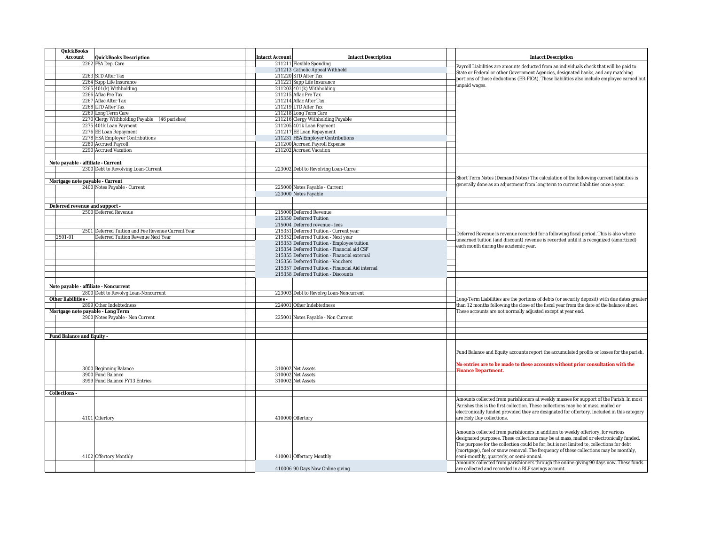| QuickBooks                            |                                                    |                                                      |                                                                                                                                                                                     |
|---------------------------------------|----------------------------------------------------|------------------------------------------------------|-------------------------------------------------------------------------------------------------------------------------------------------------------------------------------------|
| Account                               | QuickBooks Description                             | <b>Intacct Description</b><br><b>Intacct Account</b> | Intacct Description                                                                                                                                                                 |
|                                       | 2262 FSA Dep. Care                                 | 211211 Flexible Spending                             |                                                                                                                                                                                     |
|                                       |                                                    | 211213 Catholic Appeal Withheld                      | Payroll Liabilities are amounts deducted from an individuals check that will be paid to                                                                                             |
|                                       | 2263 STD After Tax                                 | 211220 STD After Tax                                 | State or Federal or other Government Agencies, designated banks, and any matching<br>portions of those deductions (ER-FICA). These liabilities also include employee earned but     |
|                                       | 2264 Supp Life Insurance                           | 211221 Supp Life Insurance                           | unpaid wages.                                                                                                                                                                       |
|                                       | 2265 401(k) Withholding                            | 211203 401(k) Withholding                            |                                                                                                                                                                                     |
|                                       | 2266 Aflac Pre Tax                                 | 211215 Aflac Pre Tax                                 |                                                                                                                                                                                     |
|                                       | 2267 Aflac After Tax                               | 211214 Aflac After Tax                               |                                                                                                                                                                                     |
|                                       | 2268 LTD After Tax                                 | 211219 LTD After Tax                                 |                                                                                                                                                                                     |
|                                       | 2269 Long Term Care                                | 211218 Long Term Care                                |                                                                                                                                                                                     |
|                                       | 2270 Clergy Withholding Payable (46 parishes)      | 211216 Clergy Withholding Payable                    |                                                                                                                                                                                     |
|                                       | 2275 401k Loan Payment                             | 211205 401k Loan Payment                             |                                                                                                                                                                                     |
|                                       | 2276 EE Loan Repayment                             | 211217 EE Loan Repayment                             |                                                                                                                                                                                     |
|                                       | 2278 HSA Employer Contributions                    | 211231 HSA Employer Contributions                    |                                                                                                                                                                                     |
|                                       | 2280 Accrued Payroll                               | 211200 Accrued Payroll Expense                       |                                                                                                                                                                                     |
|                                       | 2290 Accrued Vacation                              | 211202 Accrued Vacation                              |                                                                                                                                                                                     |
|                                       |                                                    |                                                      |                                                                                                                                                                                     |
| Note payable - affiliate - Current    | 2300 Debt to Revolving Loan-Current                |                                                      |                                                                                                                                                                                     |
|                                       |                                                    | 223002 Debt to Revolving Loan-Curre                  |                                                                                                                                                                                     |
|                                       |                                                    |                                                      | Short Term Notes (Demand Notes) The calculation of the following current liabilities is                                                                                             |
| Mortgage note payable - Current       | 2400 Notes Payable - Current                       | 225000 Notes Payable - Current                       | generally done as an adjustment from long term to current liabilities once a year.                                                                                                  |
|                                       |                                                    | 223000 Notes Payable                                 |                                                                                                                                                                                     |
|                                       |                                                    |                                                      |                                                                                                                                                                                     |
| Deferred revenue and support -        |                                                    |                                                      |                                                                                                                                                                                     |
|                                       | 2500 Deferred Revenue                              | 215000 Deferred Revenue                              |                                                                                                                                                                                     |
|                                       |                                                    | 215350 Deferred Tuition                              |                                                                                                                                                                                     |
|                                       |                                                    | 215004 Deferred revenue - fees                       |                                                                                                                                                                                     |
|                                       | 2501 Deferred Tuition and Fee Revenue Current Year | 215351 Deferred Tuition - Current year               |                                                                                                                                                                                     |
| 2501-01                               | Deferred Tuition Revenue Next Year                 | 215352 Deferred Tuition - Next year                  | Deferred Revenue is revenue recorded for a following fiscal period. This is also where                                                                                              |
|                                       |                                                    | 215353 Deferred Tuition - Employee tuition           | unearned tuition (and discount) revenue is recorded until it is recognized (amortized)                                                                                              |
|                                       |                                                    | 215354 Deferred Tuition - Financial aid CSF          | each month during the academic year.                                                                                                                                                |
|                                       |                                                    | 215355 Deferred Tuition - Financial external         |                                                                                                                                                                                     |
|                                       |                                                    | 215356 Deferred Tuition - Vouchers                   |                                                                                                                                                                                     |
|                                       |                                                    | 215357 Deferred Tuition - Financial Aid internal     |                                                                                                                                                                                     |
|                                       |                                                    | 215358 Deferred Tuition - Discounts                  |                                                                                                                                                                                     |
|                                       |                                                    |                                                      |                                                                                                                                                                                     |
| Note payable - affiliate - Noncurrent |                                                    |                                                      |                                                                                                                                                                                     |
|                                       | 2800 Debt to Revolvg Loan-Noncurrent               | 223003 Debt to Revolvg Loan-Noncurrent               |                                                                                                                                                                                     |
| Other liabilities -                   |                                                    |                                                      | Long-Term Liabilities are the portions of debts (or security deposit) with due dates greater                                                                                        |
|                                       | 2899 Other Indebtedness                            | 224001 Other Indebtedness                            | than 12 months following the close of the fiscal year from the date of the balance sheet.                                                                                           |
| Mortgage note payable - Long Term     |                                                    |                                                      | These accounts are not normally adjusted except at year end.                                                                                                                        |
|                                       | 2900 Notes Payable - Non Current                   | 225001 Notes Payable - Non Current                   |                                                                                                                                                                                     |
|                                       |                                                    |                                                      |                                                                                                                                                                                     |
|                                       |                                                    |                                                      |                                                                                                                                                                                     |
| Fund Balance and Equity -             |                                                    |                                                      |                                                                                                                                                                                     |
|                                       |                                                    |                                                      |                                                                                                                                                                                     |
|                                       |                                                    |                                                      | Fund Balance and Equity accounts report the accumulated profits or losses for the parish.                                                                                           |
|                                       |                                                    |                                                      |                                                                                                                                                                                     |
|                                       |                                                    |                                                      | No entries are to be made to these accounts without prior consultation with the                                                                                                     |
|                                       | 3000 Beginning Balance                             | 310002 Net Assets                                    | Finance Department.                                                                                                                                                                 |
|                                       | 3900 Fund Balance                                  | 310002 Net Assets                                    |                                                                                                                                                                                     |
|                                       | 3999 Fund Balance FY13 Entries                     | 310002 Net Assets                                    |                                                                                                                                                                                     |
|                                       |                                                    |                                                      |                                                                                                                                                                                     |
| Collections -                         |                                                    |                                                      |                                                                                                                                                                                     |
|                                       |                                                    |                                                      | Amounts collected from parishioners at weekly masses for support of the Parish. In most<br>Parishes this is the first collection. These collections may be at mass, mailed or       |
|                                       |                                                    |                                                      | electronically funded provided they are designated for offertory. Included in this category                                                                                         |
|                                       | 4101 Offertory                                     | 410000 Offertory                                     | are Holy Day collections.                                                                                                                                                           |
|                                       |                                                    |                                                      |                                                                                                                                                                                     |
|                                       |                                                    |                                                      |                                                                                                                                                                                     |
|                                       |                                                    |                                                      | Amounts collected from parishioners in addition to weekly offertory, for various                                                                                                    |
|                                       |                                                    |                                                      | designated purposes. These collections may be at mass, mailed or electronically funded.<br>The purpose for the collection could be for, but is not limited to, collections for debt |
|                                       |                                                    |                                                      | (mortgage), fuel or snow removal. The frequency of these collections may be monthly,                                                                                                |
|                                       | 4102 Offertory Monthly                             | 410001 Offertory Monthly                             | semi-monthly, quarterly, or semi-annual.                                                                                                                                            |
|                                       |                                                    |                                                      | Amounts collected from parishioners through the online giving 90 days now. These funds                                                                                              |
|                                       |                                                    | 410006 90 Days Now Online giving                     | are collected and recorded in a RLF savings account.                                                                                                                                |
|                                       |                                                    |                                                      |                                                                                                                                                                                     |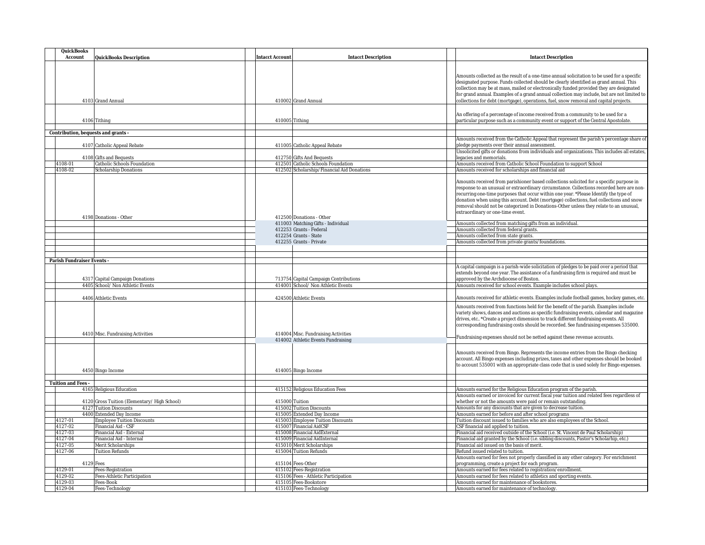| QuickBooks                          |                                                |                                                           |                                                                                                                                                                                                                                                                                                                                                                                                                                                                                                       |
|-------------------------------------|------------------------------------------------|-----------------------------------------------------------|-------------------------------------------------------------------------------------------------------------------------------------------------------------------------------------------------------------------------------------------------------------------------------------------------------------------------------------------------------------------------------------------------------------------------------------------------------------------------------------------------------|
| Account                             | QuickBooks Description                         | <b>Intacct Account</b><br><b>Intacct Description</b>      | <b>Intacct Description</b>                                                                                                                                                                                                                                                                                                                                                                                                                                                                            |
|                                     | 4103 Grand Annual                              | 410002 Grand Annual                                       | Amounts collected as the result of a one-time annual solicitation to be used for a specific<br>designated purpose. Funds collected should be clearly identified as grand annual. This<br>collection may be at mass, mailed or electronically funded provided they are designated<br>for grand annual. Examples of a grand annual collection may include, but are not limited to<br>collections for debt (mortgage), operations, fuel, snow removal and capital projects.                              |
|                                     |                                                |                                                           |                                                                                                                                                                                                                                                                                                                                                                                                                                                                                                       |
|                                     | 4106 Tithing                                   | 410005 Tithing                                            | An offering of a percentage of income received from a community to be used for a<br>particular purpose such as a community event or support of the Central Apostolate.                                                                                                                                                                                                                                                                                                                                |
| Contribution, bequests and grants - |                                                |                                                           |                                                                                                                                                                                                                                                                                                                                                                                                                                                                                                       |
|                                     |                                                |                                                           | Amounts received from the Catholic Appeal that represent the parish's percentage share of                                                                                                                                                                                                                                                                                                                                                                                                             |
|                                     | 4107 Catholic Appeal Rebate                    | 411005 Catholic Appeal Rebate                             | pledge payments over their annual assessment.<br>Unsolicited gifts or donations from individuals and organizations. This includes all estates,                                                                                                                                                                                                                                                                                                                                                        |
|                                     | 4108 Gifts and Bequests                        | 412750 Gifts And Bequests                                 | legacies and memorials.                                                                                                                                                                                                                                                                                                                                                                                                                                                                               |
| 4108-01                             | Catholic Schools Foundation                    | 412501 Catholic Schools Foundation                        | Amounts received from Catholic School Foundation to support School                                                                                                                                                                                                                                                                                                                                                                                                                                    |
| 4108-02                             | Scholarship Donations                          | 412502 Scholarship/Financial Aid Donations                | Amounts received for scholarships and financial aid                                                                                                                                                                                                                                                                                                                                                                                                                                                   |
|                                     | 4198 Donations - Other                         | 412500 Donations - Other                                  | Amounts received from parishioner based collections solicited for a specific purpose in<br>response to an unusual or extraordinary circumstance. Collections recorded here are non-<br>recurring one-time purposes that occur within one year. *Please Identify the type of<br>donation when using this account. Debt (mortgage) collections, fuel collections and snow<br>removal should not be categorized in Donations-Other unless they relate to an unusual,<br>extraordinary or one-time event. |
|                                     |                                                | 411003 Matching Gifts - Individual                        | Amounts collected from matching gifts from an individual.                                                                                                                                                                                                                                                                                                                                                                                                                                             |
|                                     |                                                | 412253 Grants - Federal<br>412254 Grants - State          | Amounts collected from federal grants.<br>Amounts collected from state grants.                                                                                                                                                                                                                                                                                                                                                                                                                        |
|                                     |                                                | 412255 Grants - Private                                   | Amounts collected from private grants/foundations.                                                                                                                                                                                                                                                                                                                                                                                                                                                    |
|                                     |                                                |                                                           |                                                                                                                                                                                                                                                                                                                                                                                                                                                                                                       |
|                                     |                                                |                                                           |                                                                                                                                                                                                                                                                                                                                                                                                                                                                                                       |
| Parish Fundraiser Events -          |                                                |                                                           |                                                                                                                                                                                                                                                                                                                                                                                                                                                                                                       |
|                                     | 4317 Capital Campaign Donations                | 713754 Capital Campaign Contributions                     | A capital campaign is a parish-wide solicitation of pledges to be paid over a period that<br>extends beyond one year. The assistance of a fundraising firm is required and must be<br>approved by the Archdiocese of Boston.                                                                                                                                                                                                                                                                          |
|                                     | 4405 School/ Non Athletic Events               | 414001 School/ Non Athletic Events                        | Amounts received for school events. Example includes school plays.                                                                                                                                                                                                                                                                                                                                                                                                                                    |
|                                     | 4406 Athletic Events                           | 424500 Athletic Events                                    | Amounts received for athletic events. Examples include football games, hockey games, etc.                                                                                                                                                                                                                                                                                                                                                                                                             |
|                                     | 4410 Misc. Fundraising Activities              | 414004 Misc. Fundraising Activities                       | Amounts received from functions held for the benefit of the parish. Examples include<br>variety shows, dances and auctions as specific fundraising events, calendar and magazine<br>drives, etc *Create a project dimension to track different fundraising events. All<br>corresponding fundraising costs should be recorded. See fundraising expenses 535000.                                                                                                                                        |
|                                     |                                                | 414002 Athletic Events Fundraising                        | Fundraising expenses should not be netted against these revenue accounts.                                                                                                                                                                                                                                                                                                                                                                                                                             |
|                                     | 4450 Bingo Income                              | 414005 Bingo Income                                       | Amounts received from Bingo. Represents the income entries from the Bingo checking<br>account. All Bingo expenses including prizes, taxes and other expenses should be booked<br>to account 535001 with an appropriate class code that is used solely for Bingo expenses.                                                                                                                                                                                                                             |
|                                     |                                                |                                                           |                                                                                                                                                                                                                                                                                                                                                                                                                                                                                                       |
| Tuition and Fees -                  | 4165 Religious Education                       | 415152 Religious Education Fees                           | Amounts earned for the Religious Education program of the parish.                                                                                                                                                                                                                                                                                                                                                                                                                                     |
|                                     |                                                |                                                           | Amounts earned or invoiced for current fiscal year tuition and related fees regardless of                                                                                                                                                                                                                                                                                                                                                                                                             |
|                                     | 4120 Gross Tuition (Elementary/High School)    | 415000 Tuition                                            | whether or not the amounts were paid or remain outstanding.                                                                                                                                                                                                                                                                                                                                                                                                                                           |
|                                     | 4127 Tuition Discounts                         | 415002 Tuition Discounts                                  | Amounts for any discounts that are given to decrease tuition.                                                                                                                                                                                                                                                                                                                                                                                                                                         |
|                                     | 4400 Extended Day Income                       | 415005 Extended Day Income                                | Amounts earned for before and after school programs                                                                                                                                                                                                                                                                                                                                                                                                                                                   |
| 4127-01                             | <b>Employee Tuition Discounts</b>              | 415003 Employee Tuition Discounts                         | Tuition discount issued to families who are also employees of the School.                                                                                                                                                                                                                                                                                                                                                                                                                             |
| 4127-02                             | Financial Aid - CSF                            | 415007 Financial AidCSF                                   | CSF financial aid applied to tuition.                                                                                                                                                                                                                                                                                                                                                                                                                                                                 |
| 4127-03                             | Financial Aid - External                       | 415008 Financial AidExternal                              | Financial aid received outside of the School (i.e. St. Vincent de Paul Scholarship)                                                                                                                                                                                                                                                                                                                                                                                                                   |
| 4127-04<br>4127-05                  | Financial Aid - Internal<br>Merit Scholarships | 415009 Financial AidInternal<br>415010 Merit Scholarships | Financial aid granted by the School (i.e. sibling discounts, Pastor's Scholarhip, etc.)<br>Financial aid issued on the basis of merit.                                                                                                                                                                                                                                                                                                                                                                |
| 4127-06                             | <b>Tuition Refunds</b>                         | 415004 Tuition Refunds                                    | Refund issued related to tuition.                                                                                                                                                                                                                                                                                                                                                                                                                                                                     |
|                                     |                                                |                                                           | Amounts earned for fees not properly classified in any other category. For enrichment                                                                                                                                                                                                                                                                                                                                                                                                                 |
|                                     | 4129 Fees                                      | 415104 Fees-Other                                         | programming, create a project for each program                                                                                                                                                                                                                                                                                                                                                                                                                                                        |
| 4129-01                             | Fees-Registration                              | 415102 Fees-Registration                                  | Amounts earned for fees related to registration/enrollment.                                                                                                                                                                                                                                                                                                                                                                                                                                           |
| 4129-02                             | Fees-Athletic Participation                    | 415106 Fees - Athletic Participation                      | Amounts earned for fees related to athletics and sporting events.                                                                                                                                                                                                                                                                                                                                                                                                                                     |
| 4129-03                             | Fees-Book                                      | 415105 Fees-Bookstore                                     | Amounts earned for maintenance of bookstores.                                                                                                                                                                                                                                                                                                                                                                                                                                                         |
| 4129-04                             | Fees-Technology                                | 415103 Fees-Technology                                    | Amounts earned for maintenance of technology.                                                                                                                                                                                                                                                                                                                                                                                                                                                         |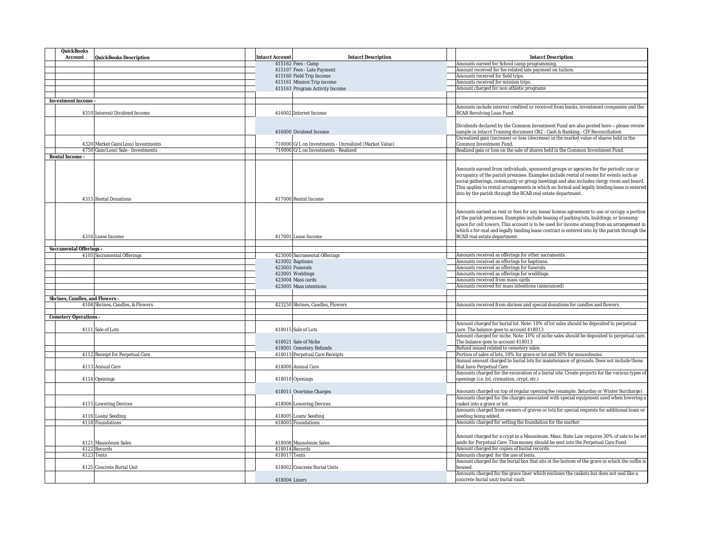| QuickBooks<br>Account<br>QuickBooks Description | <b>Intacct Account</b><br><b>Intacct Description</b>  | Intacct Description                                                                           |
|-------------------------------------------------|-------------------------------------------------------|-----------------------------------------------------------------------------------------------|
|                                                 | 415162 Fees - Camp                                    | Amounts earned for School camp programming.                                                   |
|                                                 | 415107 Fees - Late Payment                            | Amount received for fee related late payment on tuition.                                      |
|                                                 | 415160 Field Trip Income                              | Amounts received for field trips.                                                             |
|                                                 | 415161 Mission Trip income                            | Amounts received for mission trips.                                                           |
|                                                 | 415163 Program Activity Income                        | Amount charged for non athletic programs                                                      |
|                                                 |                                                       |                                                                                               |
| Investment income                               |                                                       |                                                                                               |
|                                                 |                                                       | Amounts include interest credited or received from banks, investment companies and the        |
| 4310 Interest/Dividend Income                   | 416002 Interest Income                                | RCAB Revolving Loan Fund.                                                                     |
|                                                 |                                                       |                                                                                               |
|                                                 |                                                       | Dividends declared by the Common Investment Fund are also posted here-please review           |
|                                                 | 416000 Dividend Income                                | sample in Intacct Training document CB2 - Cash & Banking - CIF Reconciliation                 |
|                                                 |                                                       |                                                                                               |
|                                                 |                                                       | Unrealized gain (increase) or loss (decrease) in the market value of shares held in the       |
| 4320 Market Gain(Loss) Investments              | 710000 G/L on Investments - Unrealized (Market Value) | Common Investment Fund.                                                                       |
| 4750 Gain(Loss) Sale - Investments              | 710006 G/L on Investments - Realized                  | Realized gain or loss on the sale of shares held in the Common Investment Fund.               |
| Rental Income -                                 |                                                       |                                                                                               |
|                                                 |                                                       |                                                                                               |
|                                                 |                                                       | Amounts earned from individuals, sponsored groups or agencies for the periodic use or         |
|                                                 |                                                       | occupancy of the parish premises. Examples include rental of rooms for events such as         |
|                                                 |                                                       | social gatherings, community or group meetings and also includes clergy room and board.       |
|                                                 |                                                       | This applies to rental arrangements in which no formal and legally binding lease is entered   |
|                                                 |                                                       | into by the parish through the RCAB real estate department.                                   |
| 4315 Rental Donations                           | 417000 Rental Income                                  |                                                                                               |
|                                                 |                                                       |                                                                                               |
|                                                 |                                                       | Amounts earned as rent or fees for any lease/license agreement to use or occupy a portion     |
|                                                 |                                                       | of the parish premises. Examples include leasing of parking lots, buildings, or licensing     |
|                                                 |                                                       | space for cell towers. This account is to be used for income arising from an arrangement in   |
|                                                 |                                                       |                                                                                               |
|                                                 |                                                       | which a for-mal and legally binding lease contract is entered into by the parish through the  |
| 4316 Lease Income                               | 417001 Lease Income                                   | RCAB real estate department.                                                                  |
|                                                 |                                                       |                                                                                               |
| Sacramental Offerings -                         |                                                       |                                                                                               |
| 4105 Sacramental Offerings                      | 423000 Sacramental Offerings                          | Amounts received as offerings for other sacraments.                                           |
|                                                 | 423002 Baptisms                                       | Amounts received as offerings for baptisms.                                                   |
|                                                 | 423003 Funerals                                       | Amounts received as offerings for funerals.                                                   |
|                                                 | 423001 Weddings                                       | Amounts received as offerings for weddings.                                                   |
|                                                 | 423004 Mass cards                                     | Amounts received from mass cards                                                              |
|                                                 | 423005 Mass intentions                                | Amounts received for mass intentions (announced)                                              |
|                                                 |                                                       |                                                                                               |
| Shrines, Candles, and Flowers -                 |                                                       |                                                                                               |
| 4104 Shrines, Candles, & Flowers                | 423250 Shrines, Candles, Flowers                      | Amounts received from shrines and special donations for candles and flowers.                  |
|                                                 |                                                       |                                                                                               |
|                                                 |                                                       |                                                                                               |
| Cemetery Operations -                           |                                                       |                                                                                               |
|                                                 |                                                       | Amount charged for burial lot. Note: 10% of lot sales should be deposited to perpetual        |
| 4111 Sale of Lots                               | 418015 Sale of Lots                                   | care. The balance goes to account 418013                                                      |
|                                                 |                                                       | Amount charged for niche. Note: 10% of niche sales should be deposited to perpetual care.     |
|                                                 | 418021 Sale of Niche                                  | The balance goes to account 418013                                                            |
|                                                 | 418001 Cemetery Refunds                               | Refund issued related to cemetery sales.                                                      |
| 4112 Receipt for Perpetual Care                 | 418013 Perpetual Care Receipts                        | Portion of sales of lots, 10% for grave or lot and 30% for mausoleums.                        |
|                                                 |                                                       | Annual amount charged to burial lots for maintenance of grounds. Does not include those       |
| 4113 Annual Care                                | 418000 Annual Care                                    | that have Perpetual Care                                                                      |
|                                                 |                                                       | Amounts charged for the excavation of a burial site. Create projects for the various types of |
| 4114 Openings                                   | 418010 Openings                                       | openings (i.e. lot, cremation, crypt, etc.)                                                   |
|                                                 |                                                       |                                                                                               |
|                                                 | 418011 Overtime Charges                               | Amounts charged on top of regular opening fee (example: Saturday or Winter Surcharge).        |
|                                                 |                                                       | Amounts charged for the charges associated with special equipment used when lowering a        |
|                                                 |                                                       |                                                                                               |
| 4115 Lowering Devices                           | 418006 Lowering Devices                               | casket into a grave or lot.                                                                   |
|                                                 |                                                       | Amounts charged from owners of graves or lots for special requests for additional loam or     |
| 4116 Loam/Seeding                               | 418005 Loam/Seeding                                   | seeding being added.                                                                          |
| 4118 Foundations                                | 418003 Foundations                                    | Amounts charged for setting the foundation for the marker.                                    |
|                                                 |                                                       |                                                                                               |
|                                                 |                                                       | Amount charged for a crypt in a Mausoleum. Mass. State Law requires 30% of sale to be set     |
|                                                 |                                                       |                                                                                               |
| 4121 Mausoleum Sales                            | 418008 Mausoleum Sales                                | aside for Perpetual Care. This money should be sent into the Perpetual Care Fund.             |
| 4122 Records                                    | 418014 Records                                        | Amount charged for copies of burial records.                                                  |
|                                                 | 418017 Tents                                          | Amounts charged for the use of tents.                                                         |
| 4123 Tents                                      |                                                       |                                                                                               |
|                                                 |                                                       | Amount charged for the burial box that sits at the bottom of the grave in which the coffin is |
| 4125 Concrete Burial Unit                       | 418002 Concrete Burial Units                          | housed                                                                                        |
|                                                 |                                                       | Amounts charged for the grave liner which encloses the caskets but does not seal like a       |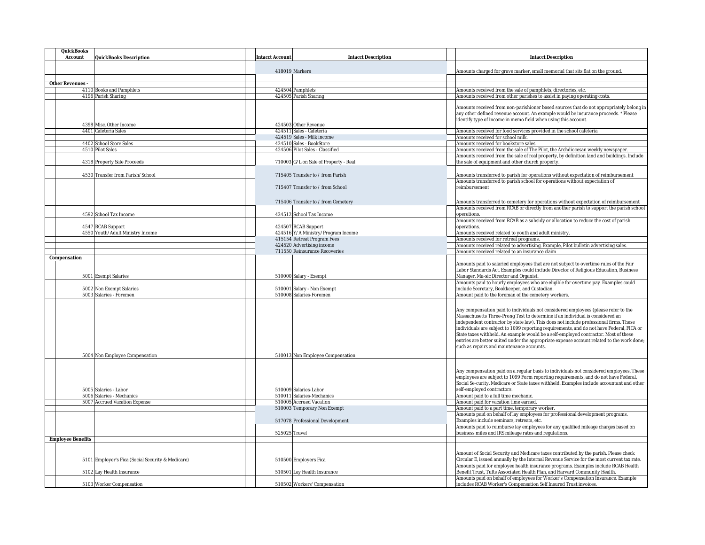| QuickBooks                                          |                                                       |                                                                                                                                                                                 |
|-----------------------------------------------------|-------------------------------------------------------|---------------------------------------------------------------------------------------------------------------------------------------------------------------------------------|
| Account<br>QuickBooks Description                   | Intacct Account<br><b>Intacct Description</b>         | Intacct Description                                                                                                                                                             |
|                                                     |                                                       |                                                                                                                                                                                 |
|                                                     | 418019 Markers                                        | Amounts charged for grave marker, small memorial that sits flat on the ground.                                                                                                  |
|                                                     |                                                       |                                                                                                                                                                                 |
| Other Revenues -<br>4110 Books and Pamphlets        |                                                       | Amounts received from the sale of pamphlets, directories, etc.                                                                                                                  |
| 4196 Parish Sharing                                 | 424504 Pamphlets<br>424505 Parish Sharing             | Amounts received from other parishes to assist in paying operating costs.                                                                                                       |
|                                                     |                                                       |                                                                                                                                                                                 |
|                                                     |                                                       | Amounts received from non-parishioner based sources that do not appropriately belong in                                                                                         |
|                                                     |                                                       | any other defined revenue account. An example would be insurance proceeds. * Please                                                                                             |
|                                                     |                                                       | identify type of income in memo field when using this account.                                                                                                                  |
| 4398 Misc. Other Income                             | 424503 Other Revenue                                  |                                                                                                                                                                                 |
| 4401 Cafeteria Sales                                | 424511 Sales - Cafeteria                              | Amounts received for food services provided in the school cafeteria                                                                                                             |
|                                                     | 424519 Sales - Milk income                            | Amounts received for school milk.                                                                                                                                               |
| 4402 School Store Sales                             | 424510 Sales - BookStore                              | Amounts received for bookstore sales.                                                                                                                                           |
| 4510 Pilot Sales                                    | 424506 Pilot Sales - Classified                       | Amounts received from the sale of The Pilot, the Archdiocesan weekly newspaper.<br>Amounts received from the sale of real property, by definition land and buildings. Include   |
| 4318 Property Sale Proceeds                         | 710003 G/L on Sale of Property - Real                 | the sale of equipment and other church property.                                                                                                                                |
|                                                     |                                                       |                                                                                                                                                                                 |
| 4530 Transfer from Parish/School                    | 715405 Transfer to / from Parish                      | Amounts transferred to parish for operations without expectation of reimbursement                                                                                               |
|                                                     |                                                       | Amounts transferred to parish school for operations without expectation of                                                                                                      |
|                                                     | 715407 Transfer to / from School                      | reimbursement                                                                                                                                                                   |
|                                                     |                                                       |                                                                                                                                                                                 |
|                                                     | 715406 Transfer to / from Cemetery                    | Amounts transferred to cemetery for operations without expectation of reimbursement                                                                                             |
|                                                     |                                                       | Amounts received from RCAB or directly from another parish to support the parish school                                                                                         |
| 4592 School Tax Income                              | 424512 School Tax Income                              | operations.                                                                                                                                                                     |
|                                                     |                                                       | Amounts received from RCAB as a subsidy or allocation to reduce the cost of parish                                                                                              |
| 4547 RCAB Support                                   | 424507 RCAB Support                                   | operations.                                                                                                                                                                     |
| 4550 Youth/Adult Ministry Income                    | 424516 Y/A Ministry/Program Income                    | Amounts received related to youth and adult ministry.                                                                                                                           |
|                                                     | 415154 Retreat Program Fees                           | Amounts received for retreat programs.                                                                                                                                          |
|                                                     | 424520 Advertising income                             | Amounts received related to advertising. Example, Pilot bulletin advertising sales.                                                                                             |
|                                                     | 711550 Reinsurance Recoveries                         | Amounts received related to an insurance claim                                                                                                                                  |
| Compensation                                        |                                                       |                                                                                                                                                                                 |
|                                                     |                                                       | Amounts paid to salaried employees that are not subject to overtime rules of the Fair                                                                                           |
|                                                     |                                                       | Labor Standards Act. Examples could include Director of Religious Education, Business                                                                                           |
| 5001 Exempt Salaries                                | 510000 Salary - Exempt                                | Manager, Mu-sic Director and Organist.                                                                                                                                          |
|                                                     |                                                       | Amounts paid to hourly employees who are eligible for overtime pay. Examples could                                                                                              |
| 5002 Non Exempt Salaries<br>5003 Salaries - Foremen | 510001 Salary - Non Exempt<br>510008 Salaries-Foremen | include Secretary, Bookkeeper, and Custodian.                                                                                                                                   |
|                                                     |                                                       | Amount paid to the foreman of the cemetery workers.                                                                                                                             |
|                                                     |                                                       |                                                                                                                                                                                 |
|                                                     |                                                       | Any compensation paid to individuals not considered employees (please refer to the                                                                                              |
|                                                     |                                                       | Massachusetts Three-Prong Test to determine if an individual is considered an                                                                                                   |
|                                                     |                                                       | independent contractor by state law). This does not include professional firms. These                                                                                           |
|                                                     |                                                       | individuals are subject to 1099 reporting requirements, and do not have Federal, FICA or<br>State taxes withheld. An example would be a self-employed contractor. Most of these |
|                                                     |                                                       | entries are better suited under the appropriate expense account related to the work done;                                                                                       |
|                                                     |                                                       | such as repairs and maintenance accounts.                                                                                                                                       |
|                                                     |                                                       |                                                                                                                                                                                 |
| 5004 Non Employee Compensation                      | 510013 Non Employee Compensation                      |                                                                                                                                                                                 |
|                                                     |                                                       |                                                                                                                                                                                 |
|                                                     |                                                       | Any compensation paid on a regular basis to individuals not considered employees. These                                                                                         |
|                                                     |                                                       | employees are subject to 1099 Form reporting requirements, and do not have Federal,                                                                                             |
|                                                     |                                                       | Social Se-curity, Medicare or State taxes withheld. Examples include accountant and other                                                                                       |
| 5005 Salaries - Labor                               | 510009 Salaries-Labor                                 | self-employed contractors.                                                                                                                                                      |
| 5006 Salaries - Mechanics                           | 510011 Salaries-Mechanics                             | Amount paid to a full time mechanic.                                                                                                                                            |
| 5007 Accrued Vacation Expense                       | 510005 Accrued Vacation                               | Amount paid for vacation time earned.                                                                                                                                           |
|                                                     | 510003 Temporary Non Exempt                           | Amount paid to a part time, temporary worker.                                                                                                                                   |
|                                                     |                                                       | Amounts paid on behalf of lay employees for professional development programs.                                                                                                  |
|                                                     | 517078 Professional Development                       | Examples include seminars, retreats, etc.<br>Amounts paid to reimburse lay employees for any qualified mileage charges based on                                                 |
|                                                     | 525025 Travel                                         | business miles and IRS mileage rates and regulations.                                                                                                                           |
| <b>Employee Benefits</b>                            |                                                       |                                                                                                                                                                                 |
|                                                     |                                                       |                                                                                                                                                                                 |
|                                                     |                                                       | Amount of Social Security and Medicare taxes contributed by the parish. Please check                                                                                            |
|                                                     |                                                       | Circular E, issued annually by the Internal Revenue Service for the most current tax rate.                                                                                      |
| 5101 Employer's Fica (Social Security & Medicare)   | 510500 Employers Fica                                 | Amounts paid for employee health insurance programs. Examples include RCAB Health                                                                                               |
| 5102 Lay Health Insurance                           | 510501 Lay Health Insurance                           | Benefit Trust, Tufts Associated Health Plan, and Harvard Community Health.                                                                                                      |
|                                                     |                                                       | Amounts paid on behalf of employees for Worker's Compensation Insurance. Example                                                                                                |
| 5103 Worker Compensation                            | 510502 Workers' Compensation                          | includes RCAB Worker's Compensation Self Insured Trust invoices.                                                                                                                |
|                                                     |                                                       |                                                                                                                                                                                 |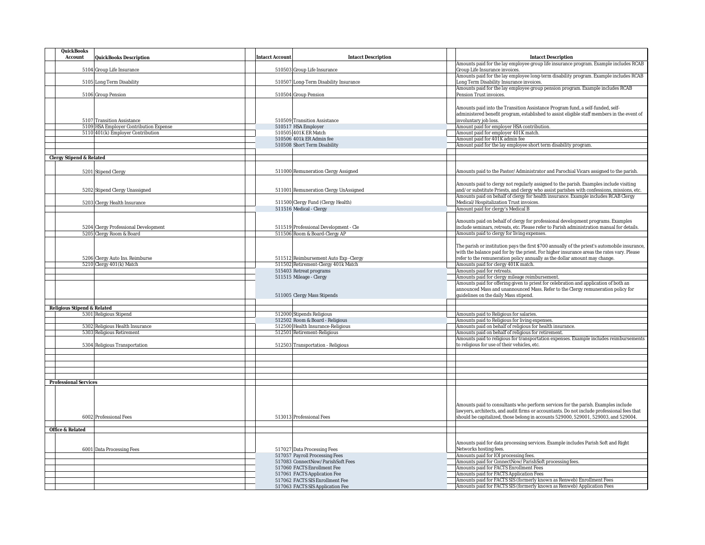| QuickBooks<br>Account       | QuickBooks Description                                               | <b>Intacct Account</b> | Intacct Description                                            | <b>Intacct Description</b>                                                                                                        |
|-----------------------------|----------------------------------------------------------------------|------------------------|----------------------------------------------------------------|-----------------------------------------------------------------------------------------------------------------------------------|
|                             |                                                                      |                        |                                                                | Amounts paid for the lay employee group life insurance program. Example includes RCAB                                             |
|                             | 5104 Group Life Insurance                                            |                        | 510503 Group Life Insurance                                    | Group Life Insurance invoices.                                                                                                    |
|                             | 5105 Long Term Disability                                            |                        | 510507 Long-Term Disability Insurance                          | Amounts paid for the lay employee long-term disability program. Example includes RCAB<br>Long Term Disability Insurance invoices. |
|                             | 5106 Group Pension                                                   |                        | 510504 Group Pension                                           | Amounts paid for the lay employee group pension program. Example includes RCAB<br>Pension Trust invoices.                         |
|                             |                                                                      |                        |                                                                |                                                                                                                                   |
|                             |                                                                      |                        |                                                                | Amounts paid into the Transition Assistance Program fund, a self-funded, self-                                                    |
|                             |                                                                      |                        |                                                                | administered benefit program, established to assist eligible staff members in the event of                                        |
|                             | 5107 Transition Assistance<br>5109 HSA Employer Contribution Expense |                        | 510509 Transition Assistance<br>510517 HSA Employer            | involuntary job loss.<br>Amount paid for employer HSA contribution.                                                               |
|                             | 5110 401(k) Employer Contribution                                    |                        | 510505 401K ER Match                                           | Amount paid for employer 401K match.                                                                                              |
|                             |                                                                      |                        | 510506 401k ER Admin fee                                       | Amount paid for 401K admin fee                                                                                                    |
|                             |                                                                      |                        | 510508 Short Term Disability                                   | Amount paid for the lay employee short term disability program                                                                    |
|                             |                                                                      |                        |                                                                |                                                                                                                                   |
| Clergy Stipend & Related    |                                                                      |                        |                                                                |                                                                                                                                   |
|                             |                                                                      |                        |                                                                |                                                                                                                                   |
|                             | 5201 Stipend Clergy                                                  |                        | 511000 Remuneration Clergy Assigned                            | Amounts paid to the Pastor/Administrator and Parochial Vicars assigned to the parish.                                             |
|                             |                                                                      |                        |                                                                | Amounts paid to clergy not regularly assigned to the parish. Examples include visiting                                            |
|                             | 5202 Stipend Clergy Unassigned                                       |                        | 511001 Remuneration Clergy UnAssigned                          | and/or substitute Priests, and clergy who assist parishes with confessions, missions, etc.                                        |
|                             |                                                                      |                        |                                                                | Amounts paid on behalf of clergy for health insurance. Example includes RCAB Clergy                                               |
|                             | 5203 Clergy Health Insurance                                         |                        | 511500 Clergy Fund (Clergy Health)                             | Medical/Hospitalization Trust invoices.                                                                                           |
|                             |                                                                      |                        | 511516 Medical - Clergy                                        | Amount paid for clergy's Medical B                                                                                                |
|                             |                                                                      |                        |                                                                | Amounts paid on behalf of clergy for professional development programs. Examples                                                  |
|                             | 5204 Clergy Professional Development                                 |                        | 511519 Professional Development - Cle                          | include seminars, retreats, etc. Please refer to Parish administration manual for details.                                        |
|                             | 5205 Clergy Room & Board                                             |                        | 511506 Room & Board-Clergy AP                                  | Amounts paid to clergy for living expenses.                                                                                       |
|                             |                                                                      |                        |                                                                |                                                                                                                                   |
|                             |                                                                      |                        |                                                                | The parish or institution pays the first \$700 annually of the priest's automobile insurance,                                     |
|                             |                                                                      |                        |                                                                | with the balance paid for by the priest. For higher insurance areas the rates vary. Please                                        |
|                             | 5206 Clergy Auto Ins. Reimburse                                      |                        | 511512 Reimbursement Auto Exp - Clergy                         | refer to the remuneration policy annually as the dollar amount may change.                                                        |
|                             | 5210 Clergy 401(k) Match                                             |                        | 511502 Retirement-Clergy 401k Match<br>515403 Retreat programs | Amounts paid for clergy 401K match.<br>Amounts paid for retreats.                                                                 |
|                             |                                                                      |                        | 511515 Mileage - Clergy                                        | Amounts paid for clergy mileage reimbursement.                                                                                    |
|                             |                                                                      |                        |                                                                | Amounts paid for offering given to priest for celebration and application of both an                                              |
|                             |                                                                      |                        |                                                                | announced Mass and unannounced Mass. Refer to the Clergy remuneration policy for                                                  |
|                             |                                                                      |                        | 511005 Clergy Mass Stipends                                    | guidelines on the daily Mass stipend.                                                                                             |
|                             |                                                                      |                        |                                                                |                                                                                                                                   |
| Religious Stipend & Related | 5301 Religious Stipend                                               |                        | 512000 Stipends Religious                                      | Amounts paid to Religious for salaries.                                                                                           |
|                             |                                                                      |                        | 512502 Room & Board - Religious                                | Amounts paid to Religious for living expenses.                                                                                    |
|                             | 5302 Religious Health Insurance                                      |                        | 512500 Health Insurance-Religious                              | Amounts paid on behalf of religious for health insurance.                                                                         |
|                             | 5303 Religious Retirement                                            |                        | 512501 Retirement-Religious                                    | Amounts paid on behalf of religious for retirement.                                                                               |
|                             |                                                                      |                        |                                                                | Amounts paid to religious for transportation expenses. Example includes reimbursements                                            |
|                             | 5304 Religious Transportation                                        |                        | 512503 Transportation - Religious                              | to religious for use of their vehicles, etc.                                                                                      |
|                             |                                                                      |                        |                                                                |                                                                                                                                   |
|                             |                                                                      |                        |                                                                |                                                                                                                                   |
|                             |                                                                      |                        |                                                                |                                                                                                                                   |
|                             |                                                                      |                        |                                                                |                                                                                                                                   |
| Professional Services       |                                                                      |                        |                                                                |                                                                                                                                   |
|                             |                                                                      |                        |                                                                |                                                                                                                                   |
|                             |                                                                      |                        |                                                                |                                                                                                                                   |
|                             |                                                                      |                        |                                                                | Amounts paid to consultants who perform services for the parish. Examples include                                                 |
|                             |                                                                      |                        |                                                                | lawyers, architects, and audit firms or accountants. Do not include professional fees that                                        |
|                             | 6002 Professional Fees                                               |                        | 513013 Professional Fees                                       | should be capitalized, those belong in accounts 529000, 529001, 529003, and 529004.                                               |
|                             |                                                                      |                        |                                                                |                                                                                                                                   |
| Office & Related            |                                                                      |                        |                                                                |                                                                                                                                   |
|                             |                                                                      |                        |                                                                |                                                                                                                                   |
|                             | 6001 Data Processing Fees                                            |                        | 517027 Data Processing Fees                                    | Amounts paid for data processing services. Example includes Parish Soft and Right<br>Networks hosting fees.                       |
|                             |                                                                      |                        | 517057 Payroll Processing Fees                                 | Amounts paid for IOI processing fees.                                                                                             |
|                             |                                                                      |                        | 517083 ConnectNow/ParishSoft Fees                              | Amounts paid for ConnectNow/ParishSoft processing fees.                                                                           |
|                             |                                                                      |                        | 517060 FACTS Enrollment Fee                                    | Amounts paid for FACTS Enrollment Fees                                                                                            |
|                             |                                                                      |                        | 517061 FACTS Application Fee                                   | Amounts paid for FACTS Application Fees                                                                                           |
|                             |                                                                      |                        | 517062 FACTS SIS Enrollment Fee                                | Amounts paid for FACTS SIS (formerly known as Renweb) Enrollment Fees                                                             |
|                             |                                                                      |                        | 517063 FACTS SIS Application Fee                               | Amounts paid for FACTS SIS (formerly known as Renweb) Application Fees                                                            |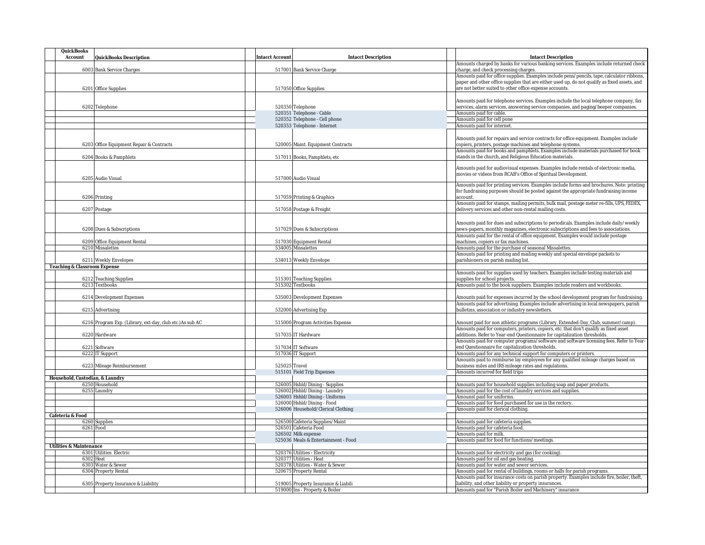| QuickBooks                      |                                                           |                        |                                               |                                                                                                                                                                                            |
|---------------------------------|-----------------------------------------------------------|------------------------|-----------------------------------------------|--------------------------------------------------------------------------------------------------------------------------------------------------------------------------------------------|
| Account                         | QuickBooks Description                                    | <b>Intacct Account</b> | <b>Intacct Description</b>                    | Intacct Description                                                                                                                                                                        |
|                                 |                                                           |                        |                                               | Amounts charged by banks for various banking services. Examples include returned check                                                                                                     |
|                                 | 6003 Bank Service Charges                                 |                        | 517001 Bank Service Charge                    | charge, and check processing charges.                                                                                                                                                      |
|                                 |                                                           |                        |                                               | Amounts paid for office supplies. Examples include pens/pencils, tape, calculator ribbons,<br>paper and other office supplies that are either used up, do not qualify as fixed assets, and |
|                                 | 6201 Office Supplies                                      |                        | 517050 Office Supplies                        | are not better suited to other office expense accounts.                                                                                                                                    |
|                                 |                                                           |                        |                                               |                                                                                                                                                                                            |
|                                 |                                                           |                        |                                               | Amounts paid for telephone services. Examples include the local telephone company, fax                                                                                                     |
|                                 | 6202 Telephone                                            |                        | 520350 Telephone                              | services, alarm services, answering service companies, and paging/beeper companies.                                                                                                        |
|                                 |                                                           |                        | 520351 Telephone - Cable                      | Amounts paid for cable.                                                                                                                                                                    |
|                                 |                                                           |                        | 520352 Telephone - Cell phone                 | Amounts paid for cell pone                                                                                                                                                                 |
|                                 |                                                           |                        | 520353 Telephone - Internet                   | Amounts paid for internet.                                                                                                                                                                 |
|                                 |                                                           |                        |                                               |                                                                                                                                                                                            |
|                                 |                                                           |                        |                                               | Amounts paid for repairs and service contracts for office equipment. Examples include                                                                                                      |
|                                 | 6203 Office Equipment Repair & Contracts                  |                        | 520005 Maint. Equipment Contracts             | copiers, printers, postage machines and telephone systems.                                                                                                                                 |
|                                 |                                                           |                        |                                               | Amounts paid for books and pamphlets. Examples include materials purchased for book                                                                                                        |
|                                 | 6204 Books & Pamphlets                                    |                        | 517011 Books, Pamphlets, etc.                 | stands in the church, and Religious Education materials.                                                                                                                                   |
|                                 |                                                           |                        |                                               | Amounts paid for audiovisual expenses. Examples include rentals of electronic media,                                                                                                       |
|                                 |                                                           |                        |                                               | movies or videos from RCAB's Office of Spiritual Development.                                                                                                                              |
|                                 | 6205 Audio Visual                                         |                        | 517000 Audio Visual                           |                                                                                                                                                                                            |
|                                 |                                                           |                        |                                               | Amounts paid for printing services. Examples include forms and brochures. Note: printing                                                                                                   |
|                                 |                                                           |                        |                                               | for fundraising purposes should be posted against the appropriate fundraising income                                                                                                       |
|                                 | 6206 Printing                                             |                        | 517059 Printing & Graphics                    | account.                                                                                                                                                                                   |
|                                 |                                                           |                        |                                               | Amounts paid for stamps, mailing permits, bulk mail, postage meter re-fills, UPS, FEDEX,                                                                                                   |
|                                 | 6207 Postage                                              |                        | 517058 Postage & Freight                      | delivery services and other non-rental mailing costs.                                                                                                                                      |
|                                 |                                                           |                        |                                               |                                                                                                                                                                                            |
|                                 |                                                           |                        |                                               | Amounts paid for dues and subscriptions to periodicals. Examples include daily/weekly                                                                                                      |
|                                 | 6208 Dues & Subscriptions                                 |                        | 517029 Dues & Subscriptions                   | news-papers, monthly magazines, electronic subscriptions and fees to associations                                                                                                          |
|                                 |                                                           |                        |                                               | Amounts paid for the rental of office equipment. Examples would include postage                                                                                                            |
|                                 | 6209 Office Equipment Rental<br>6210 Missalettes          |                        | 517030 Equipment Rental<br>534005 Missalettes | machines, copiers or fax machines.<br>Amounts paid for the purchase of seasonal Missalettes.                                                                                               |
|                                 |                                                           |                        |                                               | Amounts paid for printing and mailing weekly and special envelope packets to                                                                                                               |
|                                 | 6211 Weekly Envelopes                                     |                        | 534013 Weekly Envelope                        | parishioners on parish mailing list.                                                                                                                                                       |
| Teaching & Classroom Expense    |                                                           |                        |                                               |                                                                                                                                                                                            |
|                                 |                                                           |                        |                                               | Amounts paid for supplies used by teachers. Examples include testing materials and                                                                                                         |
|                                 | 6212 Teaching Supplies                                    |                        | 515301 Teaching Supplies                      | supplies for school projects.                                                                                                                                                              |
|                                 | 6213 Textbooks                                            |                        | 515302 Textbooks                              | Amounts paid to the book suppliers. Examples include readers and workbooks.                                                                                                                |
|                                 |                                                           |                        |                                               |                                                                                                                                                                                            |
|                                 | 6214 Development Expenses                                 |                        | 535003 Development Expenses                   | Amounts paid for expenses incurred by the school development program for fundraising.                                                                                                      |
|                                 |                                                           |                        |                                               | Amounts paid for advertising. Examples include advertising in local newspapers, parish                                                                                                     |
|                                 | 6215 Advertising                                          |                        | 532000 Advertising Exp                        | bulletins, association or industry newsletters.                                                                                                                                            |
|                                 |                                                           |                        |                                               |                                                                                                                                                                                            |
|                                 | 6216 Program Exp. (Library, ext-day, club etc.) As sub AC |                        | 515000 Program Activities Expense             | Amount paid for non athletic programs (Library, Extended-Day, Club, summer/camp).                                                                                                          |
|                                 |                                                           |                        |                                               | Amounts paid for computers, printers, copiers, etc. that don't qualify as fixed asset                                                                                                      |
|                                 | 6220 Hardware                                             |                        | 517035 IT Hardware                            | additions. Refer to Year-end Questionnaire for capitalization thresholds.                                                                                                                  |
|                                 | 6221 Software                                             |                        | 517034 IT Software                            | Amounts paid for computer programs/software and software licensing fees. Refer to Year-<br>end Questionnaire for capitalization thresholds.                                                |
|                                 | 6222 IT Support                                           |                        | 517036 IT Support                             | Amounts paid for any technical support for computers or printers.                                                                                                                          |
|                                 |                                                           |                        |                                               | Amounts paid to reimburse lay employees for any qualified mileage charges based on                                                                                                         |
|                                 | 6223 Mileage Reimbursement                                | 525025 Travel          |                                               | business miles and IRS mileage rates and regulations.                                                                                                                                      |
|                                 |                                                           |                        | 515101 Field Trip Expenses                    | Amounts incurred for field trips                                                                                                                                                           |
| Household, Custodian, & Laundry |                                                           |                        |                                               |                                                                                                                                                                                            |
|                                 | 6250 Household                                            |                        | 526005 Hshld/Dining - Supplies                | Amounts paid for household supplies including soap and paper products.                                                                                                                     |
|                                 | 6255 Laundry                                              |                        | 526002 Hshld/Dining - Laundry                 | Amounts paid for the cost of laundry services and supplies.                                                                                                                                |
|                                 |                                                           |                        | 526003 Hshld/Dining - Uniforms                | Amounst paid for uniforms.                                                                                                                                                                 |
|                                 |                                                           |                        | 526000 Hshld/Dining - Food                    | Amounts paid for food purchased for use in the rectory.                                                                                                                                    |
|                                 |                                                           |                        | 526006 Household/Clerical Clothing            | Amounts paid for clerical clothing.                                                                                                                                                        |
| Cafeteria & Food                |                                                           |                        |                                               |                                                                                                                                                                                            |
|                                 | 6260 Supplies<br>6261 Food                                |                        | 526500 Cafeteria Supplies/Maint               | Amounts paid for cafeteria supplies.                                                                                                                                                       |
|                                 |                                                           |                        | 526501 Cafeteria Food<br>526502 Milk expense  | Amounts paid for cafeteria food.<br>Amounts paid for milk.                                                                                                                                 |
|                                 |                                                           |                        | 525036 Meals & Entertainment - Food           | Amounts paid for food for functions/meetings                                                                                                                                               |
| Utilities & Maintenance         |                                                           |                        |                                               |                                                                                                                                                                                            |
|                                 | 6301 Utilities Electric                                   |                        | 520376 Utilities - Electricity                | Amounts paid for electricity and gas (for cooking).                                                                                                                                        |
|                                 | 6302 Heat                                                 |                        | 520377 Utilities - Heat                       | Amounts paid for oil and gas heating.                                                                                                                                                      |
|                                 | 6303 Water & Sewer                                        |                        | 520378 Utilities - Water & Sewer              | Amounts paid for water and sewer services.                                                                                                                                                 |
|                                 | 6304 Property Rental                                      |                        | 520675 Property Rental                        | Amounts paid for rental of buildings, rooms or halls for parish programs.                                                                                                                  |
|                                 |                                                           |                        |                                               | Amounts paid for insurance costs on parish property. Examples include fire, boiler, theft,                                                                                                 |
|                                 | 6305 Property Insurance & Liability                       |                        | 519005 Property Insurance & Liabili           | liability, and other liability or property insurances.                                                                                                                                     |
|                                 |                                                           |                        | 519000 Ins - Property & Boiler                | Amounts paid for "Parish Boiler and Machinery" insurance                                                                                                                                   |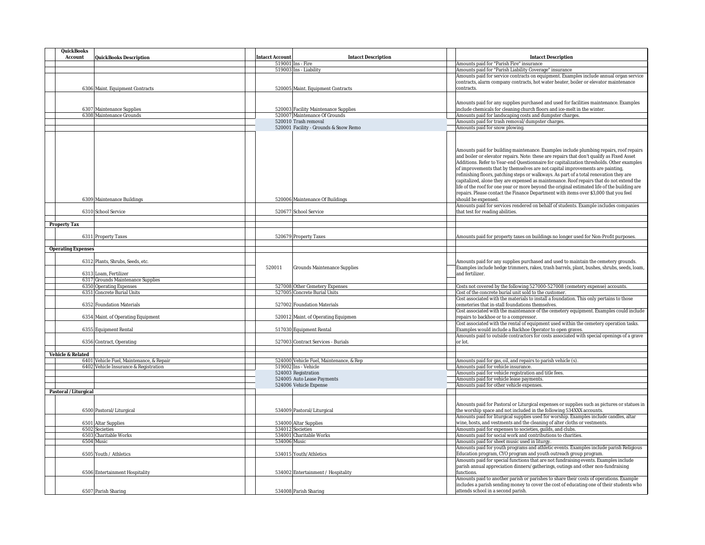| QuickBooks                |                                                                          |                        |                                                                                   |                                                                                                                                                                                                                                                                                                                                                                                                                                                                                                                                                                                                                                                                                                                                                                                                                                                                                                                                                                                          |
|---------------------------|--------------------------------------------------------------------------|------------------------|-----------------------------------------------------------------------------------|------------------------------------------------------------------------------------------------------------------------------------------------------------------------------------------------------------------------------------------------------------------------------------------------------------------------------------------------------------------------------------------------------------------------------------------------------------------------------------------------------------------------------------------------------------------------------------------------------------------------------------------------------------------------------------------------------------------------------------------------------------------------------------------------------------------------------------------------------------------------------------------------------------------------------------------------------------------------------------------|
| Account                   | QuickBooks Description                                                   | <b>Intacct Account</b> | <b>Intacct Description</b>                                                        | <b>Intacct Description</b>                                                                                                                                                                                                                                                                                                                                                                                                                                                                                                                                                                                                                                                                                                                                                                                                                                                                                                                                                               |
|                           |                                                                          |                        | 519001 Ins - Fire                                                                 | Amounts paid for "Parish Fire" insurance                                                                                                                                                                                                                                                                                                                                                                                                                                                                                                                                                                                                                                                                                                                                                                                                                                                                                                                                                 |
|                           |                                                                          |                        | 519003 Ins - Liability                                                            | Amounts paid for "Parish Liability Coverage" insurance                                                                                                                                                                                                                                                                                                                                                                                                                                                                                                                                                                                                                                                                                                                                                                                                                                                                                                                                   |
|                           |                                                                          |                        |                                                                                   | Amounts paid for service contracts on equipment. Examples include annual organ service                                                                                                                                                                                                                                                                                                                                                                                                                                                                                                                                                                                                                                                                                                                                                                                                                                                                                                   |
|                           |                                                                          |                        |                                                                                   | contracts, alarm company contracts, hot water heater, boiler or elevator maintenance                                                                                                                                                                                                                                                                                                                                                                                                                                                                                                                                                                                                                                                                                                                                                                                                                                                                                                     |
|                           | 6306 Maint. Equipment Contracts                                          |                        | 520005 Maint. Equipment Contracts                                                 | contracts.                                                                                                                                                                                                                                                                                                                                                                                                                                                                                                                                                                                                                                                                                                                                                                                                                                                                                                                                                                               |
|                           |                                                                          |                        |                                                                                   |                                                                                                                                                                                                                                                                                                                                                                                                                                                                                                                                                                                                                                                                                                                                                                                                                                                                                                                                                                                          |
|                           |                                                                          |                        |                                                                                   |                                                                                                                                                                                                                                                                                                                                                                                                                                                                                                                                                                                                                                                                                                                                                                                                                                                                                                                                                                                          |
|                           |                                                                          |                        |                                                                                   | Amounts paid for any supplies purchased and used for facilities maintenance. Examples                                                                                                                                                                                                                                                                                                                                                                                                                                                                                                                                                                                                                                                                                                                                                                                                                                                                                                    |
|                           | 6307 Maintenance Supplies                                                |                        | 520003 Facility Maintenance Supplies                                              | include chemicals for cleaning church floors and ice-melt in the winter.                                                                                                                                                                                                                                                                                                                                                                                                                                                                                                                                                                                                                                                                                                                                                                                                                                                                                                                 |
|                           | 6308 Maintenance Grounds                                                 |                        | 520007 Maintenance Of Grounds                                                     | Amounts paid for landscaping costs and dumpster charges.                                                                                                                                                                                                                                                                                                                                                                                                                                                                                                                                                                                                                                                                                                                                                                                                                                                                                                                                 |
|                           |                                                                          |                        | 520010 Trash removal                                                              | Amounts paid for trash removal/dumpster charges.                                                                                                                                                                                                                                                                                                                                                                                                                                                                                                                                                                                                                                                                                                                                                                                                                                                                                                                                         |
|                           |                                                                          |                        | 520001 Facility - Grounds & Snow Remo                                             | Amounts paid for snow plowing.                                                                                                                                                                                                                                                                                                                                                                                                                                                                                                                                                                                                                                                                                                                                                                                                                                                                                                                                                           |
|                           |                                                                          |                        |                                                                                   |                                                                                                                                                                                                                                                                                                                                                                                                                                                                                                                                                                                                                                                                                                                                                                                                                                                                                                                                                                                          |
| Property Tax              | 6309 Maintenance Buildings<br>6310 School Service<br>6311 Property Taxes |                        | 520006 Maintenance Of Buildings<br>520677 School Service<br>520679 Property Taxes | Amounts paid for building maintenance. Examples include plumbing repairs, roof repairs<br>and boiler or elevator repairs. Note: these are repairs that don't qualify as Fixed Asset<br>Additions. Refer to Year-end Questionnaire for capitalization thresholds. Other examples<br>of improvements that by themselves are not capital improvements are painting,<br>refinishing floors, patching steps or walkways. As part of a total renovation they are<br>capitalized, alone they are expensed as maintenance. Roof repairs that do not extend the<br>life of the roof for one year or more beyond the original estimated life of the building are<br>repairs. Please contact the Finance Department with items over \$3,000 that you feel<br>should be expensed.<br>Amounts paid for services rendered on behalf of students. Example includes companies<br>that test for reading abilities.<br>Amounts paid for property taxes on buildings no longer used for Non-Profit purposes |
|                           |                                                                          |                        |                                                                                   |                                                                                                                                                                                                                                                                                                                                                                                                                                                                                                                                                                                                                                                                                                                                                                                                                                                                                                                                                                                          |
| <b>Operating Expenses</b> |                                                                          |                        |                                                                                   |                                                                                                                                                                                                                                                                                                                                                                                                                                                                                                                                                                                                                                                                                                                                                                                                                                                                                                                                                                                          |
|                           |                                                                          |                        |                                                                                   |                                                                                                                                                                                                                                                                                                                                                                                                                                                                                                                                                                                                                                                                                                                                                                                                                                                                                                                                                                                          |
|                           | 6312 Plants, Shrubs, Seeds, etc.                                         |                        |                                                                                   | Amounts paid for any supplies purchased and used to maintain the cemetery grounds.                                                                                                                                                                                                                                                                                                                                                                                                                                                                                                                                                                                                                                                                                                                                                                                                                                                                                                       |
|                           |                                                                          | 520011                 | Grounds Maintenance Supplies                                                      | Examples include hedge trimmers, rakes, trash barrels, plant, bushes, shrubs, seeds, loam,                                                                                                                                                                                                                                                                                                                                                                                                                                                                                                                                                                                                                                                                                                                                                                                                                                                                                               |
|                           | 6313 Loam, Fertilizer                                                    |                        |                                                                                   | and fertilizer.                                                                                                                                                                                                                                                                                                                                                                                                                                                                                                                                                                                                                                                                                                                                                                                                                                                                                                                                                                          |
|                           | 6317 Grounds Maintenance Supplies                                        |                        |                                                                                   |                                                                                                                                                                                                                                                                                                                                                                                                                                                                                                                                                                                                                                                                                                                                                                                                                                                                                                                                                                                          |
|                           | 6350 Operating Expenses                                                  |                        | 527008 Other Cemetery Expenses                                                    | Costs not covered by the following 527000-527008 (cemetery expense) accounts.                                                                                                                                                                                                                                                                                                                                                                                                                                                                                                                                                                                                                                                                                                                                                                                                                                                                                                            |
|                           | 6351 Concrete Burial Units                                               |                        | 527005 Concrete Burial Units                                                      | Cost of the concrete burial unit sold to the customer.                                                                                                                                                                                                                                                                                                                                                                                                                                                                                                                                                                                                                                                                                                                                                                                                                                                                                                                                   |
|                           |                                                                          |                        |                                                                                   | Cost associated with the materials to install a foundation. This only pertains to those                                                                                                                                                                                                                                                                                                                                                                                                                                                                                                                                                                                                                                                                                                                                                                                                                                                                                                  |
|                           |                                                                          |                        |                                                                                   |                                                                                                                                                                                                                                                                                                                                                                                                                                                                                                                                                                                                                                                                                                                                                                                                                                                                                                                                                                                          |
|                           | 6352 Foundation Materials                                                |                        | 527002 Foundation Materials                                                       | cemeteries that in-stall foundations themselves.                                                                                                                                                                                                                                                                                                                                                                                                                                                                                                                                                                                                                                                                                                                                                                                                                                                                                                                                         |
|                           |                                                                          |                        |                                                                                   | Cost associated with the maintenance of the cemetery equipment. Examples could include                                                                                                                                                                                                                                                                                                                                                                                                                                                                                                                                                                                                                                                                                                                                                                                                                                                                                                   |
|                           | 6354 Maint. of Operating Equipment                                       |                        | 520012 Maint. of Operating Equipmen                                               | repairs to backhoe or to a compressor.                                                                                                                                                                                                                                                                                                                                                                                                                                                                                                                                                                                                                                                                                                                                                                                                                                                                                                                                                   |
|                           |                                                                          |                        |                                                                                   | Cost associated with the rental of equipment used within the cemetery operation tasks.                                                                                                                                                                                                                                                                                                                                                                                                                                                                                                                                                                                                                                                                                                                                                                                                                                                                                                   |
|                           | 6355 Equipment Rental                                                    |                        | 517030 Equipment Rental                                                           | Examples would include a Backhoe Operator to open graves.                                                                                                                                                                                                                                                                                                                                                                                                                                                                                                                                                                                                                                                                                                                                                                                                                                                                                                                                |
|                           |                                                                          |                        |                                                                                   | Amounts paid to outside contractors for costs associated with special openings of a grave                                                                                                                                                                                                                                                                                                                                                                                                                                                                                                                                                                                                                                                                                                                                                                                                                                                                                                |
|                           |                                                                          |                        |                                                                                   |                                                                                                                                                                                                                                                                                                                                                                                                                                                                                                                                                                                                                                                                                                                                                                                                                                                                                                                                                                                          |
|                           | 6356 Contract, Operating                                                 |                        | 527003 Contract Services - Burials                                                | or lot.                                                                                                                                                                                                                                                                                                                                                                                                                                                                                                                                                                                                                                                                                                                                                                                                                                                                                                                                                                                  |
|                           |                                                                          |                        |                                                                                   |                                                                                                                                                                                                                                                                                                                                                                                                                                                                                                                                                                                                                                                                                                                                                                                                                                                                                                                                                                                          |
| Vehicle & Related         |                                                                          |                        |                                                                                   |                                                                                                                                                                                                                                                                                                                                                                                                                                                                                                                                                                                                                                                                                                                                                                                                                                                                                                                                                                                          |
|                           | 6401 Vehicle Fuel, Maintenance, & Repair                                 |                        | 524000 Vehicle Fuel, Maintenance, & Rep                                           | Amounts paid for gas, oil, and repairs to parish vehicle (s).                                                                                                                                                                                                                                                                                                                                                                                                                                                                                                                                                                                                                                                                                                                                                                                                                                                                                                                            |
|                           | 6402 Vehicle Insurance & Registration                                    |                        | 519002 Ins - Vehicle                                                              | Amounts paid for vehicle insurance.                                                                                                                                                                                                                                                                                                                                                                                                                                                                                                                                                                                                                                                                                                                                                                                                                                                                                                                                                      |
|                           |                                                                          |                        | 524003 Registration                                                               | Amounts paid for vehicle registration and title fees.                                                                                                                                                                                                                                                                                                                                                                                                                                                                                                                                                                                                                                                                                                                                                                                                                                                                                                                                    |
|                           |                                                                          |                        | 524005 Auto Lease Payments                                                        | Amounts paid for vehicle lease payments.                                                                                                                                                                                                                                                                                                                                                                                                                                                                                                                                                                                                                                                                                                                                                                                                                                                                                                                                                 |
|                           |                                                                          |                        | 524006 Vehicle Expense                                                            | Amounts paid for other vehicle expenses.                                                                                                                                                                                                                                                                                                                                                                                                                                                                                                                                                                                                                                                                                                                                                                                                                                                                                                                                                 |
|                           |                                                                          |                        |                                                                                   |                                                                                                                                                                                                                                                                                                                                                                                                                                                                                                                                                                                                                                                                                                                                                                                                                                                                                                                                                                                          |
| Pastoral / Liturgical     |                                                                          |                        |                                                                                   |                                                                                                                                                                                                                                                                                                                                                                                                                                                                                                                                                                                                                                                                                                                                                                                                                                                                                                                                                                                          |
|                           |                                                                          |                        |                                                                                   |                                                                                                                                                                                                                                                                                                                                                                                                                                                                                                                                                                                                                                                                                                                                                                                                                                                                                                                                                                                          |
|                           |                                                                          |                        |                                                                                   | Amounts paid for Pastoral or Liturgical expenses or supplies such as pictures or statues in                                                                                                                                                                                                                                                                                                                                                                                                                                                                                                                                                                                                                                                                                                                                                                                                                                                                                              |
|                           | 6500 Pastoral/Liturgical                                                 |                        | 534009 Pastoral/Liturgical                                                        | the worship space and not included in the following 534XXX accounts.                                                                                                                                                                                                                                                                                                                                                                                                                                                                                                                                                                                                                                                                                                                                                                                                                                                                                                                     |
|                           |                                                                          |                        |                                                                                   | Amounts paid for liturgical supplies used for worship. Examples include candles, altar                                                                                                                                                                                                                                                                                                                                                                                                                                                                                                                                                                                                                                                                                                                                                                                                                                                                                                   |
|                           | 6501 Altar Supplies                                                      |                        | 534000 Altar Supplies                                                             | wine, hosts, and vestments and the cleaning of alter cloths or vestments.                                                                                                                                                                                                                                                                                                                                                                                                                                                                                                                                                                                                                                                                                                                                                                                                                                                                                                                |
|                           | 6502 Societies                                                           |                        | 534012 Societies                                                                  | Amounts paid for expenses to societies, guilds, and clubs.                                                                                                                                                                                                                                                                                                                                                                                                                                                                                                                                                                                                                                                                                                                                                                                                                                                                                                                               |
|                           |                                                                          |                        |                                                                                   |                                                                                                                                                                                                                                                                                                                                                                                                                                                                                                                                                                                                                                                                                                                                                                                                                                                                                                                                                                                          |
|                           | 6503 Charitable Works                                                    |                        | 534001 Charitable Works                                                           | Amounts paid for social work and contributions to charities.                                                                                                                                                                                                                                                                                                                                                                                                                                                                                                                                                                                                                                                                                                                                                                                                                                                                                                                             |
|                           | 6504 Music                                                               | 534006 Music           |                                                                                   | Amounts paid for sheet music used in liturgy.                                                                                                                                                                                                                                                                                                                                                                                                                                                                                                                                                                                                                                                                                                                                                                                                                                                                                                                                            |
|                           |                                                                          |                        |                                                                                   | Amounts paid for youth programs and athletic events. Examples include parish Religious                                                                                                                                                                                                                                                                                                                                                                                                                                                                                                                                                                                                                                                                                                                                                                                                                                                                                                   |
|                           | 6505 Youth / Athletics                                                   |                        | 534015 Youth/Athletics                                                            | Education program, CYO program and youth outreach group program.                                                                                                                                                                                                                                                                                                                                                                                                                                                                                                                                                                                                                                                                                                                                                                                                                                                                                                                         |
|                           |                                                                          |                        |                                                                                   | Amounts paid for special functions that are not fundraising events. Examples include                                                                                                                                                                                                                                                                                                                                                                                                                                                                                                                                                                                                                                                                                                                                                                                                                                                                                                     |
|                           |                                                                          |                        |                                                                                   | parish annual appreciation dinners/gatherings, outings and other non-fundraising                                                                                                                                                                                                                                                                                                                                                                                                                                                                                                                                                                                                                                                                                                                                                                                                                                                                                                         |
|                           | 6506 Entertainment Hospitality                                           |                        | 534002 Entertainment / Hospitality                                                | functions.                                                                                                                                                                                                                                                                                                                                                                                                                                                                                                                                                                                                                                                                                                                                                                                                                                                                                                                                                                               |
|                           |                                                                          |                        |                                                                                   | Amounts paid to another parish or parishes to share their costs of operations. Example                                                                                                                                                                                                                                                                                                                                                                                                                                                                                                                                                                                                                                                                                                                                                                                                                                                                                                   |
|                           |                                                                          |                        |                                                                                   |                                                                                                                                                                                                                                                                                                                                                                                                                                                                                                                                                                                                                                                                                                                                                                                                                                                                                                                                                                                          |
|                           |                                                                          |                        |                                                                                   | includes a parish sending money to cover the cost of educating one of their students who                                                                                                                                                                                                                                                                                                                                                                                                                                                                                                                                                                                                                                                                                                                                                                                                                                                                                                 |
|                           | 6507 Parish Sharing                                                      |                        | 534008 Parish Sharing                                                             | attends school in a second parish.                                                                                                                                                                                                                                                                                                                                                                                                                                                                                                                                                                                                                                                                                                                                                                                                                                                                                                                                                       |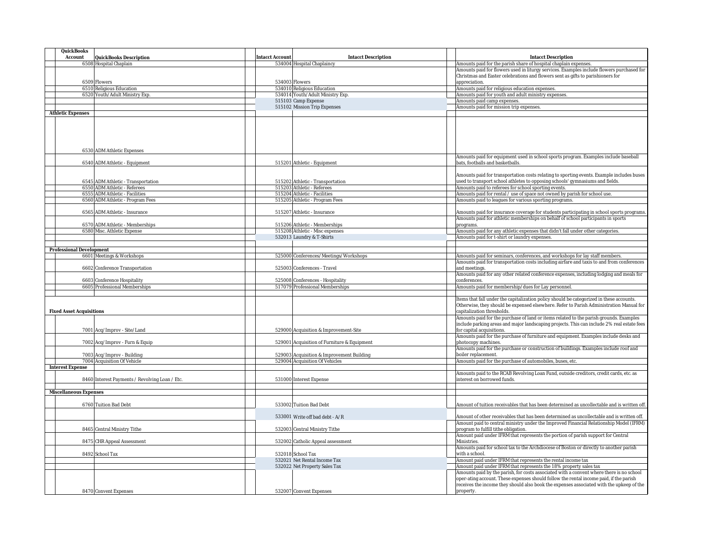| QuickBooks                                     |                                                      |                                                                                                                         |
|------------------------------------------------|------------------------------------------------------|-------------------------------------------------------------------------------------------------------------------------|
| Account<br>QuickBooks Description              | <b>Intacct Account</b><br><b>Intacct Description</b> | Intacct Description                                                                                                     |
| 6508 Hospital Chaplain                         | 534004 Hospital Chaplaincy                           | Amounts paid for the parish share of hospital chaplain expenses.                                                        |
|                                                |                                                      | Amounts paid for flowers used in liturgy services. Examples include flowers purchased for                               |
|                                                |                                                      | Christmas and Easter celebrations and flowers sent as gifts to parishioners for                                         |
| 6509 Flowers<br>6510 Religious Education       | 534003 Flowers<br>534010 Religious Education         | appreciation.<br>Amounts paid for religious education expenses.                                                         |
| 6520 Youth/Adult Ministry Exp.                 | 534014 Youth/Adult Ministry Exp.                     | Amounts paid for youth and adult ministry expenses.                                                                     |
|                                                | 515103 Camp Expense                                  | Amounts paid camp expenses.                                                                                             |
|                                                | 515102 Mission Trip Expenses                         | Amounts paid for mission trip expenses.                                                                                 |
| <b>Athletic Expenses</b>                       |                                                      |                                                                                                                         |
|                                                |                                                      |                                                                                                                         |
|                                                |                                                      |                                                                                                                         |
|                                                |                                                      |                                                                                                                         |
|                                                |                                                      |                                                                                                                         |
|                                                |                                                      |                                                                                                                         |
| 6530 ADM Athletic Expenses                     |                                                      |                                                                                                                         |
|                                                |                                                      | Amounts paid for equipment used in school sports program. Examples include baseball<br>bats, footballs and basketballs. |
| 6540 ADM Athletic - Equipment                  | 515201 Athletic - Equipment                          |                                                                                                                         |
|                                                |                                                      | Amounts paid for transportation costs relating to sporting events. Example includes buses                               |
| 6545 ADM Athletic - Transportation             | 515202 Athletic - Transportation                     | used to transport school athletes to opposing schools' gymnasiums and fields.                                           |
| 6550 ADM Athletic - Referees                   | 515203 Athletic - Referees                           | Amounts paid to referees for school sporting events.                                                                    |
| 6555 ADM Athletic - Facilities                 | 515204 Athletic - Facilities                         | Amounts paid for rental / use of space not owned by parish for school use.                                              |
| 6560 ADM Athletic - Program Fees               | 515205 Athletic - Program Fees                       | Amounts paid to leagues for various sporting programs.                                                                  |
|                                                |                                                      |                                                                                                                         |
| 6565 ADM Athletic - Insurance                  | 515207 Athletic - Insurance                          | Amounts paid for insurance coverage for students participating in school sports programs.                               |
|                                                |                                                      | Amounts paid for athletic memberships on behalf of school participants in sports                                        |
| 6570 ADM Athletic - Memberships                | 515206 Athletic - Memberships                        | programs.                                                                                                               |
| 6580 Misc. Athletic Expense                    | 515208 Athletic - Misc expenses                      | Amounts paid for any athletic expenses that didn't fall under other categories.                                         |
|                                                | 532013 Laundry & T-Shirts                            | Amounts paid for t-shirt or laundry expenses.                                                                           |
| Professional Development                       |                                                      |                                                                                                                         |
| 6601 Meetings & Workshops                      | 525000 Conferences/Meetings/Workshops                | Amounts paid for seminars, conferences, and workshops for lay staff members.                                            |
|                                                |                                                      | Amounts paid for transportation costs including airfare and taxis to and from conferences                               |
| 6602 Conference Transportation                 | 525003 Conferences - Travel                          | and meetings.                                                                                                           |
|                                                |                                                      | Amounts paid for any other related conference expenses, including lodging and meals for                                 |
| 6603 Conference Hospitality                    | 525008 Conferences - Hospitality                     | onferences.                                                                                                             |
| 6605 Professional Memberships                  | 517079 Professional Memberships                      | Amounts paid for membership/dues for Lay personnel.                                                                     |
|                                                |                                                      |                                                                                                                         |
|                                                |                                                      | Items that fall under the capitalization policy should be categorized in these accounts.                                |
|                                                |                                                      | Otherwise, they should be expensed elsewhere. Refer to Parish Administration Manual for                                 |
| <b>Fixed Asset Acquisitions</b>                |                                                      | capitalization thresholds.<br>Amounts paid for the purchase of land or items related to the parish grounds. Examples    |
|                                                |                                                      | include parking areas and major landscaping projects. This can include 2% real estate fees                              |
| 7001 Acq/Improv - Site/Land                    | 529000 Acquisition & Improvement-Site                | for capital acquisitions.                                                                                               |
|                                                |                                                      | Amounts paid for the purchase of furniture and equipment. Examples include desks and                                    |
| 7002 Acq/Improv - Furn & Equip                 | 529001 Acquisition of Furniture & Equipment          | photocopy machines.                                                                                                     |
|                                                |                                                      | Amounts paid for the purchase or construction of buildings. Examples include roof and                                   |
| 7003 Acq/Improv - Building                     | 529003 Acquisition & Improvement Building            | boiler replacement.                                                                                                     |
| 7004 Acquisition Of Vehicle                    | 529004 Acquisition Of Vehicles                       | Amounts paid for the purchase of automobiles, buses, etc.                                                               |
| Interest Expense                               |                                                      |                                                                                                                         |
|                                                |                                                      | Amounts paid to the RCAB Revolving Loan Fund, outside creditors, credit cards, etc. as                                  |
| 8460 Interest Payments / Revolving Loan / Etc. | 531000 Interest Expense                              | interest on borrowed funds.                                                                                             |
| Miscellaneous Expenses                         |                                                      |                                                                                                                         |
|                                                |                                                      |                                                                                                                         |
| 6760 Tuition Bad Debt                          | 533002 Tuition Bad Debt                              | Amount of tuition receivables that has been determined as uncollectable and is written off                              |
|                                                |                                                      |                                                                                                                         |
|                                                | 533001 Write off bad debt - A/R                      | Amount of other receivables that has been determined as uncollectable and is written off.                               |
|                                                |                                                      | Amount paid to central ministry under the Improved Financial Relationship Model (IFRM)                                  |
| 8465 Central Ministry Tithe                    | 532003 Central Ministry Tithe                        | program to fulfill tithe obligation.                                                                                    |
|                                                |                                                      | Amount paid under IFRM that represents the portion of parish support for Central                                        |
| 8475 CHR Appeal Assessment                     | 532002 Catholic Appeal assessment                    | Ministries.                                                                                                             |
|                                                |                                                      | Amounts paid for school tax to the Archdiocese of Boston or directly to another parish                                  |
| 8492 School Tax                                | 532018 School Tax<br>532021 Net Rental Income Tax    | with a school<br>Amount paid under IFRM that represents the rental income tax                                           |
|                                                | 532022 Net Property Sales Tax                        | Amount paid under IFRM that represents the 18% property sales tax                                                       |
|                                                |                                                      | Amounts paid by the parish, for costs associated with a convent where there is no school                                |
|                                                |                                                      | oper-ating account. These expenses should follow the rental income paid, if the parish                                  |
|                                                |                                                      | receives the income they should also book the expenses associated with the upkeep of the                                |
| 8470 Convent Expenses                          | 532007 Convent Expenses                              | property.                                                                                                               |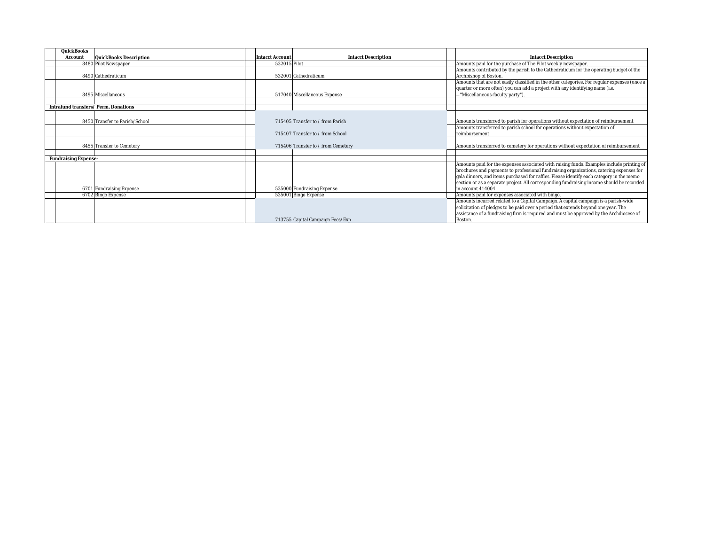| QuickBooks                           |                                               |                                                                                              |
|--------------------------------------|-----------------------------------------------|----------------------------------------------------------------------------------------------|
| Account<br>QuickBooks Description    | <b>Intacct Description</b><br>Intacct Account | Intacct Description                                                                          |
| 8480 Pilot Newspaper                 | 532015 Pilot                                  | Amounts paid for the purchase of The Pilot weekly newspaper.                                 |
|                                      |                                               | Amounts contributed by the parish to the Cathedraticum for the operating budget of the       |
| 8490 Cathedraticum                   | 532001 Cathedraticum                          | Archbishop of Boston.                                                                        |
|                                      |                                               | Amounts that are not easily classified in the other categories. For regular expenses (once a |
|                                      |                                               | quarter or more often) you can add a project with any identifying name (i.e.                 |
| 8495 Miscellaneous                   | 517040 Miscellaneous Expense                  | -"Miscellaneous-faculty party").                                                             |
|                                      |                                               |                                                                                              |
| Intrafund transfers/ Perm. Donations |                                               |                                                                                              |
|                                      |                                               |                                                                                              |
| 8450 Transfer to Parish/School       | 715405 Transfer to / from Parish              | Amounts transferred to parish for operations without expectation of reimbursement            |
|                                      |                                               | Amounts transferred to parish school for operations without expectation of                   |
|                                      | 715407 Transfer to / from School              | reimbursement                                                                                |
|                                      |                                               |                                                                                              |
| 8455 Transfer to Cemetery            | 715406 Transfer to / from Cemetery            | Amounts transferred to cemetery for operations without expectation of reimbursement          |
|                                      |                                               |                                                                                              |
| Fundraising Expense-                 |                                               |                                                                                              |
|                                      |                                               | Amounts paid for the expenses associated with raising funds. Examples include printing of    |
|                                      |                                               | brochures and payments to professional fundraising organizations, catering expenses for      |
|                                      |                                               | gala dinners, and items purchased for raffles. Please identify each category in the memo     |
|                                      |                                               | section or as a separate project. All corresponding fundraising income should be recorded    |
| 6701 Fundraising Expense             | 535000 Fundraising Expense                    | in account 414004.                                                                           |
| 6702 Bingo Expense                   | 535001 Bingo Expense                          | Amounts paid for expenses associated with bingo.                                             |
|                                      |                                               | Amounts incurred related to a Capital Campaign. A capital campaign is a parish-wide          |
|                                      |                                               | solicitation of pledges to be paid over a period that extends beyond one year. The           |
|                                      |                                               | assistance of a fundraising firm is required and must be approved by the Archdiocese of      |
|                                      | 713755 Capital Campaign Fees/Exp              | Boston.                                                                                      |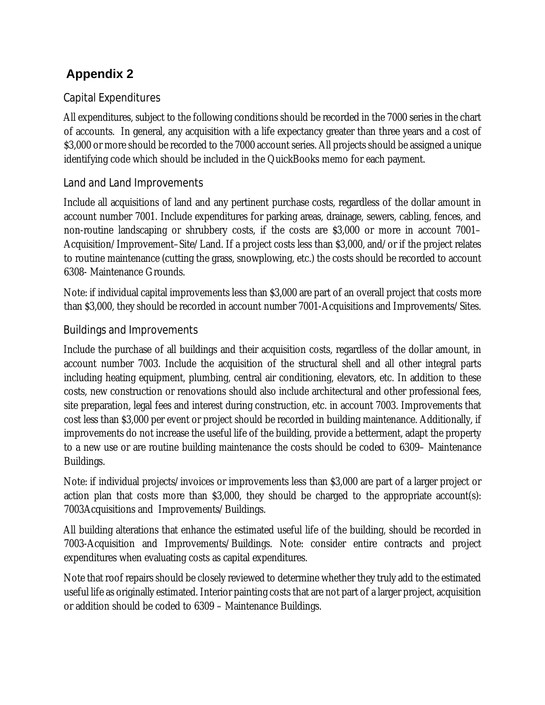# Capital Expenditures

All expenditures, subject to the following conditions should be recorded in the 7000 series in the chart of accounts. In general, any acquisition with a life expectancy greater than three years and a cost of \$3,000 or more should be recorded to the 7000 account series. All projects should be assigned a unique identifying code which should be included in the QuickBooks memo for each payment.

# Land and Land Improvements

Include all acquisitions of land and any pertinent purchase costs, regardless of the dollar amount in account number 7001. Include expenditures for parking areas, drainage, sewers, cabling, fences, and non-routine landscaping or shrubbery costs, if the costs are \$3,000 or more in account 7001– Acquisition/Improvement–Site/Land. If a project costs less than \$3,000, and/or if the project relates to routine maintenance (cutting the grass, snowplowing, etc.) the costs should be recorded to account 6308- Maintenance Grounds.

Note: if individual capital improvements less than \$3,000 are part of an overall project that costs more than \$3,000, they should be recorded in account number 7001-Acquisitions and Improvements/Sites.

# Buildings and Improvements

Include the purchase of all buildings and their acquisition costs, regardless of the dollar amount, in account number 7003. Include the acquisition of the structural shell and all other integral parts including heating equipment, plumbing, central air conditioning, elevators, etc. In addition to these costs, new construction or renovations should also include architectural and other professional fees, site preparation, legal fees and interest during construction, etc. in account 7003. Improvements that cost less than \$3,000 per event or project should be recorded in building maintenance. Additionally, if improvements do not increase the useful life of the building, provide a betterment, adapt the property to a new use or are routine building maintenance the costs should be coded to 6309– Maintenance Buildings.

Note: if individual projects/invoices or improvements less than \$3,000 are part of a larger project or action plan that costs more than \$3,000, they should be charged to the appropriate account(s): 7003Acquisitions and Improvements/Buildings.

All building alterations that enhance the estimated useful life of the building, should be recorded in 7003-Acquisition and Improvements/Buildings. Note: consider entire contracts and project expenditures when evaluating costs as capital expenditures.

Note that roof repairs should be closely reviewed to determine whether they truly add to the estimated useful life as originally estimated. Interior painting costs that are not part of a larger project, acquisition or addition should be coded to 6309 – Maintenance Buildings.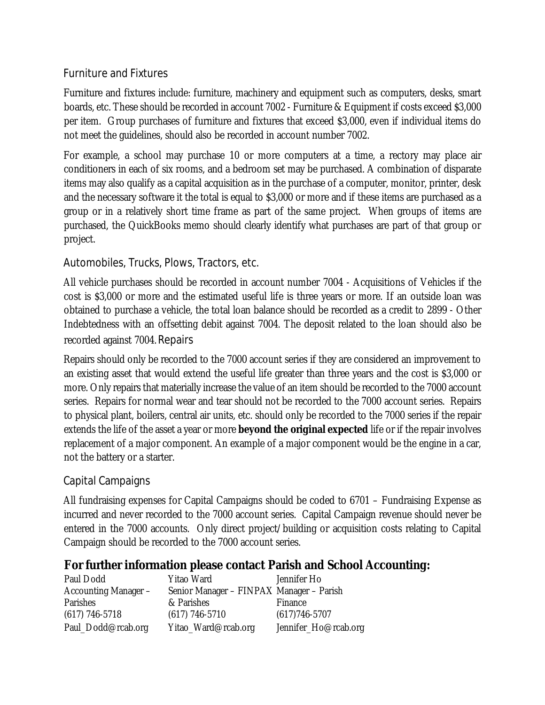# Furniture and Fixtures

Furniture and fixtures include: furniture, machinery and equipment such as computers, desks, smart boards, etc. These should be recorded in account 7002 - Furniture & Equipment if costs exceed \$3,000 per item. Group purchases of furniture and fixtures that exceed \$3,000, even if individual items do not meet the guidelines, should also be recorded in account number 7002.

For example, a school may purchase 10 or more computers at a time, a rectory may place air conditioners in each of six rooms, and a bedroom set may be purchased. A combination of disparate items may also qualify as a capital acquisition as in the purchase of a computer, monitor, printer, desk and the necessary software it the total is equal to \$3,000 or more and if these items are purchased as a group or in a relatively short time frame as part of the same project. When groups of items are purchased, the QuickBooks memo should clearly identify what purchases are part of that group or project.

# Automobiles, Trucks, Plows, Tractors, etc.

All vehicle purchases should be recorded in account number 7004 - Acquisitions of Vehicles if the cost is \$3,000 or more and the estimated useful life is three years or more. If an outside loan was obtained to purchase a vehicle, the total loan balance should be recorded as a credit to 2899 - Other Indebtedness with an offsetting debit against 7004. The deposit related to the loan should also be recorded against 7004.Repairs

Repairs should only be recorded to the 7000 account series if they are considered an improvement to an existing asset that would extend the useful life greater than three years and the cost is \$3,000 or more. Only repairs that materially increase the value of an item should be recorded to the 7000 account series. Repairs for normal wear and tear should not be recorded to the 7000 account series. Repairs to physical plant, boilers, central air units, etc. should only be recorded to the 7000 series if the repair extends the life of the asset a year or more **beyond the original expected** life or if the repair involves replacement of a major component. An example of a major component would be the engine in a car, not the battery or a starter.

# Capital Campaigns

All fundraising expenses for Capital Campaigns should be coded to 6701 – Fundraising Expense as incurred and never recorded to the 7000 account series. Capital Campaign revenue should never be entered in the 7000 accounts. Only direct project/building or acquisition costs relating to Capital Campaign should be recorded to the 7000 account series.

# **For further information please contact Parish and School Accounting:**

| Paul Dodd            | Yitao Ward                               | Jennifer Ho          |
|----------------------|------------------------------------------|----------------------|
| Accounting Manager - | Senior Manager - FINPAX Manager - Parish |                      |
| Parishes             | & Parishes                               | Finance              |
| $(617)$ 746-5718     | $(617)$ 746-5710                         | $(617)746 - 5707$    |
| Paul_Dodd@rcab.org   | Yitao_Ward@rcab.org                      | Jennifer_Ho@rcab.org |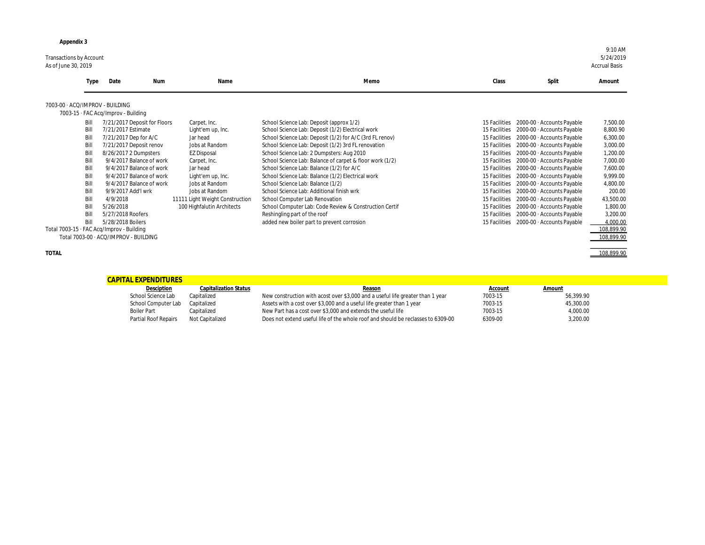Transactions by Account 5/24/2019 As of June 30, 2019 Accrual Basis

| Type                                                                                                         | Date<br>Num                                                                                                                                                                                                                                                                                                                                                                           | Name                                                                                                                                                                                                                                        | Memo                                                                                                                                                                                                                                                                                                                                                                                                                                                                                                                                                                                                                                                                                    | Class<br>Split                                                                                                                                                                                                                                                                                                                                                                                                                                                                                                                                                                                                                                                                 | Amount                                                                                                                                                                            |
|--------------------------------------------------------------------------------------------------------------|---------------------------------------------------------------------------------------------------------------------------------------------------------------------------------------------------------------------------------------------------------------------------------------------------------------------------------------------------------------------------------------|---------------------------------------------------------------------------------------------------------------------------------------------------------------------------------------------------------------------------------------------|-----------------------------------------------------------------------------------------------------------------------------------------------------------------------------------------------------------------------------------------------------------------------------------------------------------------------------------------------------------------------------------------------------------------------------------------------------------------------------------------------------------------------------------------------------------------------------------------------------------------------------------------------------------------------------------------|--------------------------------------------------------------------------------------------------------------------------------------------------------------------------------------------------------------------------------------------------------------------------------------------------------------------------------------------------------------------------------------------------------------------------------------------------------------------------------------------------------------------------------------------------------------------------------------------------------------------------------------------------------------------------------|-----------------------------------------------------------------------------------------------------------------------------------------------------------------------------------|
|                                                                                                              | 7003-00 · ACQ/IMPROV - BUILDING                                                                                                                                                                                                                                                                                                                                                       |                                                                                                                                                                                                                                             |                                                                                                                                                                                                                                                                                                                                                                                                                                                                                                                                                                                                                                                                                         |                                                                                                                                                                                                                                                                                                                                                                                                                                                                                                                                                                                                                                                                                |                                                                                                                                                                                   |
|                                                                                                              | 7003-15 · FAC Acq/Improv - Building                                                                                                                                                                                                                                                                                                                                                   |                                                                                                                                                                                                                                             |                                                                                                                                                                                                                                                                                                                                                                                                                                                                                                                                                                                                                                                                                         |                                                                                                                                                                                                                                                                                                                                                                                                                                                                                                                                                                                                                                                                                |                                                                                                                                                                                   |
| Bill<br>Bill<br>Bill<br>Bill<br>Bill<br>Bill<br>Bill<br>Bill<br>Bill<br>Bill<br>Bill<br>Bill<br>Bill<br>Bill | 7/21/2017 Deposit for Floors<br>7/21/2017 Estimate<br>7/21/2017 Dep for A/C<br>7/21/2017 Deposit renov<br>8/26/2017 2 Dumpsters<br>9/4/2017 Balance of work<br>9/4/2017 Balance of work<br>9/4/2017 Balance of work<br>9/4/2017 Balance of work<br>9/9/2017 Add'l wrk<br>4/9/2018<br>5/26/2018<br>5/27/2018 Roofers<br>5/28/2018 Boilers<br>Total 7003-15 · FAC Acq/Improv - Building | Carpet, Inc.<br>Light'em up, Inc.<br>Jar head<br>Jobs at Random<br><b>EZ Disposal</b><br>Carpet, Inc.<br>Jar head<br>Light'em up, Inc.<br>Jobs at Random<br>Jobs at Random<br>11111 Light Weight Construction<br>100 Highfalutin Architects | School Science Lab: Deposit (approx 1/2)<br>School Science Lab: Deposit (1/2) Electrical work<br>School Science Lab: Deposit (1/2) for A/C (3rd FL renov)<br>School Science Lab: Deposit (1/2) 3rd FL renovation<br>School Science Lab: 2 Dumpsters: Aug 2010<br>School Science Lab: Balance of carpet & floor work (1/2)<br>School Science Lab: Balance (1/2) for A/C<br>School Science Lab: Balance (1/2) Electrical work<br>School Science Lab: Balance (1/2)<br>School Science Lab: Additional finish wrk<br>School Computer Lab Renovation<br>School Computer Lab: Code Review & Construction Certif<br>Reshingling part of the roof<br>added new boiler part to prevent corrosion | 2000-00 · Accounts Payable<br>15 Facilities<br>2000-00 · Accounts Payable<br>15 Facilities<br>15 Facilities<br>2000-00 · Accounts Payable<br>15 Facilities<br>2000-00 · Accounts Payable<br>15 Facilities<br>2000-00 · Accounts Payable<br>2000-00 · Accounts Payable<br>15 Facilities<br>15 Facilities<br>2000-00 · Accounts Payable<br>15 Facilities<br>2000-00 · Accounts Payable<br>15 Facilities<br>2000-00 · Accounts Payable<br>15 Facilities<br>2000-00 · Accounts Payable<br>2000-00 · Accounts Payable<br>15 Facilities<br>2000-00 · Accounts Payable<br>15 Facilities<br>15 Facilities<br>2000-00 · Accounts Payable<br>15 Facilities<br>2000-00 · Accounts Payable | 7,500.00<br>8,800.90<br>6,300.00<br>3,000.00<br>1,200.00<br>7,000.00<br>7,600.00<br>9,999.00<br>4,800.00<br>200.00<br>43,500.00<br>1,800.00<br>3,200.00<br>4,000.00<br>108,899.90 |
|                                                                                                              | Total 7003-00 · ACQ/IMPROV - BUILDING                                                                                                                                                                                                                                                                                                                                                 |                                                                                                                                                                                                                                             |                                                                                                                                                                                                                                                                                                                                                                                                                                                                                                                                                                                                                                                                                         |                                                                                                                                                                                                                                                                                                                                                                                                                                                                                                                                                                                                                                                                                | 108,899.90                                                                                                                                                                        |

|              | <b>Type</b>                                                                                                  | Date<br>Num                                                                                                                                                                                                                                                                                                                                                                           | Name                                                                                                                                                                                                                                        | Memo                                                                                                                                                                                                                                                                                                                                                                                                                                                                                                                                                                                                                                                                                    | Class                                                                                                                                                                                                                                      | Split                                                                                                                                                                                                                                                                                                                                                                                                                            | Amount                                                                                                                                                                            |
|--------------|--------------------------------------------------------------------------------------------------------------|---------------------------------------------------------------------------------------------------------------------------------------------------------------------------------------------------------------------------------------------------------------------------------------------------------------------------------------------------------------------------------------|---------------------------------------------------------------------------------------------------------------------------------------------------------------------------------------------------------------------------------------------|-----------------------------------------------------------------------------------------------------------------------------------------------------------------------------------------------------------------------------------------------------------------------------------------------------------------------------------------------------------------------------------------------------------------------------------------------------------------------------------------------------------------------------------------------------------------------------------------------------------------------------------------------------------------------------------------|--------------------------------------------------------------------------------------------------------------------------------------------------------------------------------------------------------------------------------------------|----------------------------------------------------------------------------------------------------------------------------------------------------------------------------------------------------------------------------------------------------------------------------------------------------------------------------------------------------------------------------------------------------------------------------------|-----------------------------------------------------------------------------------------------------------------------------------------------------------------------------------|
|              |                                                                                                              | 7003-00 · ACQ/IMPROV - BUILDING                                                                                                                                                                                                                                                                                                                                                       |                                                                                                                                                                                                                                             |                                                                                                                                                                                                                                                                                                                                                                                                                                                                                                                                                                                                                                                                                         |                                                                                                                                                                                                                                            |                                                                                                                                                                                                                                                                                                                                                                                                                                  |                                                                                                                                                                                   |
|              |                                                                                                              | 7003-15 · FAC Acq/Improv - Building                                                                                                                                                                                                                                                                                                                                                   |                                                                                                                                                                                                                                             |                                                                                                                                                                                                                                                                                                                                                                                                                                                                                                                                                                                                                                                                                         |                                                                                                                                                                                                                                            |                                                                                                                                                                                                                                                                                                                                                                                                                                  |                                                                                                                                                                                   |
|              | Bill<br>Bill<br>Bill<br>Bill<br>Bill<br>Bill<br>Bill<br>Bill<br>Bill<br>Bill<br>Bill<br>Bill<br>Bill<br>Bill | 7/21/2017 Deposit for Floors<br>7/21/2017 Estimate<br>7/21/2017 Dep for A/C<br>7/21/2017 Deposit renov<br>8/26/2017 2 Dumpsters<br>9/4/2017 Balance of work<br>9/4/2017 Balance of work<br>9/4/2017 Balance of work<br>9/4/2017 Balance of work<br>9/9/2017 Add'l wrk<br>4/9/2018<br>5/26/2018<br>5/27/2018 Roofers<br>5/28/2018 Boilers<br>Total 7003-15 · FAC Acq/Improv - Building | Carpet, Inc.<br>Light'em up, Inc.<br>Jar head<br>Jobs at Random<br><b>EZ Disposal</b><br>Carpet, Inc.<br>Jar head<br>Light'em up, Inc.<br>Jobs at Random<br>Jobs at Random<br>11111 Light Weight Construction<br>100 Highfalutin Architects | School Science Lab: Deposit (approx 1/2)<br>School Science Lab: Deposit (1/2) Electrical work<br>School Science Lab: Deposit (1/2) for A/C (3rd FL renov)<br>School Science Lab: Deposit (1/2) 3rd FL renovation<br>School Science Lab: 2 Dumpsters: Aug 2010<br>School Science Lab: Balance of carpet & floor work (1/2)<br>School Science Lab: Balance (1/2) for A/C<br>School Science Lab: Balance (1/2) Electrical work<br>School Science Lab: Balance (1/2)<br>School Science Lab: Additional finish wrk<br>School Computer Lab Renovation<br>School Computer Lab: Code Review & Construction Certif<br>Reshingling part of the roof<br>added new boiler part to prevent corrosion | 15 Facilities<br>15 Facilities<br>15 Facilities<br>15 Facilities<br>15 Facilities<br>15 Facilities<br>15 Facilities<br>15 Facilities<br>15 Facilities<br>15 Facilities<br>15 Facilities<br>15 Facilities<br>15 Facilities<br>15 Facilities | 2000-00 · Accounts Payable<br>2000-00 · Accounts Payable<br>2000-00 · Accounts Payable<br>2000-00 · Accounts Payable<br>2000-00 · Accounts Payable<br>2000-00 · Accounts Payable<br>2000-00 · Accounts Payable<br>2000-00 · Accounts Payable<br>2000-00 · Accounts Payable<br>2000-00 · Accounts Payable<br>2000-00 · Accounts Payable<br>2000-00 · Accounts Payable<br>2000-00 · Accounts Payable<br>2000-00 · Accounts Payable | 7,500.00<br>8,800.90<br>6,300.00<br>3,000.00<br>1,200.00<br>7,000.00<br>7,600.00<br>9,999.00<br>4,800.00<br>200.00<br>43,500.00<br>1,800.00<br>3,200.00<br>4,000.00<br>108,899.90 |
|              |                                                                                                              | Total 7003-00 · ACQ/IMPROV - BUILDING                                                                                                                                                                                                                                                                                                                                                 |                                                                                                                                                                                                                                             |                                                                                                                                                                                                                                                                                                                                                                                                                                                                                                                                                                                                                                                                                         |                                                                                                                                                                                                                                            |                                                                                                                                                                                                                                                                                                                                                                                                                                  | 108,899.90                                                                                                                                                                        |
| <b>TOTAL</b> |                                                                                                              |                                                                                                                                                                                                                                                                                                                                                                                       |                                                                                                                                                                                                                                             |                                                                                                                                                                                                                                                                                                                                                                                                                                                                                                                                                                                                                                                                                         |                                                                                                                                                                                                                                            |                                                                                                                                                                                                                                                                                                                                                                                                                                  | 108,899.90                                                                                                                                                                        |

| Account | Amount    |
|---------|-----------|
| 7003-15 | 56,399.90 |
| 7003-15 | 45,300.00 |
| 7003-15 | 4,000.00  |
| 6309-00 | 3,200.00  |
|         |           |

| <b>CAPITAL EXPENDITURES</b> |                              |                                                                                  |         |           |
|-----------------------------|------------------------------|----------------------------------------------------------------------------------|---------|-----------|
| Desciption                  | <b>Capitalization Status</b> | Reason                                                                           | Account | Amount    |
| School Science Lab          | Capitalized                  | New construction with acost over \$3,000 and a useful life greater than 1 year   | 7003-15 | 56,399.90 |
| School Computer Lab         | Capitalized                  | Assets with a cost over \$3,000 and a useful life greater than 1 year            | 7003-15 | 45,300.00 |
| <b>Boiler Part</b>          | Capitalized                  | New Part has a cost over \$3,000 and extends the useful life                     | 7003-15 | 4,000.00  |
| <b>Partial Roof Repairs</b> | Not Capitalized              | Does not extend useful life of the whole roof and should be reclasses to 6309-00 | 6309-00 | 3,200.00  |
|                             |                              |                                                                                  |         |           |

9:10 AM<br>5/24/2019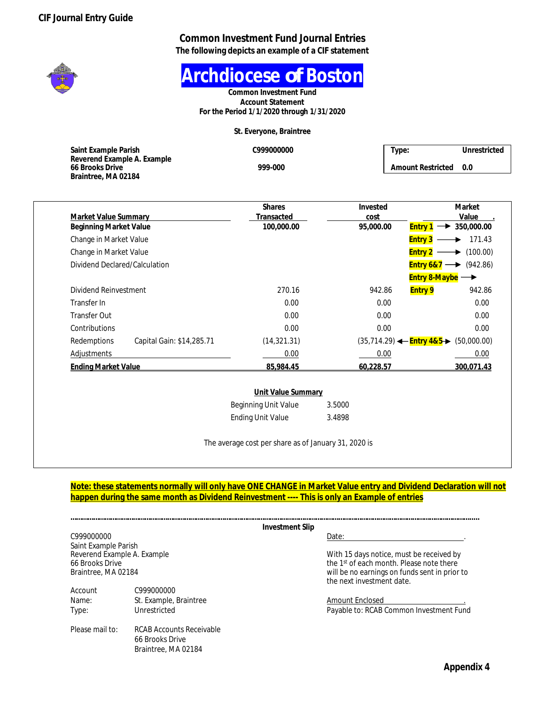#### **Common Investment Fund Journal Entries The following depicts an example of a CIF statement**



**Archdiocese** *of* **Boston**

**Common Investment Fund Account Statement For the Period 1/1/2020 through 1/31/2020**

**St. Everyone, Braintree**

| Saint Example Parish                           | C999000000 | Type:             | Unrestricted |
|------------------------------------------------|------------|-------------------|--------------|
| Reverend Example A. Example<br>66 Brooks Drive | 999-000    | Amount Restricted | 0.0          |
| Braintree, MA 02184                            |            |                   |              |

| Market Value Summary                     | <b>Shares</b><br>Transacted | Invested                                           | Market<br>Value                                 |
|------------------------------------------|-----------------------------|----------------------------------------------------|-------------------------------------------------|
| <b>Beginning Market Value</b>            | 100,000.00                  | cost<br>95.000.00<br><b>Entry 1</b>                | 350,000.00                                      |
| Change in Market Value                   |                             | <b>Entry 3</b>                                     | 171.43                                          |
| Change in Market Value                   |                             | <b>Entry 2</b>                                     | (100.00)                                        |
| Dividend Declared/Calculation            |                             |                                                    | <b>Entry 6&amp;7</b> $\longrightarrow$ (942.86) |
|                                          |                             |                                                    | <b>Entry 8-Maybe</b> $\rightarrow$              |
| Dividend Reinvestment                    | 270.16                      | 942.86                                             | <b>Entry 9</b><br>942.86                        |
| Transfer In                              | 0.00                        | 0.00                                               | 0.00                                            |
| <b>Transfer Out</b>                      | 0.00                        | 0.00                                               | 0.00                                            |
| Contributions                            | 0.00                        | 0.00                                               | 0.00                                            |
| Redemptions<br>Capital Gain: \$14,285.71 | (14, 321.31)                | $(35,714.29)$ $\leftarrow$ Entry 4&5 $\rightarrow$ | (50,000.00)                                     |
| Adjustments                              | 0.00                        | 0.00                                               | 0.00                                            |
| <b>Ending Market Value</b>               | 85,984.45                   | 60.228.57                                          | 300.071.43                                      |

| Unit Value Summary          |        |
|-----------------------------|--------|
| <b>Beginning Unit Value</b> | 3.5000 |
| <b>Ending Unit Value</b>    | 3.4898 |

The average cost per share as of January 31, 2020 is

#### **Note: these statements normally will only have ONE CHANGE in Market Value entry and Dividend Declaration will not happen during the same month as Dividend Reinvestment ---- This is only an Example of entries**

|            | Investment Slip |  |
|------------|-----------------|--|
| C999000000 | hate            |  |

C999000000 Date: . Saint Example Parish<br>Reverend Example A. Example

| Account | C999000000             |
|---------|------------------------|
| Name:   | St. Example, Braintree |
| Type:   | Unrestricted           |
|         |                        |

Please mail to: RCAB Accounts Receivable 66 Brooks Drive Braintree, MA 02184

Reverend Example A. Example **A.** Example With 15 days notice, must be received by the 1<sup>st</sup> of each month. Please note there of the 1st of each month. Please note there 66 Brooks Drive the 1<sup>st</sup> of each month. Please note there example the 1st of each month. Please note there example the 1st of each month. Please note there example the 1st of each month. Please note there example the 1st will be no earnings on funds sent in prior to the next investment date.

> Amount Enclosed Payable to: RCAB Common Investment Fund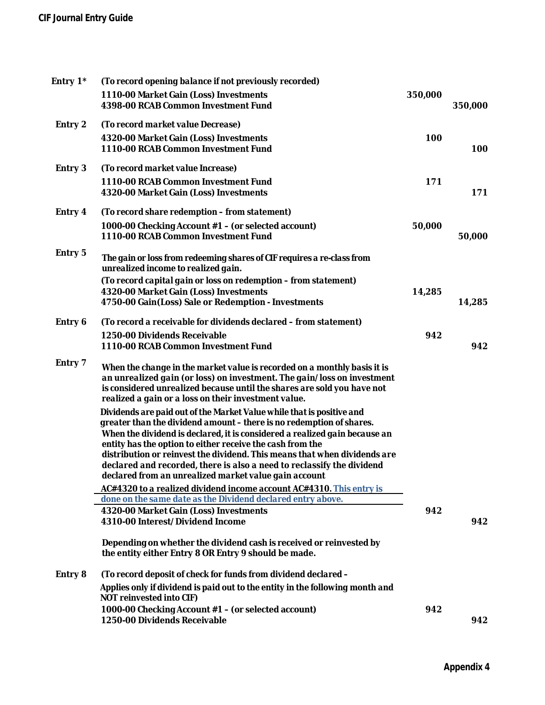# **CIF Journal Entry Guide**

| Entry 1* | (To record opening balance if not previously recorded)                                                                                                                                                                                                                                 |         |         |
|----------|----------------------------------------------------------------------------------------------------------------------------------------------------------------------------------------------------------------------------------------------------------------------------------------|---------|---------|
|          | 1110-00 Market Gain (Loss) Investments<br>4398-00 RCAB Common Investment Fund                                                                                                                                                                                                          | 350,000 | 350,000 |
| Entry 2  | (To record market value Decrease)                                                                                                                                                                                                                                                      |         |         |
|          | 4320-00 Market Gain (Loss) Investments<br>1110-00 RCAB Common Investment Fund                                                                                                                                                                                                          | 100     | 100     |
| Entry 3  | (To record market value Increase)                                                                                                                                                                                                                                                      |         |         |
|          | 1110-00 RCAB Common Investment Fund<br>4320-00 Market Gain (Loss) Investments                                                                                                                                                                                                          | 171     | 171     |
| Entry 4  | (To record share redemption – from statement)                                                                                                                                                                                                                                          |         |         |
|          | 1000-00 Checking Account #1 – (or selected account)<br>1110-00 RCAB Common Investment Fund                                                                                                                                                                                             | 50,000  | 50,000  |
| Entry 5  | The gain or loss from redeeming shares of CIF requires a re-class from<br>unrealized income to realized gain.                                                                                                                                                                          |         |         |
|          | (To record capital gain or loss on redemption - from statement)                                                                                                                                                                                                                        |         |         |
|          | 4320-00 Market Gain (Loss) Investments<br>4750-00 Gain(Loss) Sale or Redemption - Investments                                                                                                                                                                                          | 14,285  | 14,285  |
| Entry 6  | (To record a receivable for dividends declared – from statement)                                                                                                                                                                                                                       |         |         |
|          | 1250-00 Dividends Receivable<br>1110-00 RCAB Common Investment Fund                                                                                                                                                                                                                    | 942     | 942     |
| Entry 7  | When the change in the market value is recorded on a monthly basis it is<br>an unrealized gain (or loss) on investment. The gain/loss on investment<br>is considered unrealized because until the shares are sold you have not<br>realized a gain or a loss on their investment value. |         |         |
|          | Dividends are paid out of the Market Value while that is positive and<br>greater than the dividend amount - there is no redemption of shares.                                                                                                                                          |         |         |
|          | When the dividend is declared, it is considered a realized gain because an<br>entity has the option to either receive the cash from the                                                                                                                                                |         |         |
|          | distribution or reinvest the dividend. This means that when dividends are<br>declared and recorded, there is also a need to reclassify the dividend<br>declared from an unrealized market value gain account                                                                           |         |         |
|          | AC#4320 to a realized dividend income account AC#4310. This entry is                                                                                                                                                                                                                   |         |         |
|          | done on the same date as the Dividend declared entry above.                                                                                                                                                                                                                            |         |         |
|          | 4320-00 Market Gain (Loss) Investments<br>4310-00 Interest/Dividend Income                                                                                                                                                                                                             | 942     | 942     |
|          | Depending on whether the dividend cash is received or reinvested by<br>the entity either Entry 8 OR Entry 9 should be made.                                                                                                                                                            |         |         |
| Entry 8  | (To record deposit of check for funds from dividend declared -                                                                                                                                                                                                                         |         |         |
|          | Applies only if dividend is paid out to the entity in the following month and<br>NOT reinvested into CIF)                                                                                                                                                                              |         |         |
|          | 1000-00 Checking Account #1 - (or selected account)<br>1250-00 Dividends Receivable                                                                                                                                                                                                    | 942     | 942     |
|          |                                                                                                                                                                                                                                                                                        |         |         |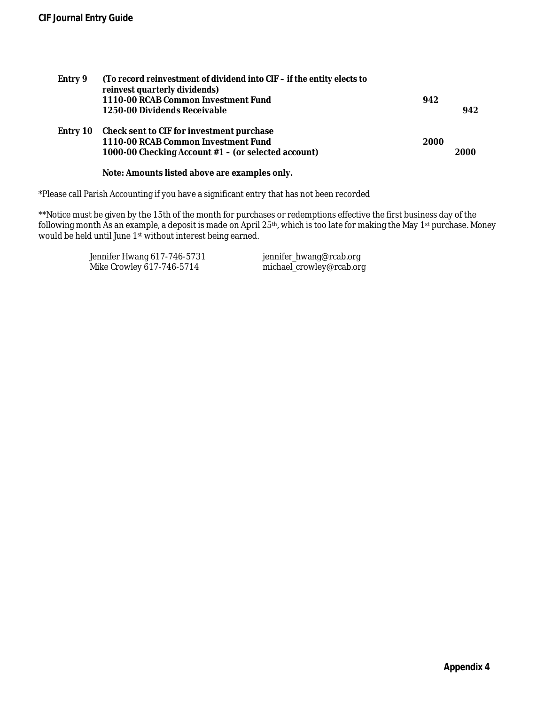| Entry 9  | (To record reinvestment of dividend into CIF - if the entity elects to<br>reinvest quarterly dividends)<br>1110-00 RCAB Common Investment Fund<br>1250-00 Dividends Receivable | 942  | 942  |
|----------|--------------------------------------------------------------------------------------------------------------------------------------------------------------------------------|------|------|
| Entry 10 | Check sent to CIF for investment purchase<br>1110-00 RCAB Common Investment Fund<br>1000-00 Checking Account #1 – (or selected account)                                        | 2000 | 2000 |
|          | Note: Amounts listed above are examples only.                                                                                                                                  |      |      |

\*Please call Parish Accounting if you have a significant entry that has not been recorded

\*\*Notice must be given by the 15th of the month for purchases or redemptions effective the first business day of the following month As an example, a deposit is made on April 25th, which is too late for making the May 1st purchase. Money would be held until June 1st without interest being earned.

> Jennifer Hwang 617-746-5731 jennifer\_hwang@rcab.org<br>Mike Crowley 617-746-5714 michael\_crowley@rcab.org Mike Crowley 617-746-5714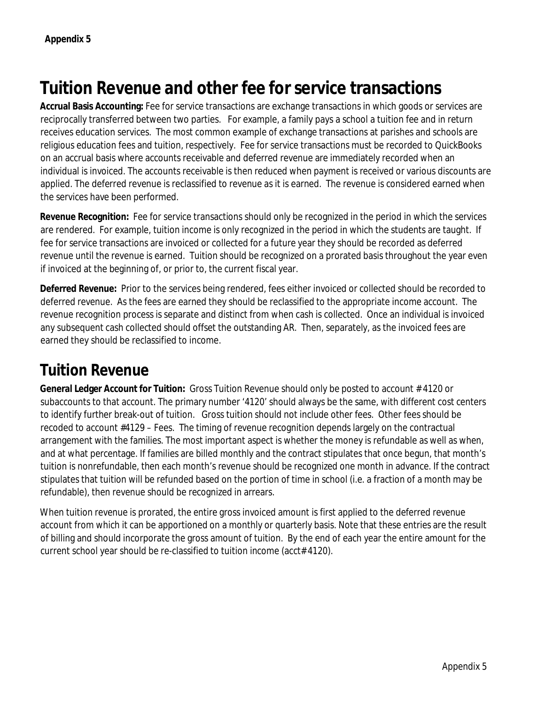# **Tuition Revenue and other fee for service transactions**

**Accrual Basis Accounting:** Fee for service transactions are exchange transactions in which goods or services are reciprocally transferred between two parties. For example, a family pays a school a tuition fee and in return receives education services. The most common example of exchange transactions at parishes and schools are religious education fees and tuition, respectively. Fee for service transactions must be recorded to QuickBooks on an accrual basis where accounts receivable and deferred revenue are immediately recorded when an individual is invoiced. The accounts receivable is then reduced when payment is received or various discounts are applied. The deferred revenue is reclassified to revenue as it is earned. The revenue is considered earned when the services have been performed.

**Revenue Recognition:** Fee for service transactions should only be recognized in the period in which the services are rendered. For example, tuition income is only recognized in the period in which the students are taught. If fee for service transactions are invoiced or collected for a future year they should be recorded as deferred revenue until the revenue is earned. Tuition should be recognized on a prorated basis throughout the year even if invoiced at the beginning of, or prior to, the current fiscal year.

**Deferred Revenue:** Prior to the services being rendered, fees either invoiced or collected should be recorded to deferred revenue. As the fees are earned they should be reclassified to the appropriate income account. The revenue recognition process is separate and distinct from when cash is collected. Once an individual is invoiced any subsequent cash collected should offset the outstanding AR. Then, separately, as the invoiced fees are earned they should be reclassified to income.

# **Tuition Revenue**

**General Ledger Account for Tuition:** Gross Tuition Revenue should only be posted to account # 4120 or subaccounts to that account. The primary number '4120' should always be the same, with different cost centers to identify further break-out of tuition. Gross tuition should not include other fees. Other fees should be recoded to account #4129 – Fees. The timing of revenue recognition depends largely on the contractual arrangement with the families. The most important aspect is whether the money is refundable as well as when, and at what percentage. If families are billed monthly and the contract stipulates that once begun, that month's tuition is nonrefundable, then each month's revenue should be recognized one month in advance. If the contract stipulates that tuition will be refunded based on the portion of time in school (i.e. a fraction of a month may be refundable), then revenue should be recognized in arrears.

When tuition revenue is prorated, the entire gross invoiced amount is first applied to the deferred revenue account from which it can be apportioned on a monthly or quarterly basis. Note that these entries are the result of billing and should incorporate the gross amount of tuition. By the end of each year the entire amount for the current school year should be re-classified to tuition income (acct# 4120).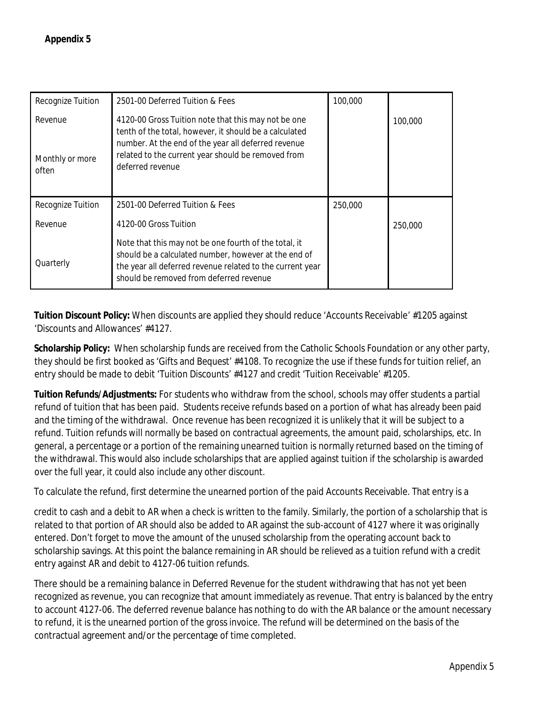| Recognize Tuition                   | 2501-00 Deferred Tuition & Fees                                                                                                                                                                                                                | 100,000 |         |
|-------------------------------------|------------------------------------------------------------------------------------------------------------------------------------------------------------------------------------------------------------------------------------------------|---------|---------|
| Revenue<br>Monthly or more<br>often | 4120-00 Gross Tuition note that this may not be one<br>tenth of the total, however, it should be a calculated<br>number. At the end of the year all deferred revenue<br>related to the current year should be removed from<br>deferred revenue |         | 100,000 |
| Recognize Tuition                   | 2501-00 Deferred Tuition & Fees                                                                                                                                                                                                                | 250,000 |         |
| Revenue                             | 4120-00 Gross Tuition                                                                                                                                                                                                                          |         | 250,000 |
| Quarterly                           | Note that this may not be one fourth of the total, it<br>should be a calculated number, however at the end of<br>the year all deferred revenue related to the current year<br>should be removed from deferred revenue                          |         |         |

**Tuition Discount Policy:** When discounts are applied they should reduce 'Accounts Receivable' #1205 against 'Discounts and Allowances' #4127.

**Scholarship Policy:** When scholarship funds are received from the Catholic Schools Foundation or any other party, they should be first booked as 'Gifts and Bequest' #4108. To recognize the use if these funds for tuition relief, an entry should be made to debit 'Tuition Discounts' #4127 and credit 'Tuition Receivable' #1205.

**Tuition Refunds/Adjustments:** For students who withdraw from the school, schools may offer students a partial refund of tuition that has been paid. Students receive refunds based on a portion of what has already been paid and the timing of the withdrawal. Once revenue has been recognized it is unlikely that it will be subject to a refund. Tuition refunds will normally be based on contractual agreements, the amount paid, scholarships, etc. In general, a percentage or a portion of the remaining unearned tuition is normally returned based on the timing of the withdrawal. This would also include scholarships that are applied against tuition if the scholarship is awarded over the full year, it could also include any other discount.

To calculate the refund, first determine the unearned portion of the paid Accounts Receivable. That entry is a

credit to cash and a debit to AR when a check is written to the family. Similarly, the portion of a scholarship that is related to that portion of AR should also be added to AR against the sub-account of 4127 where it was originally entered. Don't forget to move the amount of the unused scholarship from the operating account back to scholarship savings. At this point the balance remaining in AR should be relieved as a tuition refund with a credit entry against AR and debit to 4127-06 tuition refunds.

There should be a remaining balance in Deferred Revenue for the student withdrawing that has not yet been recognized as revenue, you can recognize that amount immediately as revenue. That entry is balanced by the entry to account 4127-06. The deferred revenue balance has nothing to do with the AR balance or the amount necessary to refund, it is the unearned portion of the gross invoice. The refund will be determined on the basis of the contractual agreement and/or the percentage of time completed.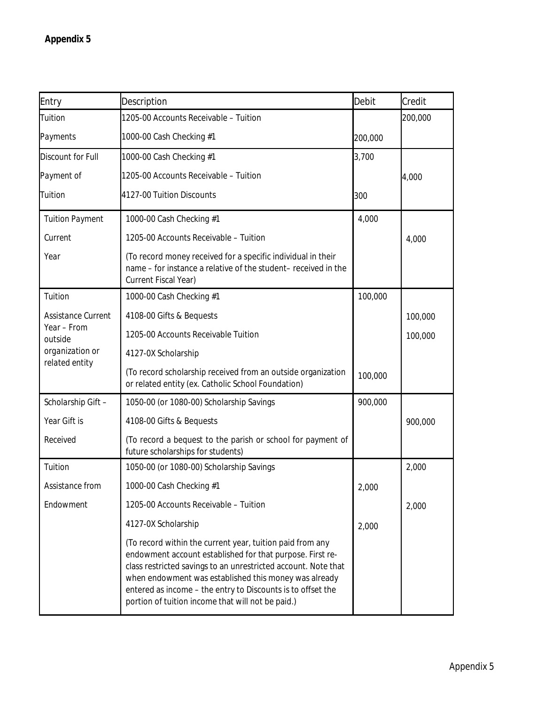| Entry                                | Description                                                                                                                                                                                                                                                                                                                                                           | Debit   | Credit  |
|--------------------------------------|-----------------------------------------------------------------------------------------------------------------------------------------------------------------------------------------------------------------------------------------------------------------------------------------------------------------------------------------------------------------------|---------|---------|
| Tuition                              | 1205-00 Accounts Receivable - Tuition                                                                                                                                                                                                                                                                                                                                 |         | 200,000 |
| Payments<br>1000-00 Cash Checking #1 |                                                                                                                                                                                                                                                                                                                                                                       | 200,000 |         |
| <b>Discount for Full</b>             | 1000-00 Cash Checking #1                                                                                                                                                                                                                                                                                                                                              |         |         |
| Payment of                           | 1205-00 Accounts Receivable - Tuition                                                                                                                                                                                                                                                                                                                                 |         | 4,000   |
| Tuition                              | 4127-00 Tuition Discounts                                                                                                                                                                                                                                                                                                                                             | 300     |         |
| <b>Tuition Payment</b>               | 1000-00 Cash Checking #1                                                                                                                                                                                                                                                                                                                                              | 4,000   |         |
| Current                              | 1205-00 Accounts Receivable - Tuition                                                                                                                                                                                                                                                                                                                                 |         | 4,000   |
| Year                                 | (To record money received for a specific individual in their<br>name - for instance a relative of the student- received in the<br>Current Fiscal Year)                                                                                                                                                                                                                |         |         |
| Tuition                              | 1000-00 Cash Checking #1                                                                                                                                                                                                                                                                                                                                              | 100,000 |         |
| Assistance Current                   | 4108-00 Gifts & Bequests                                                                                                                                                                                                                                                                                                                                              |         | 100,000 |
| Year - From<br>outside               | 1205-00 Accounts Receivable Tuition                                                                                                                                                                                                                                                                                                                                   |         | 100,000 |
| organization or                      | 4127-0X Scholarship                                                                                                                                                                                                                                                                                                                                                   |         |         |
| related entity                       | (To record scholarship received from an outside organization<br>or related entity (ex. Catholic School Foundation)                                                                                                                                                                                                                                                    | 100,000 |         |
| Scholarship Gift -                   | 1050-00 (or 1080-00) Scholarship Savings                                                                                                                                                                                                                                                                                                                              | 900,000 |         |
| Year Gift is                         | 4108-00 Gifts & Bequests                                                                                                                                                                                                                                                                                                                                              |         | 900,000 |
| Received                             | (To record a bequest to the parish or school for payment of<br>future scholarships for students)                                                                                                                                                                                                                                                                      |         |         |
| Tuition                              | 1050-00 (or 1080-00) Scholarship Savings                                                                                                                                                                                                                                                                                                                              |         | 2,000   |
| Assistance from                      | 1000-00 Cash Checking #1                                                                                                                                                                                                                                                                                                                                              | 2,000   |         |
| Endowment                            | 1205-00 Accounts Receivable - Tuition                                                                                                                                                                                                                                                                                                                                 |         | 2,000   |
|                                      | 4127-0X Scholarship                                                                                                                                                                                                                                                                                                                                                   | 2,000   |         |
|                                      | (To record within the current year, tuition paid from any<br>endowment account established for that purpose. First re-<br>class restricted savings to an unrestricted account. Note that<br>when endowment was established this money was already<br>entered as income - the entry to Discounts is to offset the<br>portion of tuition income that will not be paid.) |         |         |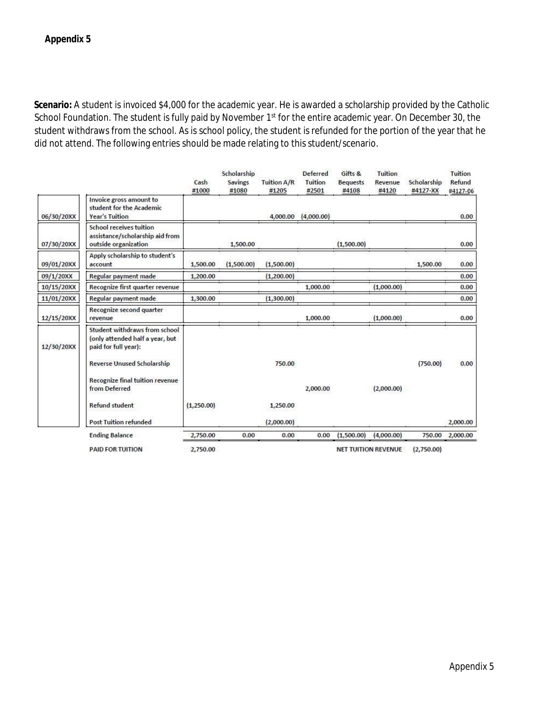**Scenario:** A student is invoiced \$4,000 for the academic year. He is awarded a scholarship provided by the Catholic School Foundation. The student is fully paid by November 1<sup>st</sup> for the entire academic year. On December 30, the student withdraws from the school. As is school policy, the student is refunded for the portion of the year that he did not attend. The following entries should be made relating to this student/scenario.

|            |                                                                                          | Cash<br>#1000 | Scholarship<br><b>Savings</b><br>#1080 | Tuition A/R<br>#1205 | <b>Deferred</b><br>Tuition<br>#2501 | Gifts &<br><b>Bequests</b><br>#4108 | Tuition<br>Revenue<br>#4120 | Scholarship<br>#4127-XX | Tuition<br>Refund<br>#4127-06 |
|------------|------------------------------------------------------------------------------------------|---------------|----------------------------------------|----------------------|-------------------------------------|-------------------------------------|-----------------------------|-------------------------|-------------------------------|
| 06/30/20XX | Invoice gross amount to<br>student for the Academic<br><b>Year's Tuition</b>             |               |                                        | 4,000.00             | (4,000.00)                          |                                     |                             |                         | 0.00                          |
| 07/30/20XX | School receives tuition<br>assistance/scholarship aid from<br>outside organization       |               | 1,500.00                               |                      |                                     | (1,500.00)                          |                             |                         | 0.00                          |
| 09/01/20XX | Apply scholarship to student's<br>account                                                | 1,500.00      | (1,500.00)                             | (1,500.00)           |                                     |                                     |                             | 1,500.00                | 0.00                          |
| 09/1/20XX  | Regular payment made                                                                     | 1,200.00      |                                        | (1,200.00)           |                                     |                                     |                             |                         | 0.00                          |
| 10/15/20XX | Recognize first quarter revenue                                                          |               |                                        |                      | 1,000.00                            |                                     | (1,000.00)                  |                         | 0.00                          |
| 11/01/20XX | Regular payment made                                                                     | 1,300.00      |                                        | (1,300.00)           |                                     |                                     |                             |                         | 0.00                          |
| 12/15/20XX | Recognize second quarter<br>revenue                                                      |               |                                        |                      | 1,000.00                            |                                     | (1,000.00)                  |                         | 0.00                          |
| 12/30/20XX | Student withdraws from school<br>(only attended half a year, but<br>paid for full year): |               |                                        |                      |                                     |                                     |                             |                         |                               |
|            | <b>Reverse Unused Scholarship</b>                                                        |               |                                        | 750.00               |                                     |                                     |                             | (750.00)                | 0.00                          |
|            | Recognize final tuition revenue<br>from Deferred                                         |               |                                        |                      | 2,000.00                            |                                     | (2,000.00)                  |                         |                               |
|            | <b>Refund student</b>                                                                    | (1,250.00)    |                                        | 1,250.00             |                                     |                                     |                             |                         |                               |
|            | <b>Post Tuition refunded</b>                                                             |               |                                        | (2,000.00)           |                                     |                                     |                             |                         | 2,000.00                      |
|            | <b>Ending Balance</b>                                                                    | 2,750.00      | 0.00                                   | 0.00                 | 0.00                                | (1,500.00)                          | (4,000.00)                  | 750.00                  | 2,000.00                      |

PAID FOR TUITION

2,750.00

NET TUITION REVENUE (2,750.00)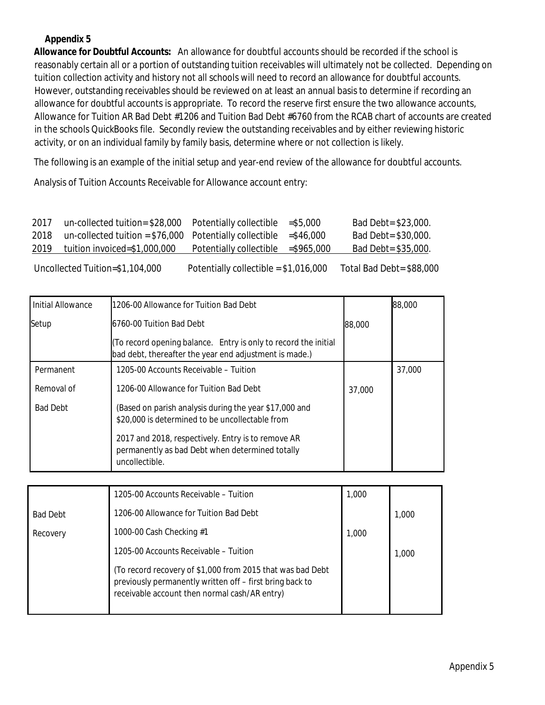**Allowance for Doubtful Accounts:** An allowance for doubtful accounts should be recorded if the school is reasonably certain all or a portion of outstanding tuition receivables will ultimately not be collected. Depending on tuition collection activity and history not all schools will need to record an allowance for doubtful accounts. However, outstanding receivables should be reviewed on at least an annual basis to determine if recording an allowance for doubtful accounts is appropriate. To record the reserve first ensure the two allowance accounts, Allowance for Tuition AR Bad Debt #1206 and Tuition Bad Debt #6760 from the RCAB chart of accounts are created in the schools QuickBooks file. Secondly review the outstanding receivables and by either reviewing historic activity, or on an individual family by family basis, determine where or not collection is likely.

The following is an example of the initial setup and year-end review of the allowance for doubtful accounts.

Analysis of Tuition Accounts Receivable for Allowance account entry:

| 2017 | $un$ -collected tuition= \$28,000 Potentially collectible  |                         | $= $5.000$    | Bad Debt= \$23,000.  |
|------|------------------------------------------------------------|-------------------------|---------------|----------------------|
| 2018 | $un$ -collected tuition = \$76,000 Potentially collectible |                         | $=$ \$46.000  | Bad Debt= \$30,000.  |
| 2019 | tuition invoiced=\$1,000,000                               | Potentially collectible | $=$ \$965,000 | $Bad Det = $35,000.$ |

Uncollected Tuition=\$1,104,000 Potentially collectible = \$1,016,000 Total Bad Debt= \$88,000

| Initial Allowance | 1206-00 Allowance for Tuition Bad Debt                                                                                    |        | 88,000 |
|-------------------|---------------------------------------------------------------------------------------------------------------------------|--------|--------|
| Setup             | 6760-00 Tuition Bad Debt                                                                                                  | 88,000 |        |
|                   | (To record opening balance. Entry is only to record the initial<br>bad debt, thereafter the year end adjustment is made.) |        |        |
| Permanent         | 1205-00 Accounts Receivable – Tuition                                                                                     |        | 37,000 |
| Removal of        | 1206-00 Allowance for Tuition Bad Debt                                                                                    | 37,000 |        |
| <b>Bad Debt</b>   | (Based on parish analysis during the year \$17,000 and<br>\$20,000 is determined to be uncollectable from                 |        |        |
|                   | 2017 and 2018, respectively. Entry is to remove AR<br>permanently as bad Debt when determined totally<br>uncollectible.   |        |        |

|                 | 1205-00 Accounts Receivable - Tuition                                                                                                                                   | 1,000 |       |
|-----------------|-------------------------------------------------------------------------------------------------------------------------------------------------------------------------|-------|-------|
| <b>Bad Debt</b> | 1206-00 Allowance for Tuition Bad Debt                                                                                                                                  |       | 1,000 |
| Recovery        | 1000-00 Cash Checking #1                                                                                                                                                | 1,000 |       |
|                 | 1205-00 Accounts Receivable - Tuition                                                                                                                                   |       | 1.000 |
|                 | (To record recovery of \$1,000 from 2015 that was bad Debt<br>previously permanently written off - first bring back to<br>receivable account then normal cash/AR entry) |       |       |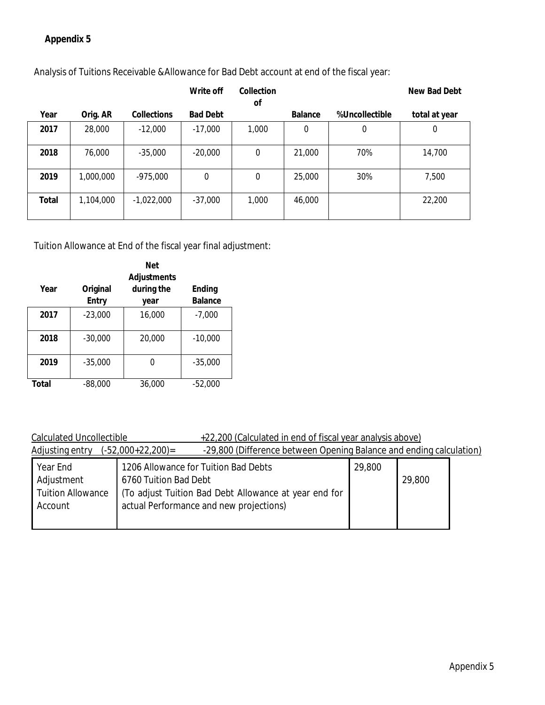|       |           |              | Write off       | Collection<br>Οf |         |                | New Bad Debt     |
|-------|-----------|--------------|-----------------|------------------|---------|----------------|------------------|
| Year  | Orig. AR  | Collections  | <b>Bad Debt</b> |                  | Balance | %Uncollectible | total at year    |
| 2017  | 28,000    | $-12.000$    | $-17,000$       | 1,000            | 0       | $\mathbf 0$    | $\boldsymbol{0}$ |
| 2018  | 76,000    | $-35,000$    | $-20,000$       | $\mathbf 0$      | 21,000  | 70%            | 14,700           |
| 2019  | 1,000,000 | $-975.000$   | 0               | $\Omega$         | 25,000  | 30%            | 7,500            |
| Total | 1,104,000 | $-1,022,000$ | $-37,000$       | 1,000            | 46,000  |                | 22,200           |

Analysis of Tuitions Receivable &Allowance for Bad Debt account at end of the fiscal year:

Tuition Allowance at End of the fiscal year final adjustment:

|       | <b>Net</b> |             |                |  |
|-------|------------|-------------|----------------|--|
|       |            | Adjustments |                |  |
| Year  | Original   | during the  | Ending         |  |
|       | Entry      | year        | <b>Balance</b> |  |
| 2017  | $-23,000$  | 16,000      | $-7,000$       |  |
| 2018  | $-30,000$  | 20,000      | $-10,000$      |  |
| 2019  | $-35.000$  |             | $-35.000$      |  |
| Total | $-88.000$  | 36,000      | $-52.000$      |  |

### Calculated Uncollectible +22,200 (Calculated in end of fiscal year analysis above)

| Adjusting entry          | -29,800 (Difference between Opening Balance and ending calculation)<br>$(-52,000+22,200)$ = |        |        |
|--------------------------|---------------------------------------------------------------------------------------------|--------|--------|
| Year End                 | 1206 Allowance for Tuition Bad Debts                                                        | 29,800 |        |
| Adjustment               | 6760 Tuition Bad Debt                                                                       |        | 29,800 |
| <b>Tuition Allowance</b> | (To adjust Tuition Bad Debt Allowance at year end for                                       |        |        |
| Account                  | actual Performance and new projections)                                                     |        |        |
|                          |                                                                                             |        |        |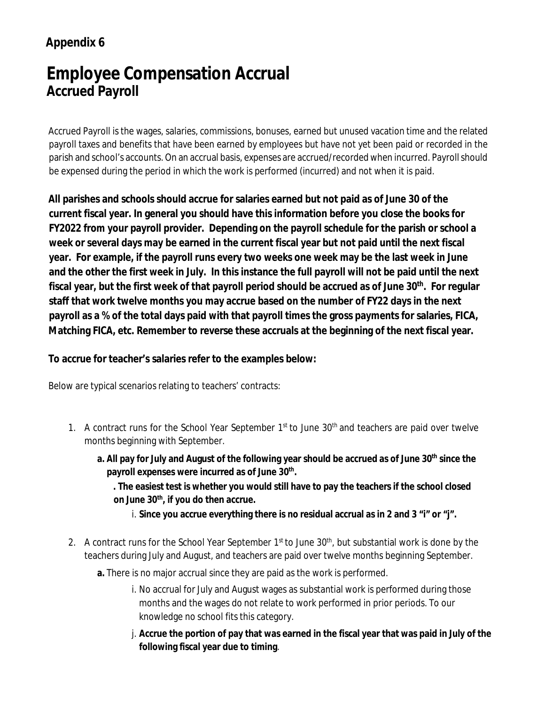# **Employee Compensation Accrual Accrued Payroll**

Accrued Payroll is the wages, salaries, commissions, bonuses, earned but unused vacation time and the related payroll taxes and benefits that have been earned by employees but have not yet been paid or recorded in the parish and school's accounts. On an accrual basis, expenses are accrued/recorded when incurred. Payroll should be expensed during the period in which the work is performed (incurred) and not when it is paid.

**All parishes and schools should accrue for salaries earned but not paid as of June 30 of the current fiscal year. In general you should have this information before you close the books for FY2022 from your payroll provider. Depending on the payroll schedule for the parish or school a week or several days may be earned in the current fiscal year but not paid until the next fiscal year. For example, if the payroll runs every two weeks one week may be the last week in June and the other the first week in July. In this instance the full payroll will not be paid until the next fiscal year, but the first week of that payroll period should be accrued as of June 30th. For regular staff that work twelve months you may accrue based on the number of FY22 days in the next payroll as a % of the total days paid with that payroll times the gross payments for salaries, FICA, Matching FICA, etc. Remember to reverse these accruals at the beginning of the next fiscal year.**

**To accrue for teacher's salaries refer to the examples below:**

Below are typical scenarios relating to teachers' contracts:

- 1. A contract runs for the School Year September  $1<sup>st</sup>$  to June  $30<sup>th</sup>$  and teachers are paid over twelve months beginning with September.
	- **a. All pay for July and August of the following year should be accrued as of June 30th since the payroll expenses were incurred as of June 30th.**

**. The easiest test is whether you would still have to pay the teachers if the school closed on June 30th, if you do then accrue.**

- i. **Since you accrue everything there is no residual accrual as in 2 and 3 "i" or "j".**
- 2. A contract runs for the School Year September 1<sup>st</sup> to June 30<sup>th</sup>, but substantial work is done by the teachers during July and August, and teachers are paid over twelve months beginning September.
	- **a.** There is no major accrual since they are paid as the work is performed.
		- i. No accrual for July and August wages as substantial work is performed during those months and the wages do not relate to work performed in prior periods. To our knowledge no school fits this category.
		- j. **Accrue the portion of pay that was earned in the fiscal year that was paid in July of the following fiscal year due to timing**.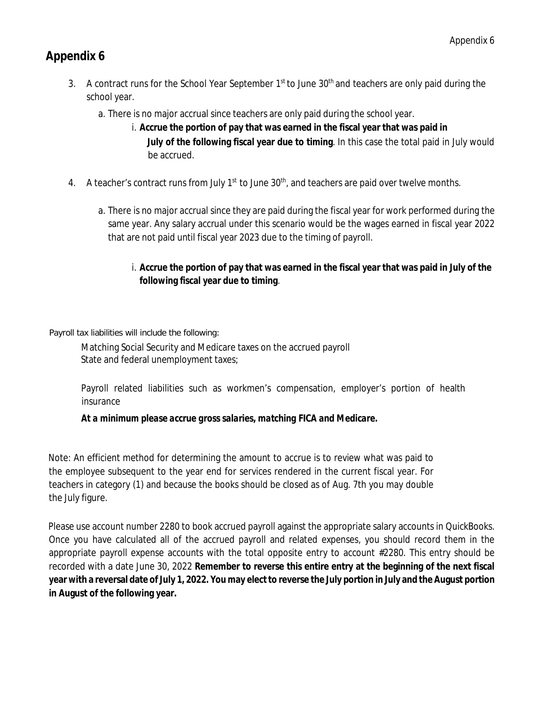- 3. A contract runs for the School Year September  $1<sup>st</sup>$  to June 30<sup>th</sup> and teachers are only paid during the school year.
	- a. There is no major accrual since teachers are only paid during the school year.
		- i. **Accrue the portion of pay that was earned in the fiscal year that was paid in July of the following fiscal year due to timing**. In this case the total paid in July would be accrued.
- 4. A teacher's contract runs from July  $1<sup>st</sup>$  to June  $30<sup>th</sup>$ , and teachers are paid over twelve months.
	- a. There is no major accrual since they are paid during the fiscal year for work performed during the same year. Any salary accrual under this scenario would be the wages earned in fiscal year 2022 that are not paid until fiscal year 2023 due to the timing of payroll.
		- i. **Accrue the portion of pay that was earned in the fiscal year that was paid in July of the following fiscal year due to timing**.

Payroll tax liabilities will include the following:

Matching Social Security and Medicare taxes on the accrued payroll State and federal unemployment taxes;

Payroll related liabilities such as workmen's compensation, employer's portion of health insurance

*At a minimum please accrue gross salaries, matching FICA and Medicare.*

Note: An efficient method for determining the amount to accrue is to review what was paid to the employee subsequent to the year end for services rendered in the current fiscal year. For teachers in category (1) and because the books should be closed as of Aug. 7th you may double the July figure.

Please use account number 2280 to book accrued payroll against the appropriate salary accounts in QuickBooks. Once you have calculated all of the accrued payroll and related expenses, you should record them in the appropriate payroll expense accounts with the total opposite entry to account #2280. This entry should be recorded with a date June 30, 2022 **Remember to reverse this entire entry at the beginning of the next fiscal year with a reversal date of July 1, 2022. You may elect to reverse the July portion in July and the August portion in August of the following year.**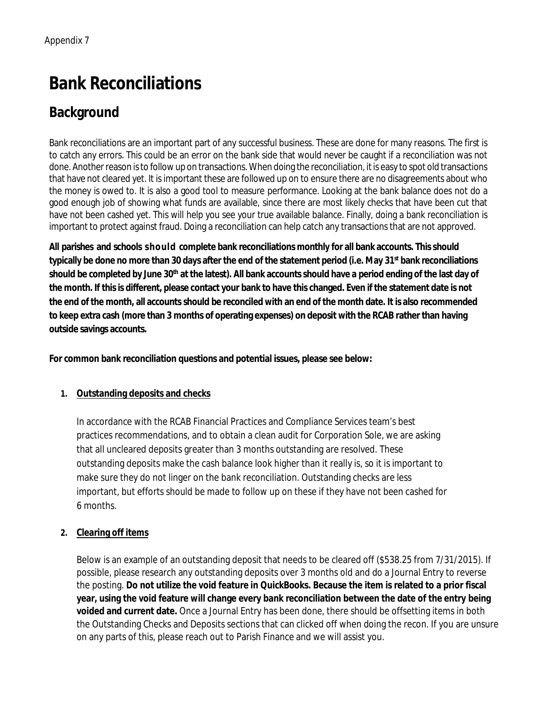# **Bank Reconciliations**

# **Background**

Bank reconciliations are an important part of any successful business. These are done for many reasons. The first is to catch any errors. This could be an error on the bank side that would never be caught if a reconciliation was not done. Another reason is to follow up on transactions. When doing the reconciliation, it is easy to spot old transactions that have not cleared yet. It is important these are followed up on to ensure there are no disagreements about who the money is owed to. It is also a good tool to measure performance. Looking at the bank balance does not do a good enough job of showing what funds are available, since there are most likely checks that have been cut that have not been cashed yet. This will help you see your true available balance. Finally, doing a bank reconciliation is important to protect against fraud. Doing a reconciliation can help catch any transactions that are not approved.

**All parishes and schools should complete bank reconciliations monthly for all bank accounts. This should typically be done no more than 30 days after the end of the statement period (i.e. May 31st bank reconciliations** should be completed by June 30<sup>th</sup> at the latest). All bank accounts should have a period ending of the last day of **the month. If this is different, please contact your bank to have this changed. Even if the statement date is not the end of the month, all accounts should be reconciled with an end of the month date. It is also recommended to keep extra cash (more than 3 months of operating expenses) on deposit with the RCAB rather than having outside savings accounts.**

**For common bank reconciliation questions and potential issues, please see below:**

### **1. Outstanding deposits and checks**

In accordance with the RCAB Financial Practices and Compliance Services team's best practices recommendations, and to obtain a clean audit for Corporation Sole, we are asking that all uncleared deposits greater than 3 months outstanding are resolved. These outstanding deposits make the cash balance look higher than it really is, so it is important to make sure they do not linger on the bank reconciliation. Outstanding checks are less important, but efforts should be made to follow up on these if they have not been cashed for 6 months.

### **2. Clearing off items**

Below is an example of an outstanding deposit that needs to be cleared off (\$538.25 from 7/31/2015). If possible, please research any outstanding deposits over 3 months old and do a Journal Entry to reverse the posting. **Do not utilize the void feature in QuickBooks. Because the item is related to a prior fiscal year, using the void feature will change every bank reconciliation between the date of the entry being voided and current date.** Once a Journal Entry has been done, there should be offsetting items in both the Outstanding Checks and Deposits sections that can clicked off when doing the recon. If you are unsure on any parts of this, please reach out to Parish Finance and we will assist you.